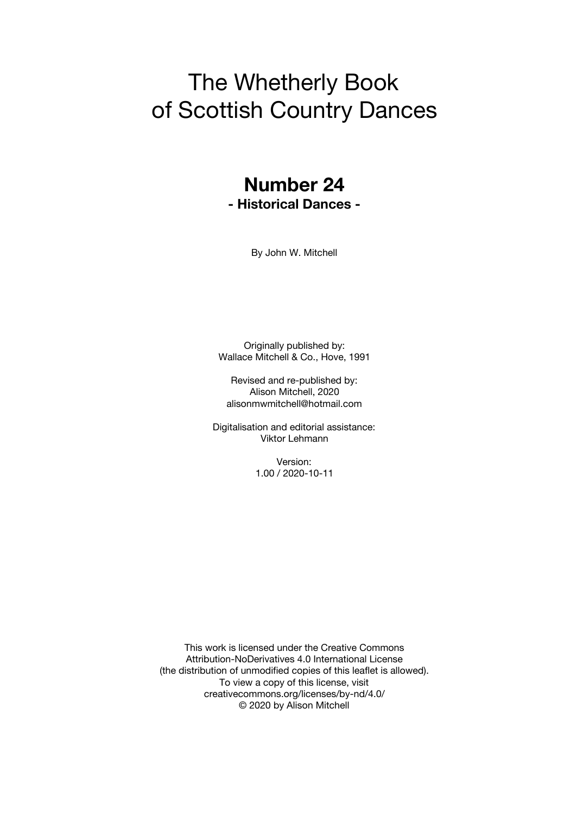# The Whetherly Book of Scottish Country Dances

### **Number 24 - Historical Dances -**

By John W. Mitchell

Originally published by: Wallace Mitchell & Co., Hove, 1991

Revised and re-published by: Alison Mitchell, 2020 alisonmwmitchell@hotmail.com

Digitalisation and editorial assistance: Viktor Lehmann

> Version: 1.00 / 2020-10-11

This work is licensed under the Creative Commons Attribution-NoDerivatives 4.0 International License (the distribution of unmodified copies of this leaflet is allowed). To view a copy of this license, visit creativecommons.org/licenses/by-nd/4.0/ © 2020 by Alison Mitchell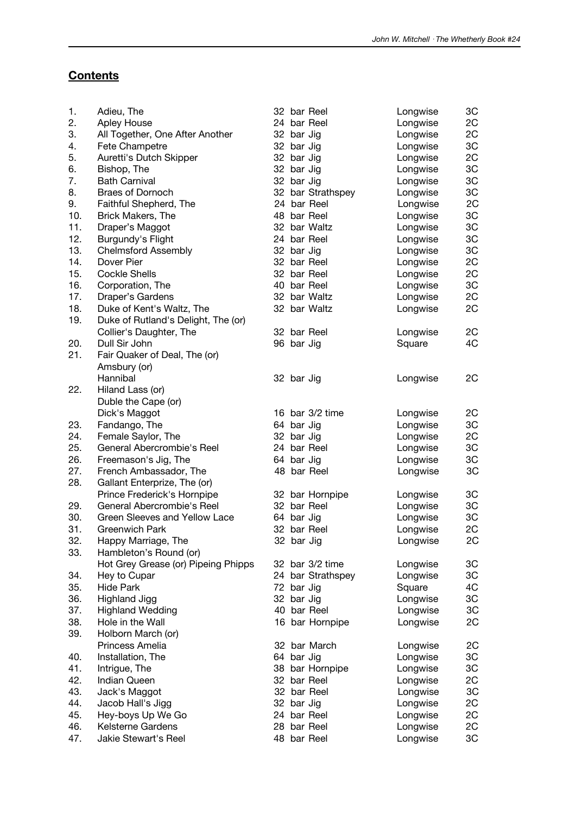### **Contents**

| 1.  | Adieu, The                          |            | 32 bar Reel       | Longwise | 3C |
|-----|-------------------------------------|------------|-------------------|----------|----|
| 2.  | Apley House                         |            | 24 bar Reel       | Longwise | 2C |
| 3.  | All Together, One After Another     | 32 bar Jig |                   | Longwise | 2C |
| 4.  | Fete Champetre                      | 32 bar Jig |                   | Longwise | 3C |
| 5.  | Auretti's Dutch Skipper             | 32 bar Jig |                   | Longwise | 2C |
| 6.  | Bishop, The                         | 32 bar Jig |                   | Longwise | 3C |
| 7.  | <b>Bath Carnival</b>                | 32 bar Jig |                   | Longwise | 3C |
| 8.  | Braes of Dornoch                    |            | 32 bar Strathspey | Longwise | 3C |
| 9.  | Faithful Shepherd, The              |            | 24 bar Reel       | Longwise | 2C |
| 10. | Brick Makers, The                   |            | 48 bar Reel       | Longwise | 3C |
| 11. | Draper's Maggot                     |            | 32 bar Waltz      | Longwise | 3C |
| 12. | Burgundy's Flight                   |            | 24 bar Reel       | Longwise | 3C |
| 13. | <b>Chelmsford Assembly</b>          | 32 bar Jig |                   | Longwise | 3C |
| 14. | Dover Pier                          |            | 32 bar Reel       | Longwise | 2C |
| 15. | <b>Cockle Shells</b>                |            | 32 bar Reel       | Longwise | 2C |
| 16. | Corporation, The                    |            | 40 bar Reel       | Longwise | 3C |
| 17. | Draper's Gardens                    |            | 32 bar Waltz      | Longwise | 2C |
| 18. |                                     |            | 32 bar Waltz      |          | 2C |
| 19. | Duke of Kent's Waltz, The           |            |                   | Longwise |    |
|     | Duke of Rutland's Delight, The (or) |            |                   |          |    |
|     | Collier's Daughter, The             |            | 32 bar Reel       | Longwise | 2C |
| 20. | Dull Sir John                       | 96 bar Jig |                   | Square   | 4C |
| 21. | Fair Quaker of Deal, The (or)       |            |                   |          |    |
|     | Amsbury (or)                        |            |                   |          |    |
|     | Hannibal                            | 32 bar Jig |                   | Longwise | 2C |
| 22. | Hiland Lass (or)                    |            |                   |          |    |
|     | Duble the Cape (or)                 |            |                   |          |    |
|     | Dick's Maggot                       |            | 16 bar 3/2 time   | Longwise | 2C |
| 23. | Fandango, The                       | 64 bar Jig |                   | Longwise | 3C |
| 24. | Female Saylor, The                  | 32 bar Jig |                   | Longwise | 2C |
| 25. | General Abercrombie's Reel          |            | 24 bar Reel       | Longwise | 3C |
| 26. | Freemason's Jig, The                | 64 bar Jig |                   | Longwise | 3C |
| 27. | French Ambassador, The              |            | 48 bar Reel       | Longwise | 3C |
| 28. | Gallant Enterprize, The (or)        |            |                   |          |    |
|     | Prince Frederick's Hornpipe         |            | 32 bar Hornpipe   | Longwise | 3C |
| 29. | General Abercrombie's Reel          |            | 32 bar Reel       | Longwise | 3C |
| 30. | Green Sleeves and Yellow Lace       | 64 bar Jig |                   | Longwise | 3C |
| 31. | <b>Greenwich Park</b>               |            | 32 bar Reel       | Longwise | 2C |
| 32. | Happy Marriage, The                 | 32 bar Jig |                   | Longwise | 2C |
| 33. | Hambleton's Round (or)              |            |                   |          |    |
|     | Hot Grey Grease (or) Pipeing Phipps |            | 32 bar 3/2 time   | Longwise | 3C |
| 34. | Hey to Cupar                        |            | 24 bar Strathspey | Longwise | 3C |
| 35. | <b>Hide Park</b>                    | 72 bar Jig |                   | Square   | 4C |
| 36. | Highland Jigg                       | 32 bar Jig |                   | Longwise | 3C |
| 37. | <b>Highland Wedding</b>             |            | 40 bar Reel       | Longwise | 3C |
| 38. | Hole in the Wall                    |            | 16 bar Hornpipe   | Longwise | 2C |
| 39. | Holborn March (or)                  |            |                   |          |    |
|     | Princess Amelia                     |            | 32 bar March      | Longwise | 2C |
| 40. | Installation, The                   | 64 bar Jig |                   | Longwise | 3C |
| 41. | Intrigue, The                       |            | 38 bar Hornpipe   | Longwise | 3C |
| 42. | <b>Indian Queen</b>                 |            | 32 bar Reel       | Longwise | 2C |
| 43. | Jack's Maggot                       |            | 32 bar Reel       | Longwise | 3C |
| 44. | Jacob Hall's Jigg                   | 32 bar Jig |                   | Longwise | 2C |
| 45. | Hey-boys Up We Go                   |            | 24 bar Reel       | Longwise | 2C |
| 46. | Kelsterne Gardens                   |            | 28 bar Reel       | Longwise | 2C |
| 47. | Jakie Stewart's Reel                |            | 48 bar Reel       | Longwise | 3C |
|     |                                     |            |                   |          |    |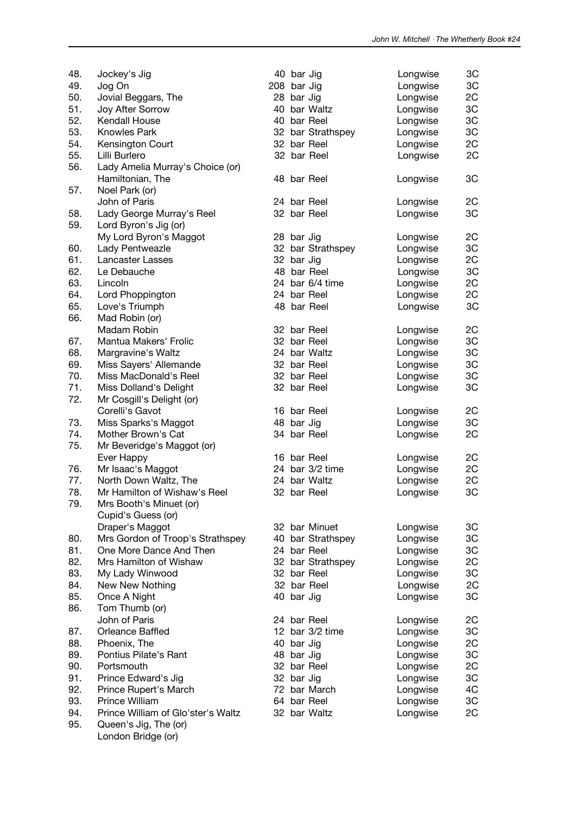| 48. | Jockey's Jig                       |             | 40 bar Jig |                   | Longwise | 3C |
|-----|------------------------------------|-------------|------------|-------------------|----------|----|
| 49. | Jog On                             | 208 bar Jig |            |                   | Longwise | 3C |
| 50. | Jovial Beggars, The                |             | 28 bar Jig |                   | Longwise | 2C |
| 51. | Joy After Sorrow                   |             |            | 40 bar Waltz      | Longwise | 3C |
| 52. | Kendall House                      |             |            | 40 bar Reel       | Longwise | 3C |
| 53. | <b>Knowles Park</b>                |             |            | 32 bar Strathspey | Longwise | 3C |
| 54. | Kensington Court                   |             |            | 32 bar Reel       | Longwise | 2C |
| 55. | Lilli Burlero                      |             |            | 32 bar Reel       | Longwise | 2C |
| 56. | Lady Amelia Murray's Choice (or)   |             |            |                   |          |    |
|     | Hamiltonian, The                   |             |            | 48 bar Reel       | Longwise | 3C |
| 57. | Noel Park (or)                     |             |            |                   |          |    |
|     | John of Paris                      |             |            | 24 bar Reel       | Longwise | 2C |
| 58. | Lady George Murray's Reel          |             |            | 32 bar Reel       | Longwise | 3C |
| 59. | Lord Byron's Jig (or)              |             |            |                   |          |    |
|     |                                    |             |            |                   |          |    |
|     | My Lord Byron's Maggot             |             | 28 bar Jig |                   | Longwise | 2C |
| 60. | Lady Pentweazle                    |             |            | 32 bar Strathspey | Longwise | 3C |
| 61. | Lancaster Lasses                   |             | 32 bar Jig |                   | Longwise | 2C |
| 62. | Le Debauche                        |             |            | 48 bar Reel       | Longwise | 3C |
| 63. | Lincoln                            |             |            | 24 bar 6/4 time   | Longwise | 2C |
| 64. | Lord Phoppington                   |             |            | 24 bar Reel       | Longwise | 2C |
| 65. | Love's Triumph                     |             |            | 48 bar Reel       | Longwise | 3C |
| 66. | Mad Robin (or)                     |             |            |                   |          |    |
|     | Madam Robin                        |             |            | 32 bar Reel       | Longwise | 2C |
| 67. | Mantua Makers' Frolic              |             |            | 32 bar Reel       | Longwise | 3C |
| 68. | Margravine's Waltz                 |             |            | 24 bar Waltz      | Longwise | 3C |
| 69. | Miss Sayers' Allemande             |             |            | 32 bar Reel       | Longwise | 3C |
| 70. | Miss MacDonald's Reel              |             |            | 32 bar Reel       | Longwise | 3C |
| 71. | Miss Dolland's Delight             |             |            | 32 bar Reel       | Longwise | 3C |
| 72. | Mr Cosgill's Delight (or)          |             |            |                   |          |    |
|     | Corelli's Gavot                    |             |            | 16 bar Reel       | Longwise | 2C |
| 73. | Miss Sparks's Maggot               |             | 48 bar Jig |                   | Longwise | 3C |
| 74. | Mother Brown's Cat                 |             |            | 34 bar Reel       | Longwise | 2C |
| 75. | Mr Beveridge's Maggot (or)         |             |            |                   |          |    |
|     | Ever Happy                         |             |            | 16 bar Reel       | Longwise | 2C |
| 76. | Mr Isaac's Maggot                  |             |            | 24 bar 3/2 time   | Longwise | 2C |
| 77. | North Down Waltz, The              |             |            | 24 bar Waltz      | Longwise | 2C |
| 78. | Mr Hamilton of Wishaw's Reel       |             |            | 32 bar Reel       | Longwise | 3C |
| 79. | Mrs Booth's Minuet (or)            |             |            |                   |          |    |
|     | Cupid's Guess (or)                 |             |            |                   |          |    |
|     | Draper's Maggot                    |             |            | 32 bar Minuet     | Longwise | 3C |
| 80. | Mrs Gordon of Troop's Strathspey   |             |            | 40 bar Strathspey | Longwise | 3C |
| 81. | One More Dance And Then            |             |            | 24 bar Reel       | Longwise | 3C |
| 82. | Mrs Hamilton of Wishaw             |             |            | 32 bar Strathspey | Longwise | 2C |
| 83. | My Lady Winwood                    |             |            | 32 bar Reel       | Longwise | 3C |
| 84. | New New Nothing                    |             |            | 32 bar Reel       | Longwise | 2C |
| 85. | Once A Night                       |             | 40 bar Jig |                   |          | 3C |
| 86. |                                    |             |            |                   | Longwise |    |
|     | Tom Thumb (or)<br>John of Paris    |             |            |                   |          |    |
|     |                                    |             |            | 24 bar Reel       | Longwise | 2C |
| 87. | Orleance Baffled                   |             |            | 12 bar 3/2 time   | Longwise | 3C |
| 88. | Phoenix, The                       |             | 40 bar Jig |                   | Longwise | 2C |
| 89. | Pontius Pilate's Rant              |             | 48 bar Jig |                   | Longwise | 3C |
| 90. | Portsmouth                         |             |            | 32 bar Reel       | Longwise | 2C |
| 91. | Prince Edward's Jig                |             | 32 bar Jig |                   | Longwise | 3C |
| 92. | Prince Rupert's March              |             |            | 72 bar March      | Longwise | 4C |
| 93. | Prince William                     |             |            | 64 bar Reel       | Longwise | 3C |
| 94. | Prince William of Glo'ster's Waltz |             |            | 32 bar Waltz      | Longwise | 2C |
| 95. | Queen's Jig, The (or)              |             |            |                   |          |    |
|     | London Bridge (or)                 |             |            |                   |          |    |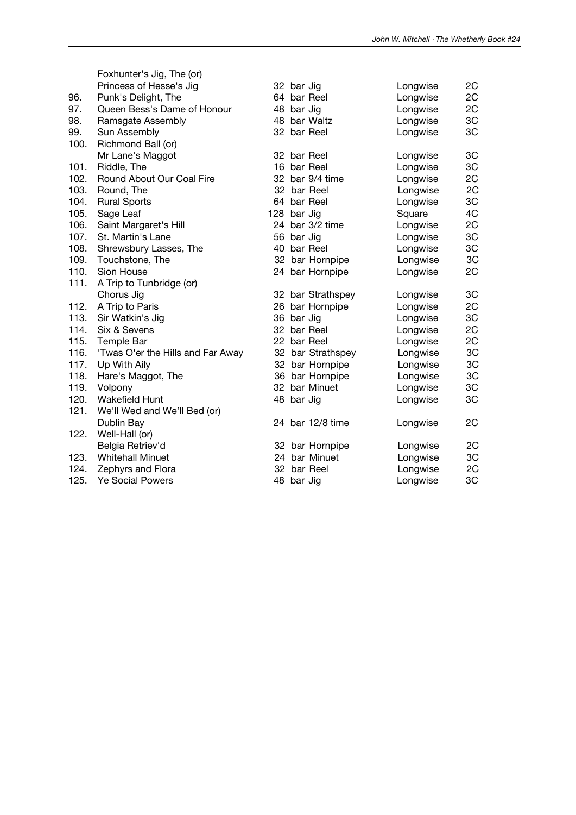|      | Foxhunter's Jig, The (or)<br>Princess of Hesse's Jig |     | 32 bar Jig |                   | Longwise | 2C |
|------|------------------------------------------------------|-----|------------|-------------------|----------|----|
| 96.  | Punk's Delight, The                                  |     |            | 64 bar Reel       | Longwise | 2C |
| 97.  | Queen Bess's Dame of Honour                          |     | 48 bar Jig |                   | Longwise | 2C |
| 98.  | Ramsgate Assembly                                    |     |            | 48 bar Waltz      | Longwise | 3C |
| 99.  | Sun Assembly                                         |     |            | 32 bar Reel       | Longwise | 3C |
| 100. | Richmond Ball (or)                                   |     |            |                   |          |    |
|      | Mr Lane's Maggot                                     |     |            | 32 bar Reel       | Longwise | 3C |
| 101. | Riddle, The                                          |     |            | 16 bar Reel       | Longwise | 3C |
| 102. | Round About Our Coal Fire                            |     |            | 32 bar 9/4 time   | Longwise | 2C |
| 103. | Round, The                                           |     |            | 32 bar Reel       | Longwise | 2C |
| 104. | <b>Rural Sports</b>                                  |     |            | 64 bar Reel       | Longwise | 3C |
| 105. | Sage Leaf                                            | 128 | bar Jig    |                   | Square   | 4C |
| 106. | Saint Margaret's Hill                                |     |            | 24 bar 3/2 time   | Longwise | 2C |
| 107. | St. Martin's Lane                                    |     | 56 bar Jig |                   | Longwise | 3C |
| 108. | Shrewsbury Lasses, The                               | 40  |            | bar Reel          | Longwise | 3C |
| 109. | Touchstone, The                                      |     |            | 32 bar Hornpipe   | Longwise | 3C |
| 110. | Sion House                                           | 24  |            | bar Hornpipe      | Longwise | 2C |
| 111. | A Trip to Tunbridge (or)                             |     |            |                   |          |    |
|      | Chorus Jig                                           |     |            | 32 bar Strathspey | Longwise | 3C |
| 112. | A Trip to Paris                                      |     |            | 26 bar Hornpipe   | Longwise | 2C |
| 113. | Sir Watkin's Jig                                     |     | 36 bar Jig |                   | Longwise | 3C |
| 114. | Six & Sevens                                         | 32  |            | bar Reel          | Longwise | 2C |
| 115. | Temple Bar                                           |     |            | 22 bar Reel       | Longwise | 2C |
| 116. | 'Twas O'er the Hills and Far Away                    |     |            | 32 bar Strathspey | Longwise | 3C |
| 117. | Up With Aily                                         |     |            | 32 bar Hornpipe   | Longwise | 3C |
| 118. | Hare's Maggot, The                                   |     |            | 36 bar Hornpipe   | Longwise | 3C |
| 119. | Volpony                                              |     |            | 32 bar Minuet     | Longwise | 3C |
| 120. | <b>Wakefield Hunt</b>                                |     | 48 bar Jig |                   | Longwise | 3C |
| 121. | We'll Wed and We'll Bed (or)                         |     |            |                   |          |    |
|      | Dublin Bay                                           |     |            | 24 bar 12/8 time  | Longwise | 2C |
| 122. | Well-Hall (or)                                       |     |            |                   |          |    |
|      | Belgia Retriev'd                                     |     |            | 32 bar Hornpipe   | Longwise | 2C |
| 123. | <b>Whitehall Minuet</b>                              |     |            | 24 bar Minuet     | Longwise | 3C |
| 124. | Zephyrs and Flora                                    |     |            | 32 bar Reel       | Longwise | 2C |
| 125. | <b>Ye Social Powers</b>                              |     | 48 bar Jig |                   | Longwise | 3C |
|      |                                                      |     |            |                   |          |    |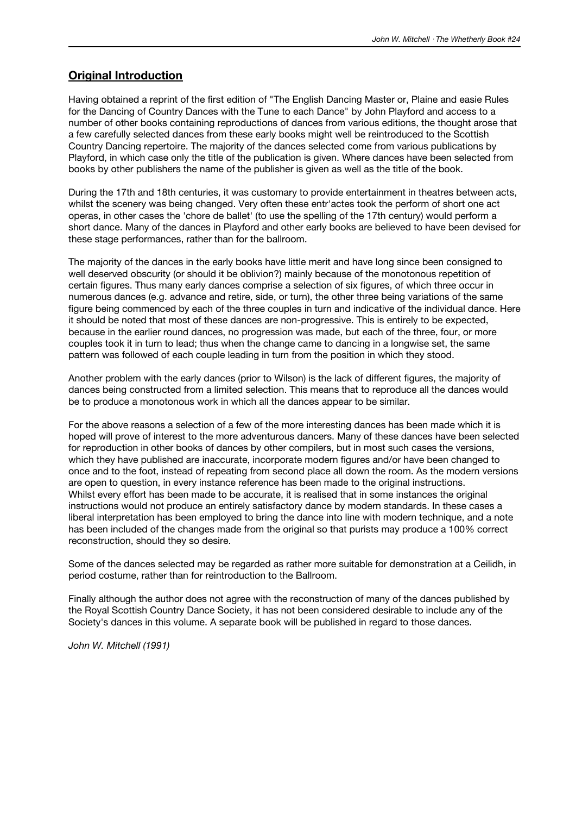### **Original Introduction**

Having obtained a reprint of the first edition of "The English Dancing Master or, Plaine and easie Rules for the Dancing of Country Dances with the Tune to each Dance" by John Playford and access to a number of other books containing reproductions of dances from various editions, the thought arose that a few carefully selected dances from these early books might well be reintroduced to the Scottish Country Dancing repertoire. The majority of the dances selected come from various publications by Playford, in which case only the title of the publication is given. Where dances have been selected from books by other publishers the name of the publisher is given as well as the title of the book.

During the 17th and 18th centuries, it was customary to provide entertainment in theatres between acts, whilst the scenery was being changed. Very often these entr'actes took the perform of short one act operas, in other cases the 'chore de ballet' (to use the spelling of the 17th century) would perform a short dance. Many of the dances in Playford and other early books are believed to have been devised for these stage performances, rather than for the ballroom.

The majority of the dances in the early books have little merit and have long since been consigned to well deserved obscurity (or should it be oblivion?) mainly because of the monotonous repetition of certain figures. Thus many early dances comprise a selection of six figures, of which three occur in numerous dances (e.g. advance and retire, side, or turn), the other three being variations of the same figure being commenced by each of the three couples in turn and indicative of the individual dance. Here it should be noted that most of these dances are non-progressive. This is entirely to be expected, because in the earlier round dances, no progression was made, but each of the three, four, or more couples took it in turn to lead; thus when the change came to dancing in a longwise set, the same pattern was followed of each couple leading in turn from the position in which they stood.

Another problem with the early dances (prior to Wilson) is the lack of different figures, the majority of dances being constructed from a limited selection. This means that to reproduce all the dances would be to produce a monotonous work in which all the dances appear to be similar.

For the above reasons a selection of a few of the more interesting dances has been made which it is hoped will prove of interest to the more adventurous dancers. Many of these dances have been selected for reproduction in other books of dances by other compilers, but in most such cases the versions, which they have published are inaccurate, incorporate modern figures and/or have been changed to once and to the foot, instead of repeating from second place all down the room. As the modern versions are open to question, in every instance reference has been made to the original instructions. Whilst every effort has been made to be accurate, it is realised that in some instances the original instructions would not produce an entirely satisfactory dance by modern standards. In these cases a liberal interpretation has been employed to bring the dance into line with modern technique, and a note has been included of the changes made from the original so that purists may produce a 100% correct reconstruction, should they so desire.

Some of the dances selected may be regarded as rather more suitable for demonstration at a Ceilidh, in period costume, rather than for reintroduction to the Ballroom.

Finally although the author does not agree with the reconstruction of many of the dances published by the Royal Scottish Country Dance Society, it has not been considered desirable to include any of the Society's dances in this volume. A separate book will be published in regard to those dances.

*John W. Mitchell (1991)*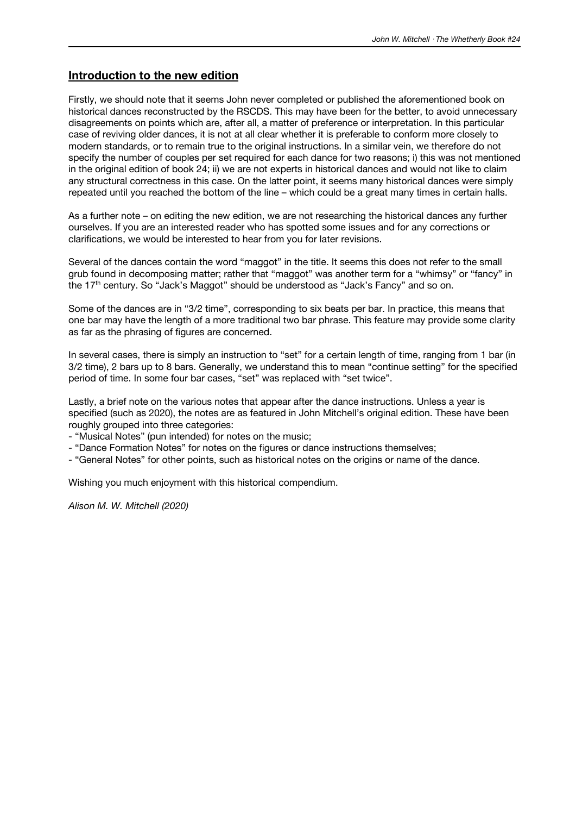### **Introduction to the new edition**

Firstly, we should note that it seems John never completed or published the aforementioned book on historical dances reconstructed by the RSCDS. This may have been for the better, to avoid unnecessary disagreements on points which are, after all, a matter of preference or interpretation. In this particular case of reviving older dances, it is not at all clear whether it is preferable to conform more closely to modern standards, or to remain true to the original instructions. In a similar vein, we therefore do not specify the number of couples per set required for each dance for two reasons; i) this was not mentioned in the original edition of book 24; ii) we are not experts in historical dances and would not like to claim any structural correctness in this case. On the latter point, it seems many historical dances were simply repeated until you reached the bottom of the line – which could be a great many times in certain halls.

As a further note – on editing the new edition, we are not researching the historical dances any further ourselves. If you are an interested reader who has spotted some issues and for any corrections or clarifications, we would be interested to hear from you for later revisions.

Several of the dances contain the word "maggot" in the title. It seems this does not refer to the small grub found in decomposing matter; rather that "maggot" was another term for a "whimsy" or "fancy" in the 17<sup>th</sup> century. So "Jack's Maggot" should be understood as "Jack's Fancy" and so on.

Some of the dances are in "3/2 time", corresponding to six beats per bar. In practice, this means that one bar may have the length of a more traditional two bar phrase. This feature may provide some clarity as far as the phrasing of figures are concerned.

In several cases, there is simply an instruction to "set" for a certain length of time, ranging from 1 bar (in 3/2 time), 2 bars up to 8 bars. Generally, we understand this to mean "continue setting" for the specified period of time. In some four bar cases, "set" was replaced with "set twice".

Lastly, a brief note on the various notes that appear after the dance instructions. Unless a year is specified (such as 2020), the notes are as featured in John Mitchell's original edition. These have been roughly grouped into three categories:

- "Musical Notes" (pun intended) for notes on the music;

- "Dance Formation Notes" for notes on the figures or dance instructions themselves;

- "General Notes" for other points, such as historical notes on the origins or name of the dance.

Wishing you much enjoyment with this historical compendium.

*Alison M. W. Mitchell (2020)*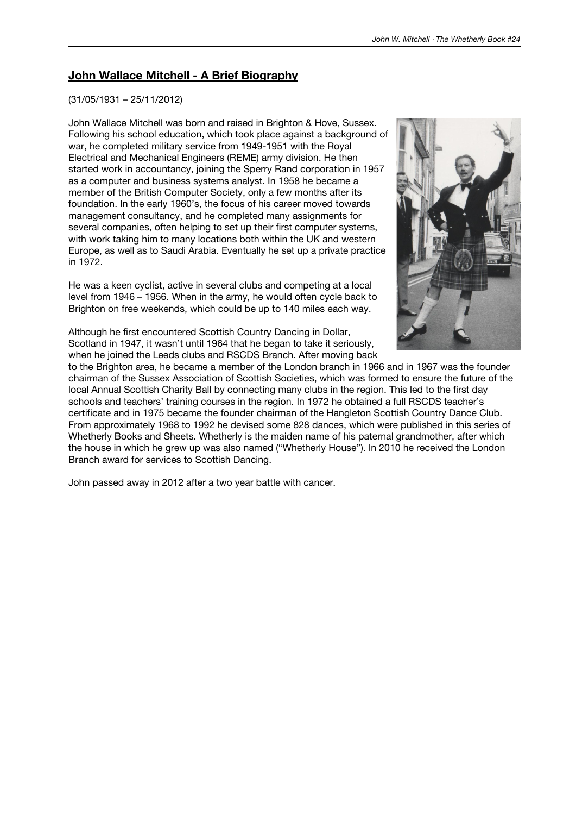### **John Wallace Mitchell - A Brief Biography**

#### (31/05/1931 – 25/11/2012)

John Wallace Mitchell was born and raised in Brighton & Hove, Sussex. Following his school education, which took place against a background of war, he completed military service from 1949-1951 with the Royal Electrical and Mechanical Engineers (REME) army division. He then started work in accountancy, joining the Sperry Rand corporation in 1957 as a computer and business systems analyst. In 1958 he became a member of the British Computer Society, only a few months after its foundation. In the early 1960's, the focus of his career moved towards management consultancy, and he completed many assignments for several companies, often helping to set up their first computer systems, with work taking him to many locations both within the UK and western Europe, as well as to Saudi Arabia. Eventually he set up a private practice in 1972.

He was a keen cyclist, active in several clubs and competing at a local level from 1946 – 1956. When in the army, he would often cycle back to Brighton on free weekends, which could be up to 140 miles each way.



Although he first encountered Scottish Country Dancing in Dollar, Scotland in 1947, it wasn't until 1964 that he began to take it seriously, when he joined the Leeds clubs and RSCDS Branch. After moving back

to the Brighton area, he became a member of the London branch in 1966 and in 1967 was the founder chairman of the Sussex Association of Scottish Societies, which was formed to ensure the future of the local Annual Scottish Charity Ball by connecting many clubs in the region. This led to the first day schools and teachers' training courses in the region. In 1972 he obtained a full RSCDS teacher's certificate and in 1975 became the founder chairman of the Hangleton Scottish Country Dance Club. From approximately 1968 to 1992 he devised some 828 dances, which were published in this series of Whetherly Books and Sheets. Whetherly is the maiden name of his paternal grandmother, after which the house in which he grew up was also named ("Whetherly House"). In 2010 he received the London Branch award for services to Scottish Dancing.

John passed away in 2012 after a two year battle with cancer.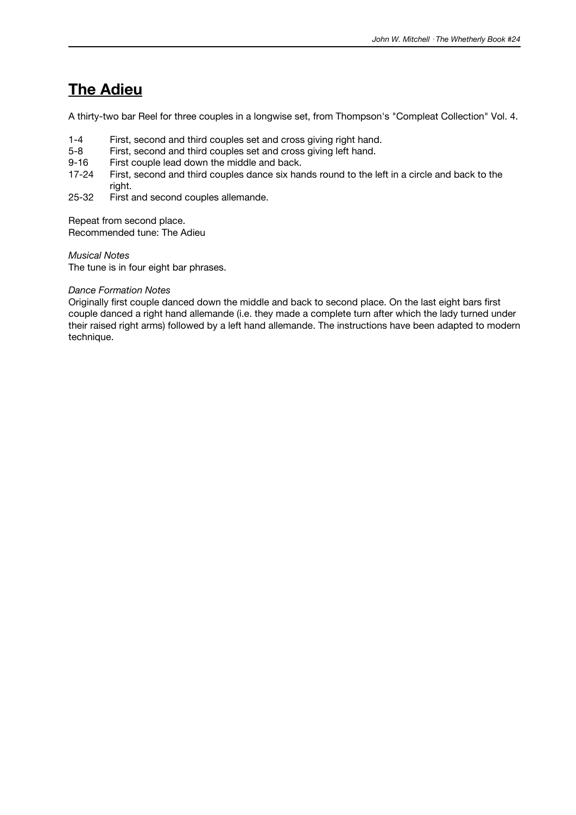### **The Adieu**

A thirty-two bar Reel for three couples in a longwise set, from Thompson's "Compleat Collection" Vol. 4.

- 1-4 First, second and third couples set and cross giving right hand.
- 5-8 First, second and third couples set and cross giving left hand.
- 9-16 First couple lead down the middle and back.
- 17-24 First, second and third couples dance six hands round to the left in a circle and back to the right.
- 25-32 First and second couples allemande.

Repeat from second place. Recommended tune: The Adieu

*Musical Notes*

The tune is in four eight bar phrases.

#### *Dance Formation Notes*

Originally first couple danced down the middle and back to second place. On the last eight bars first couple danced a right hand allemande (i.e. they made a complete turn after which the lady turned under their raised right arms) followed by a left hand allemande. The instructions have been adapted to modern technique.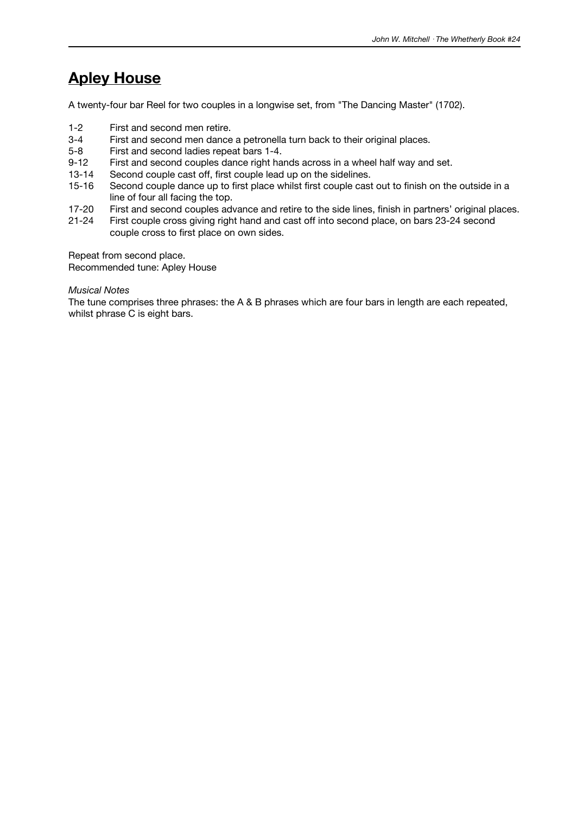### **Apley House**

A twenty-four bar Reel for two couples in a longwise set, from "The Dancing Master" (1702).

- 1-2 First and second men retire.
- 3-4 First and second men dance a petronella turn back to their original places.<br>5-8 First and second ladies repeat bars 1-4.
- First and second ladies repeat bars 1-4.
- 9-12 First and second couples dance right hands across in a wheel half way and set.
- 13-14 Second couple cast off, first couple lead up on the sidelines.
- 15-16 Second couple dance up to first place whilst first couple cast out to finish on the outside in a line of four all facing the top.
- 17-20 First and second couples advance and retire to the side lines, finish in partners' original places.<br>21-24 First couple cross giving right hand and cast off into second place, on bars 23-24 second
- First couple cross giving right hand and cast off into second place, on bars 23-24 second couple cross to first place on own sides.

Repeat from second place.

Recommended tune: Apley House

*Musical Notes*

The tune comprises three phrases: the A & B phrases which are four bars in length are each repeated, whilst phrase C is eight bars.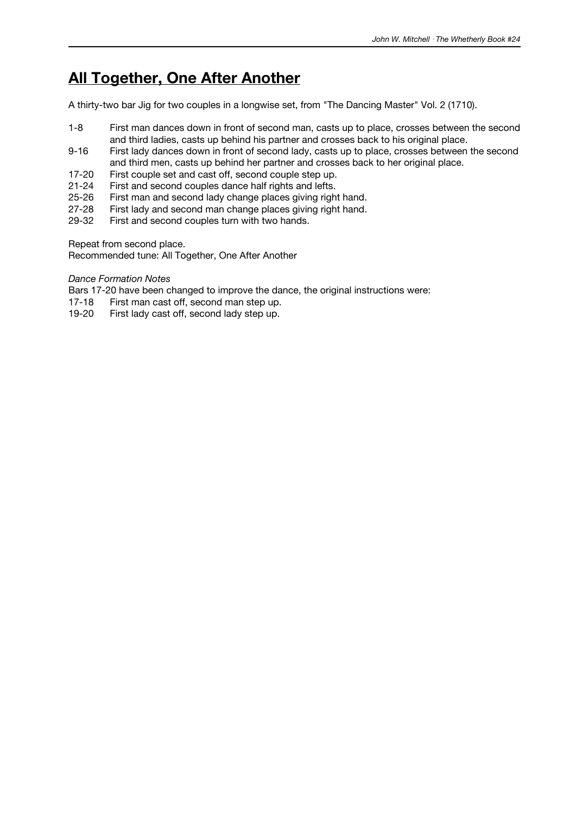### **All Together, One After Another**

A thirty-two bar Jig for two couples in a longwise set, from "The Dancing Master" Vol. 2 (1710).

- 1-8 First man dances down in front of second man, casts up to place, crosses between the second and third ladies, casts up behind his partner and crosses back to his original place.
- 9-16 First lady dances down in front of second lady, casts up to place, crosses between the second and third men, casts up behind her partner and crosses back to her original place.
- 17-20 First couple set and cast off, second couple step up.
- 21-24 First and second couples dance half rights and lefts.
- 25-26 First man and second lady change places giving right hand.
- 27-28 First lady and second man change places giving right hand.<br>29-32 First and second couples turn with two hands.
- First and second couples turn with two hands.

Repeat from second place.

Recommended tune: All Together, One After Another

#### *Dance Formation Notes*

Bars 17-20 have been changed to improve the dance, the original instructions were:

- 17-18 First man cast off, second man step up.
- 19-20 First lady cast off, second lady step up.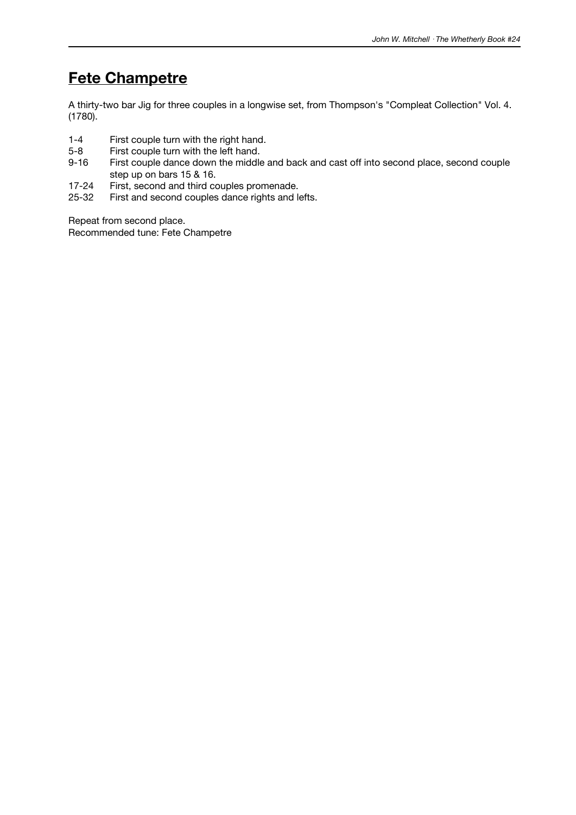### **Fete Champetre**

A thirty-two bar Jig for three couples in a longwise set, from Thompson's "Compleat Collection" Vol. 4. (1780).

- 1-4 First couple turn with the right hand.<br>5-8 First couple turn with the left hand.
- 5-8 First couple turn with the left hand.<br>9-16 First couple dance down the middle
- First couple dance down the middle and back and cast off into second place, second couple step up on bars 15 & 16.
- 17-24 First, second and third couples promenade.
- 25-32 First and second couples dance rights and lefts.

Repeat from second place. Recommended tune: Fete Champetre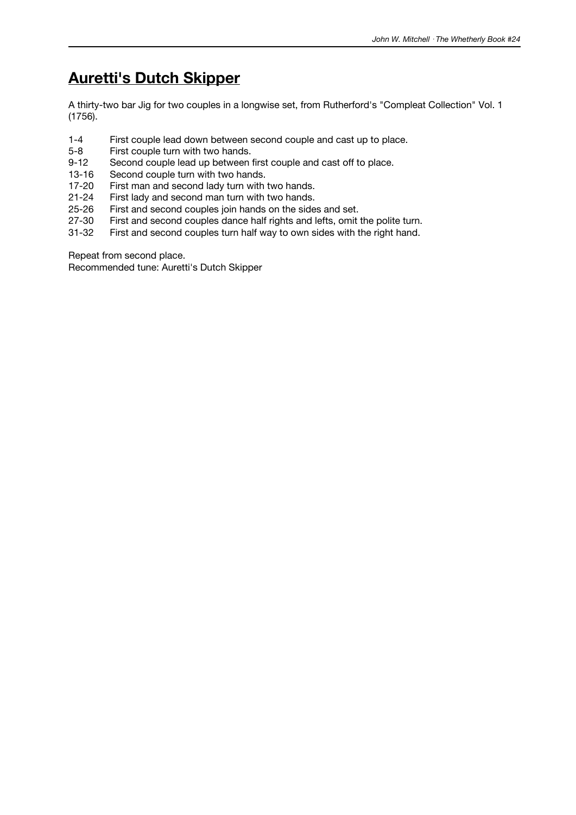# **Auretti's Dutch Skipper**

A thirty-two bar Jig for two couples in a longwise set, from Rutherford's "Compleat Collection" Vol. 1 (1756).

- 1-4 First couple lead down between second couple and cast up to place.<br>5-8 First couple turn with two hands.
- First couple turn with two hands.
- 9-12 Second couple lead up between first couple and cast off to place.
- 13-16 Second couple turn with two hands.<br>17-20 First man and second lady turn with
- First man and second lady turn with two hands.
- 21-24 First lady and second man turn with two hands.
- 25-26 First and second couples join hands on the sides and set.<br>27-30 First and second couples dance half rights and lefts, omit
- 27-30 First and second couples dance half rights and lefts, omit the polite turn.<br>31-32 First and second couples turn half way to own sides with the right hand.
- First and second couples turn half way to own sides with the right hand.

Repeat from second place.

Recommended tune: Auretti's Dutch Skipper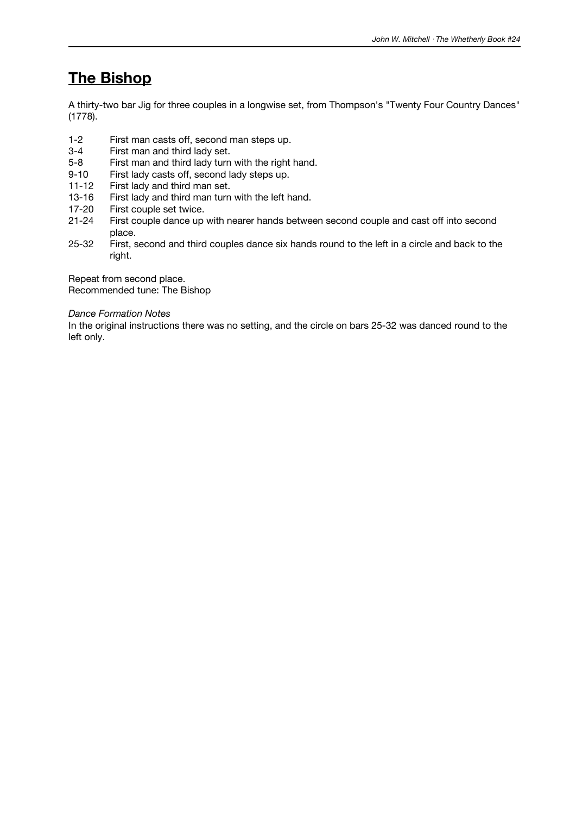### **The Bishop**

A thirty-two bar Jig for three couples in a longwise set, from Thompson's "Twenty Four Country Dances" (1778).

- 1-2 First man casts off, second man steps up.<br>3-4 First man and third lady set.
- First man and third lady set.
- 5-8 First man and third lady turn with the right hand.
- 9-10 First lady casts off, second lady steps up.
- 11-12 First lady and third man set.
- 13-16 First lady and third man turn with the left hand.<br>17-20 First couple set twice.
- 17-20 First couple set twice.<br>21-24 First couple dance up
- First couple dance up with nearer hands between second couple and cast off into second place.
- 25-32 First, second and third couples dance six hands round to the left in a circle and back to the right.

Repeat from second place. Recommended tune: The Bishop

#### *Dance Formation Notes*

In the original instructions there was no setting, and the circle on bars 25-32 was danced round to the left only.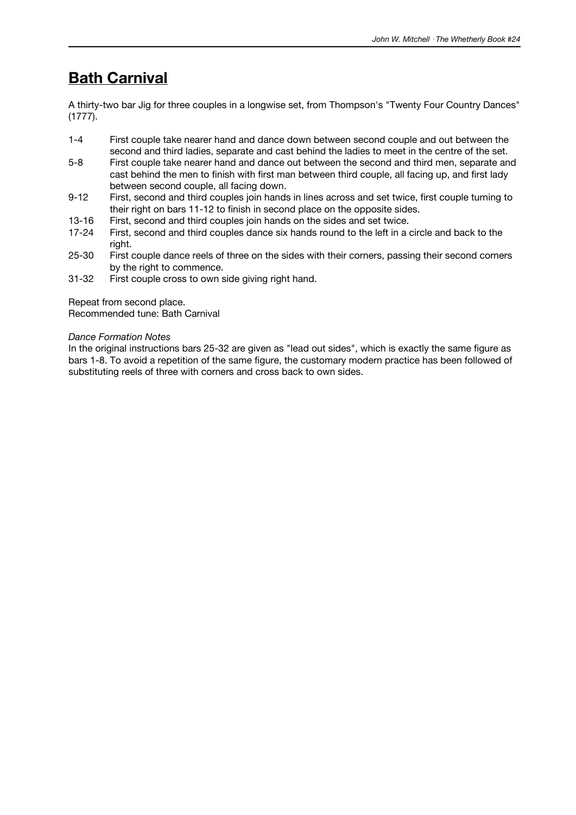# **Bath Carnival**

A thirty-two bar Jig for three couples in a longwise set, from Thompson's "Twenty Four Country Dances" (1777).

- 1-4 First couple take nearer hand and dance down between second couple and out between the second and third ladies, separate and cast behind the ladies to meet in the centre of the set.
- 5-8 First couple take nearer hand and dance out between the second and third men, separate and cast behind the men to finish with first man between third couple, all facing up, and first lady between second couple, all facing down.
- 9-12 First, second and third couples join hands in lines across and set twice, first couple turning to their right on bars 11-12 to finish in second place on the opposite sides.
- 13-16 First, second and third couples join hands on the sides and set twice.<br>17-24 First, second and third couples dance six hands round to the left in a
- First, second and third couples dance six hands round to the left in a circle and back to the right.
- 25-30 First couple dance reels of three on the sides with their corners, passing their second corners by the right to commence.
- 31-32 First couple cross to own side giving right hand.

Repeat from second place.

Recommended tune: Bath Carnival

#### *Dance Formation Notes*

In the original instructions bars 25-32 are given as "lead out sides", which is exactly the same figure as bars 1-8. To avoid a repetition of the same figure, the customary modern practice has been followed of substituting reels of three with corners and cross back to own sides.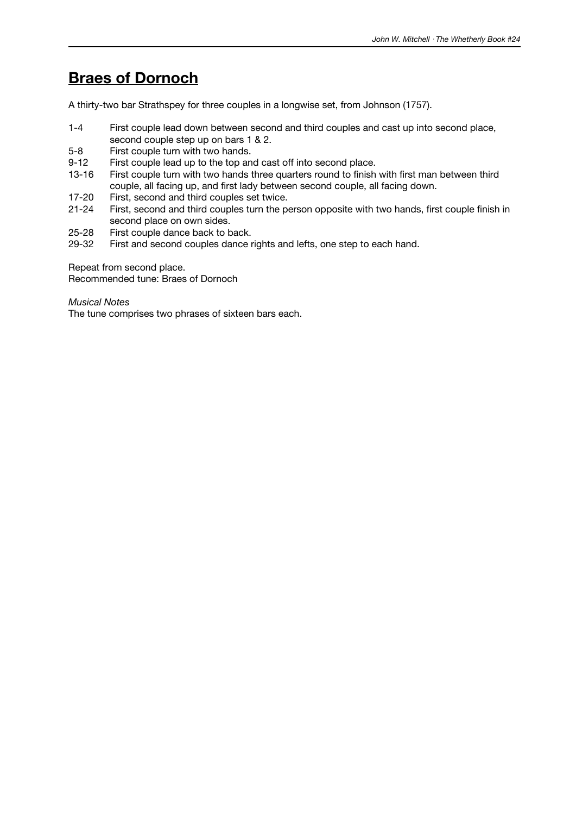### **Braes of Dornoch**

A thirty-two bar Strathspey for three couples in a longwise set, from Johnson (1757).

- 1-4 First couple lead down between second and third couples and cast up into second place, second couple step up on bars 1 & 2.
- 5-8 First couple turn with two hands.
- 9-12 First couple lead up to the top and cast off into second place.
- 13-16 First couple turn with two hands three quarters round to finish with first man between third couple, all facing up, and first lady between second couple, all facing down.
- 17-20 First, second and third couples set twice.
- 21-24 First, second and third couples turn the person opposite with two hands, first couple finish in second place on own sides.
- 25-28 First couple dance back to back.<br>29-32 First and second couples dance r
- First and second couples dance rights and lefts, one step to each hand.

Repeat from second place.

Recommended tune: Braes of Dornoch

*Musical Notes*

The tune comprises two phrases of sixteen bars each.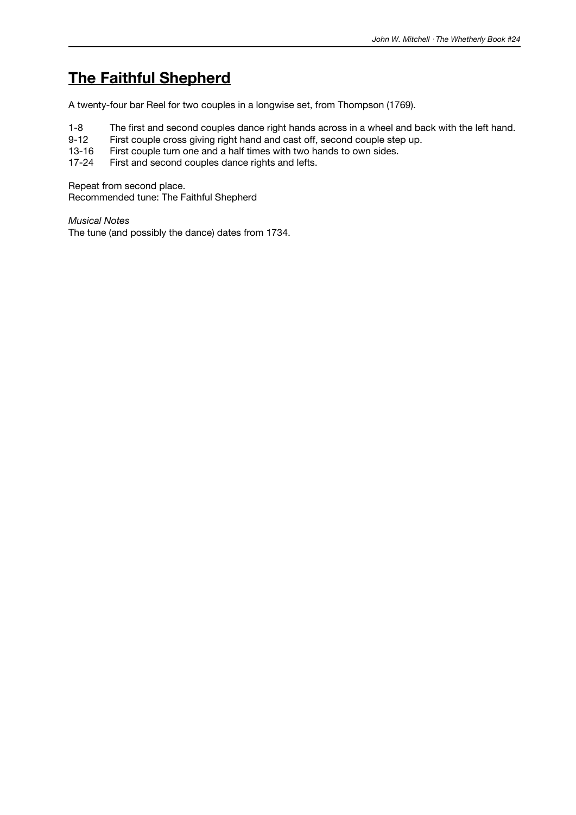### **The Faithful Shepherd**

A twenty-four bar Reel for two couples in a longwise set, from Thompson (1769).

- 1-8 The first and second couples dance right hands across in a wheel and back with the left hand.<br>9-12 First couple cross giving right hand and cast off, second couple step up.
- 9-12 First couple cross giving right hand and cast off, second couple step up.<br>13-16 First couple turn one and a half times with two hands to own sides.
- First couple turn one and a half times with two hands to own sides.
- 17-24 First and second couples dance rights and lefts.

Repeat from second place. Recommended tune: The Faithful Shepherd

*Musical Notes* The tune (and possibly the dance) dates from 1734.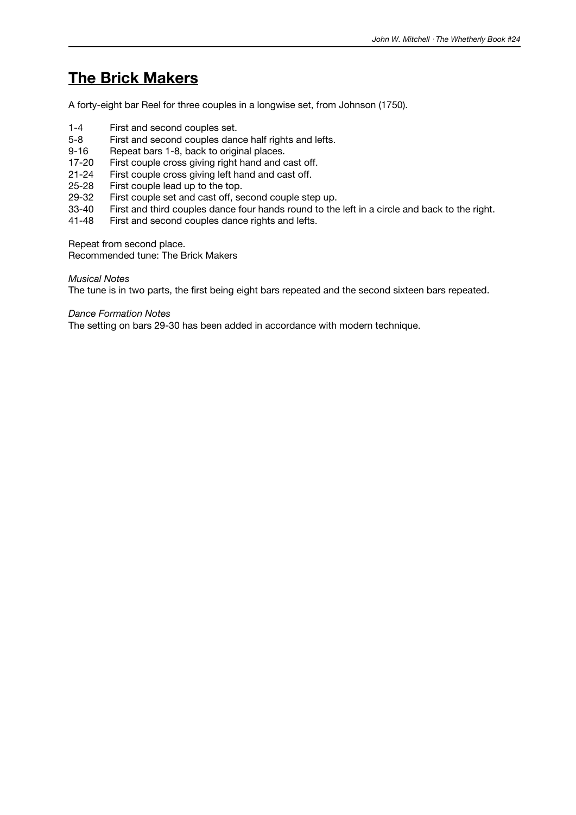### **The Brick Makers**

A forty-eight bar Reel for three couples in a longwise set, from Johnson (1750).

- 1-4 First and second couples set.
- 5-8 First and second couples dance half rights and lefts.
- 9-16 Repeat bars 1-8, back to original places.
- 17-20 First couple cross giving right hand and cast off.
- 21-24 First couple cross giving left hand and cast off.
- 25-28 First couple lead up to the top.
- 29-32 First couple set and cast off, second couple step up.<br>33-40 First and third couples dance four hands round to the
- 33-40 First and third couples dance four hands round to the left in a circle and back to the right.<br>41-48 First and second couples dance rights and lefts.
- First and second couples dance rights and lefts.

Repeat from second place.

Recommended tune: The Brick Makers

#### *Musical Notes*

The tune is in two parts, the first being eight bars repeated and the second sixteen bars repeated.

#### *Dance Formation Notes*

The setting on bars 29-30 has been added in accordance with modern technique.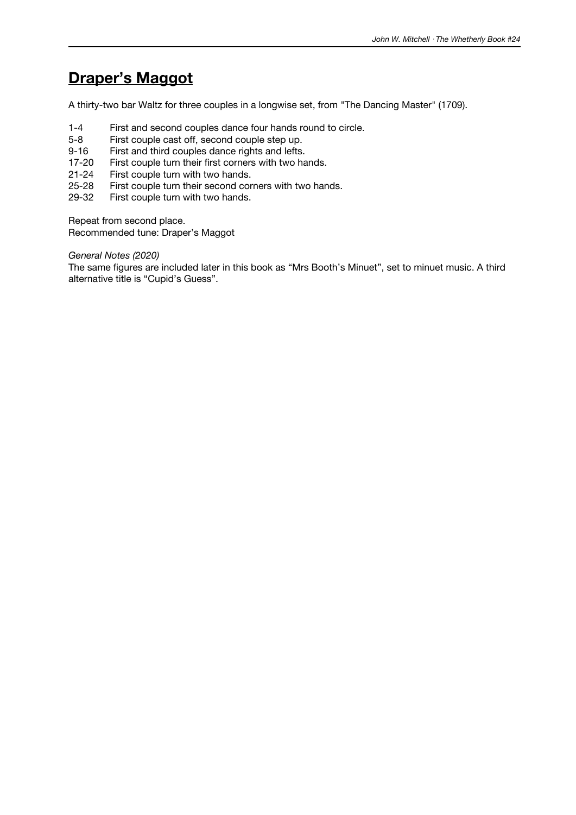### **Draper's Maggot**

A thirty-two bar Waltz for three couples in a longwise set, from "The Dancing Master" (1709).

- 1-4 First and second couples dance four hands round to circle.<br>5-8 First couple cast off. second couple step up.
- First couple cast off, second couple step up.
- 9-16 First and third couples dance rights and lefts.
- 17-20 First couple turn their first corners with two hands.
- 21-24 First couple turn with two hands.
- 25-28 First couple turn their second corners with two hands.
- 29-32 First couple turn with two hands.

Repeat from second place. Recommended tune: Draper's Maggot

*General Notes (2020)*

The same figures are included later in this book as "Mrs Booth's Minuet", set to minuet music. A third alternative title is "Cupid's Guess".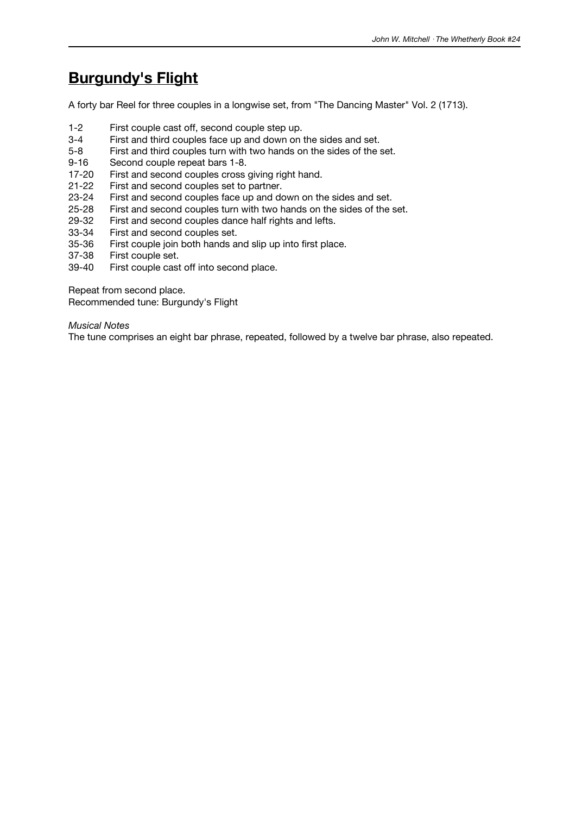### **Burgundy's Flight**

A forty bar Reel for three couples in a longwise set, from "The Dancing Master" Vol. 2 (1713).

- 1-2 First couple cast off, second couple step up.
- 3-4 First and third couples face up and down on the sides and set.<br>5-8 First and third couples turn with two hands on the sides of the s
- First and third couples turn with two hands on the sides of the set.
- 9-16 Second couple repeat bars 1-8.
- 17-20 First and second couples cross giving right hand.
- 21-22 First and second couples set to partner.
- 23-24 First and second couples face up and down on the sides and set.
- 25-28 First and second couples turn with two hands on the sides of the set.<br>29-32 First and second couples dance half rights and lefts.
- 29-32 First and second couples dance half rights and lefts.<br>33-34 First and second couples set.
- 33-34 First and second couples set.<br>35-36 First couple join both hands a
- First couple join both hands and slip up into first place.
- 37-38 First couple set.
- First couple cast off into second place.

Repeat from second place.

Recommended tune: Burgundy's Flight

*Musical Notes*

The tune comprises an eight bar phrase, repeated, followed by a twelve bar phrase, also repeated.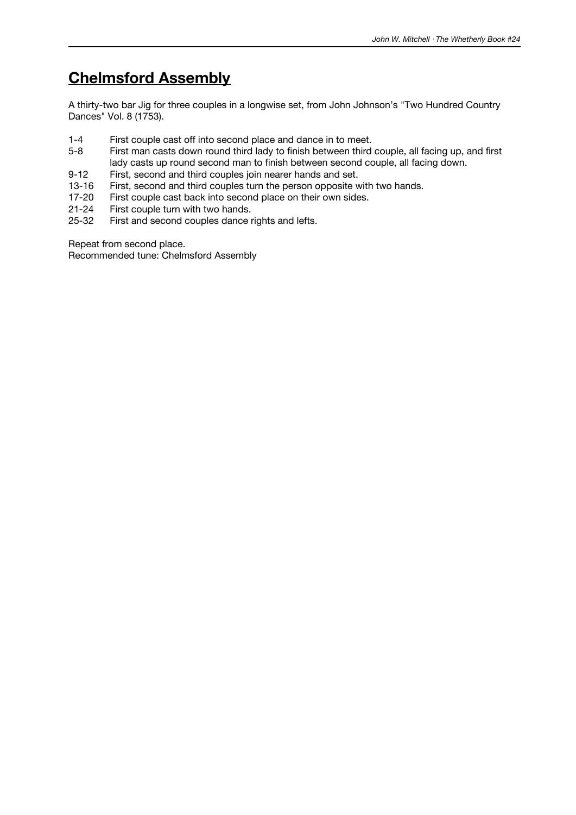### **Chelmsford Assembly**

A thirty-two bar Jig for three couples in a longwise set, from John Johnson's "Two Hundred Country Dances" Vol. 8 (1753).

- 1-4 First couple cast off into second place and dance in to meet.<br>5-8 First man casts down round third lady to finish between third
- First man casts down round third lady to finish between third couple, all facing up, and first lady casts up round second man to finish between second couple, all facing down.
- 9-12 First, second and third couples join nearer hands and set.
- 13-16 First, second and third couples turn the person opposite with two hands.
- 17-20 First couple cast back into second place on their own sides.
- 21-24 First couple turn with two hands.<br>25-32 First and second couples dance i
- First and second couples dance rights and lefts.

Repeat from second place.

Recommended tune: Chelmsford Assembly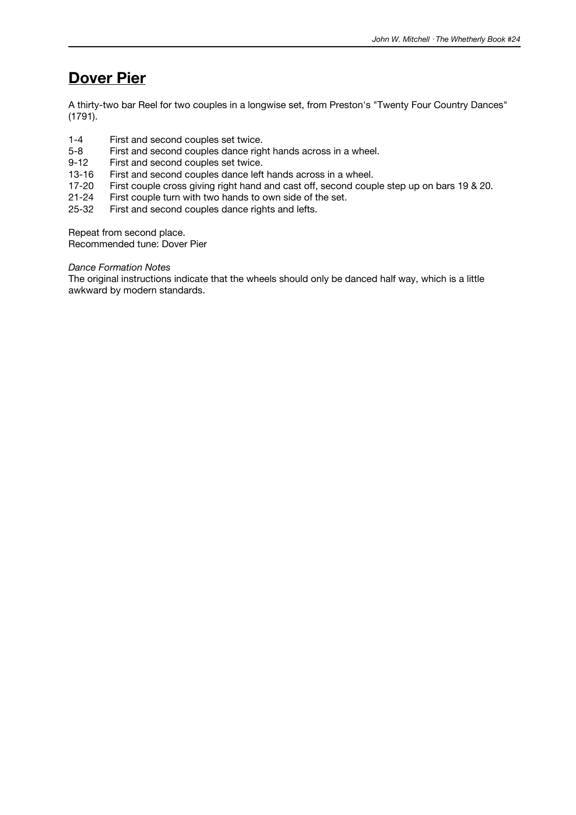### **Dover Pier**

A thirty-two bar Reel for two couples in a longwise set, from Preston's "Twenty Four Country Dances" (1791).

- 1-4 First and second couples set twice.<br>5-8 First and second couples dance right
- First and second couples dance right hands across in a wheel.
- 9-12 First and second couples set twice.
- 13-16 First and second couples dance left hands across in a wheel.
- 17-20 First couple cross giving right hand and cast off, second couple step up on bars 19 & 20.
- 21-24 First couple turn with two hands to own side of the set.<br>25-32 First and second couples dance rights and lefts.
- First and second couples dance rights and lefts.

Repeat from second place.

Recommended tune: Dover Pier

#### *Dance Formation Notes*

The original instructions indicate that the wheels should only be danced half way, which is a little awkward by modern standards.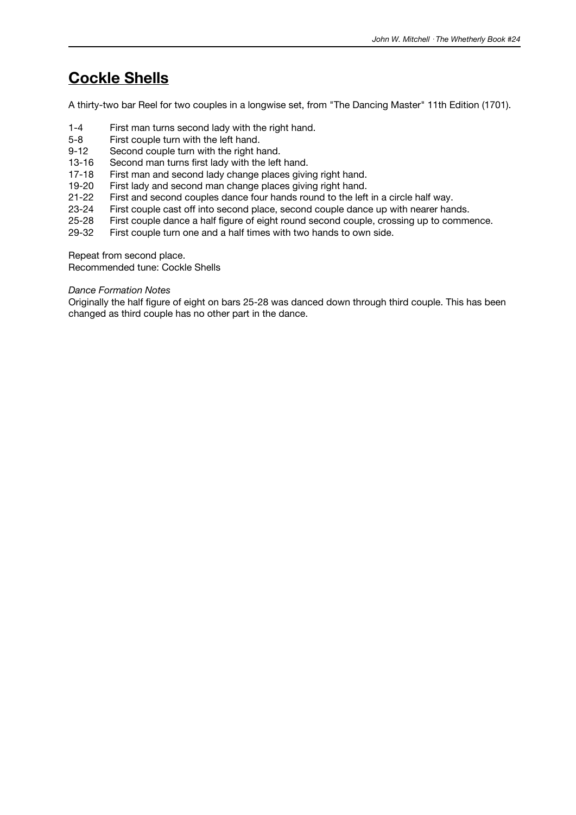### **Cockle Shells**

A thirty-two bar Reel for two couples in a longwise set, from "The Dancing Master" 11th Edition (1701).

- 1-4 First man turns second lady with the right hand.
- 5-8 First couple turn with the left hand.<br>9-12 Second couple turn with the right h
- Second couple turn with the right hand.
- 13-16 Second man turns first lady with the left hand.
- 17-18 First man and second lady change places giving right hand.
- 19-20 First lady and second man change places giving right hand.
- 21-22 First and second couples dance four hands round to the left in a circle half way.
- 23-24 First couple cast off into second place, second couple dance up with nearer hands.<br>25-28 First couple dance a half figure of eight round second couple, crossing up to comme
- 25-28 First couple dance a half figure of eight round second couple, crossing up to commence.<br>29-32 First couple turn one and a half times with two hands to own side.
- First couple turn one and a half times with two hands to own side.

Repeat from second place.

Recommended tune: Cockle Shells

#### *Dance Formation Notes*

Originally the half figure of eight on bars 25-28 was danced down through third couple. This has been changed as third couple has no other part in the dance.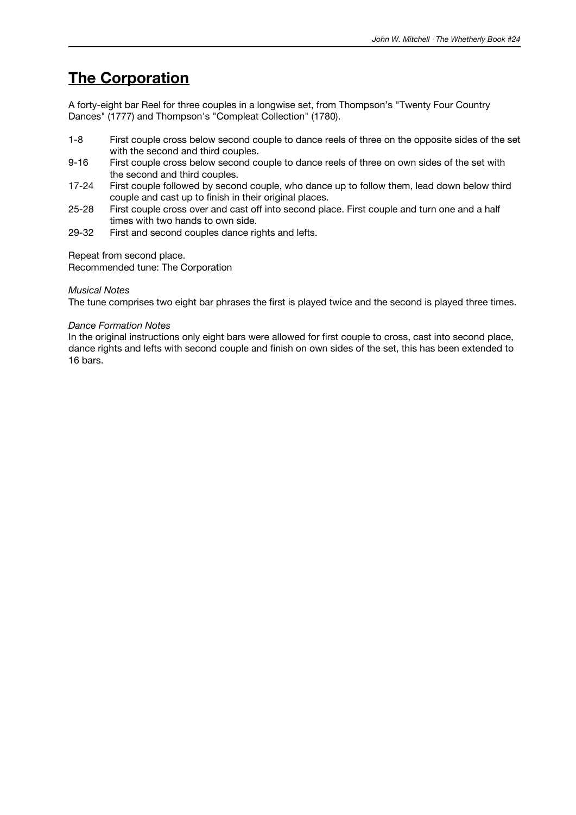### **The Corporation**

A forty-eight bar Reel for three couples in a longwise set, from Thompson's "Twenty Four Country Dances" (1777) and Thompson's "Compleat Collection" (1780).

- 1-8 First couple cross below second couple to dance reels of three on the opposite sides of the set with the second and third couples.
- 9-16 First couple cross below second couple to dance reels of three on own sides of the set with the second and third couples.
- 17-24 First couple followed by second couple, who dance up to follow them, lead down below third couple and cast up to finish in their original places.
- 25-28 First couple cross over and cast off into second place. First couple and turn one and a half times with two hands to own side.
- 29-32 First and second couples dance rights and lefts.

Repeat from second place.

Recommended tune: The Corporation

#### *Musical Notes*

The tune comprises two eight bar phrases the first is played twice and the second is played three times.

#### *Dance Formation Notes*

In the original instructions only eight bars were allowed for first couple to cross, cast into second place, dance rights and lefts with second couple and finish on own sides of the set, this has been extended to 16 bars.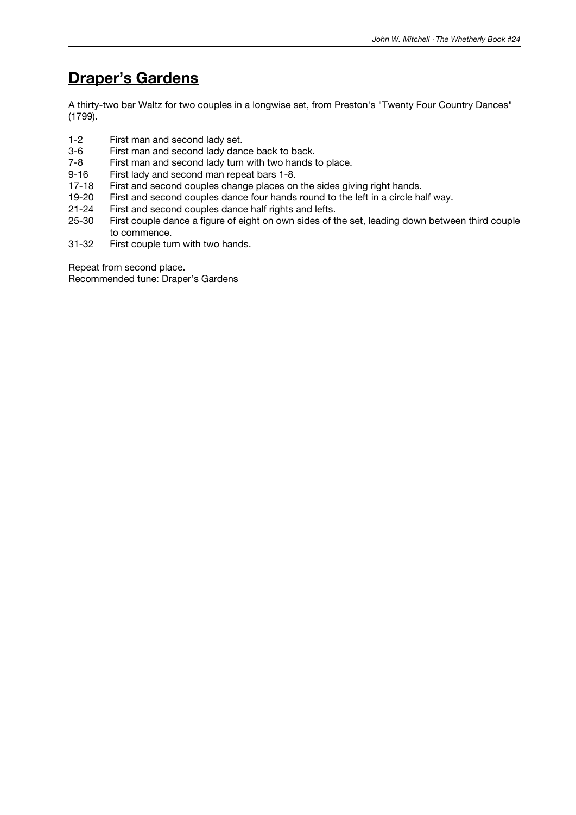### **Draper's Gardens**

A thirty-two bar Waltz for two couples in a longwise set, from Preston's "Twenty Four Country Dances" (1799).

- 1-2 First man and second lady set.<br>3-6 First man and second lady dan
- First man and second lady dance back to back.
- 7-8 First man and second lady turn with two hands to place.
- 9-16 First lady and second man repeat bars 1-8.<br>17-18 First and second couples change places on
- First and second couples change places on the sides giving right hands.
- 19-20 First and second couples dance four hands round to the left in a circle half way.<br>21-24 First and second couples dance half rights and lefts.
- 21-24 First and second couples dance half rights and lefts.<br>25-30 First couple dance a figure of eight on own sides of t
- First couple dance a figure of eight on own sides of the set, leading down between third couple to commence.
- 31-32 First couple turn with two hands.

Repeat from second place.

Recommended tune: Draper's Gardens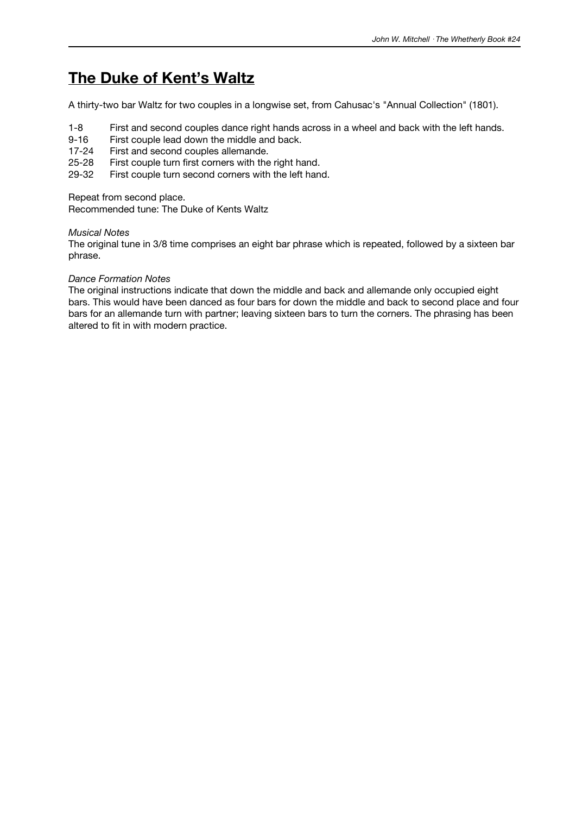### **The Duke of Kent's Waltz**

A thirty-two bar Waltz for two couples in a longwise set, from Cahusac's "Annual Collection" (1801).

- 1-8 First and second couples dance right hands across in a wheel and back with the left hands.
- 9-16 First couple lead down the middle and back.<br>17-24 First and second couples allemande.
- First and second couples allemande.
- 25-28 First couple turn first corners with the right hand.
- 29-32 First couple turn second corners with the left hand.

Repeat from second place.

Recommended tune: The Duke of Kents Waltz

#### *Musical Notes*

The original tune in 3/8 time comprises an eight bar phrase which is repeated, followed by a sixteen bar phrase.

#### *Dance Formation Notes*

The original instructions indicate that down the middle and back and allemande only occupied eight bars. This would have been danced as four bars for down the middle and back to second place and four bars for an allemande turn with partner; leaving sixteen bars to turn the corners. The phrasing has been altered to fit in with modern practice.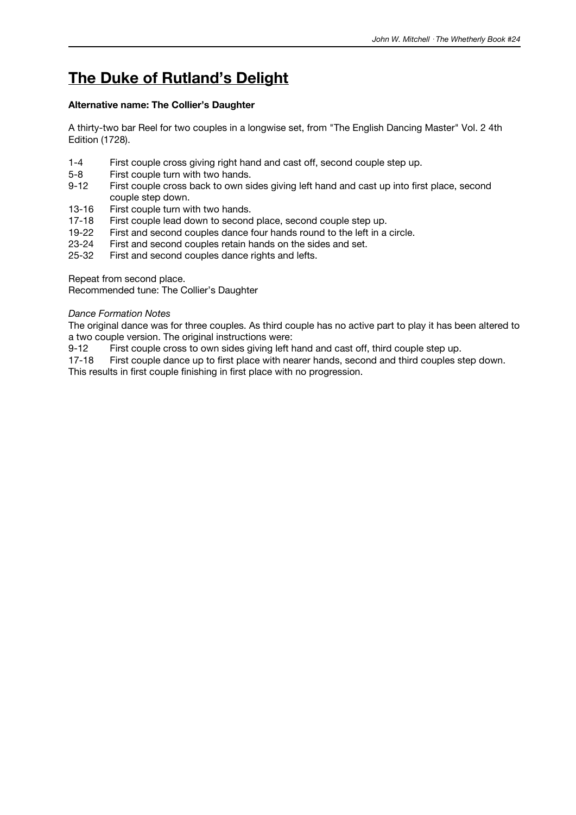# **The Duke of Rutland's Delight**

#### **Alternative name: The Collier's Daughter**

A thirty-two bar Reel for two couples in a longwise set, from "The English Dancing Master" Vol. 2 4th Edition (1728).

- 1-4 First couple cross giving right hand and cast off, second couple step up.
- 5-8 First couple turn with two hands.
- 9-12 First couple cross back to own sides giving left hand and cast up into first place, second couple step down.
- 13-16 First couple turn with two hands.<br>17-18 First couple lead down to second
- 17-18 First couple lead down to second place, second couple step up.<br>19-22 First and second couples dance four hands round to the left in a
- 19-22 First and second couples dance four hands round to the left in a circle.<br>23-24 First and second couples retain hands on the sides and set.
- First and second couples retain hands on the sides and set.
- 25-32 First and second couples dance rights and lefts.

Repeat from second place.

Recommended tune: The Collier's Daughter

#### *Dance Formation Notes*

The original dance was for three couples. As third couple has no active part to play it has been altered to a two couple version. The original instructions were:

9-12 First couple cross to own sides giving left hand and cast off, third couple step up.<br>17-18 First couple dance up to first place with nearer hands, second and third couples s

First couple dance up to first place with nearer hands, second and third couples step down.

This results in first couple finishing in first place with no progression.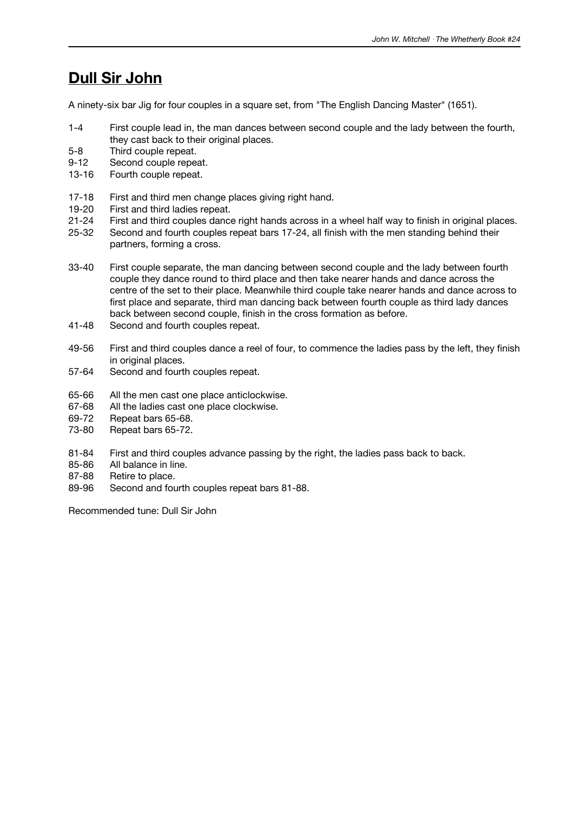### **Dull Sir John**

A ninety-six bar Jig for four couples in a square set, from "The English Dancing Master" (1651).

- 1-4 First couple lead in, the man dances between second couple and the lady between the fourth, they cast back to their original places.
- 5-8 Third couple repeat.
- 9-12 Second couple repeat.
- 13-16 Fourth couple repeat.
- 17-18 First and third men change places giving right hand.
- 19-20 First and third ladies repeat.<br>21-24 First and third couples danc
- 21-24 First and third couples dance right hands across in a wheel half way to finish in original places.<br>25-32 Second and fourth couples repeat bars 17-24, all finish with the men standing behind their
- Second and fourth couples repeat bars 17-24, all finish with the men standing behind their partners, forming a cross.
- 33-40 First couple separate, the man dancing between second couple and the lady between fourth couple they dance round to third place and then take nearer hands and dance across the centre of the set to their place. Meanwhile third couple take nearer hands and dance across to first place and separate, third man dancing back between fourth couple as third lady dances back between second couple, finish in the cross formation as before.
- 41-48 Second and fourth couples repeat.
- 49-56 First and third couples dance a reel of four, to commence the ladies pass by the left, they finish in original places.
- 57-64 Second and fourth couples repeat.
- 65-66 All the men cast one place anticlockwise.
- 67-68 All the ladies cast one place clockwise.
- 69-72 Repeat bars 65-68.
- 73-80 Repeat bars 65-72.
- 81-84 First and third couples advance passing by the right, the ladies pass back to back.
- 85-86 All balance in line.
- 87-88 Retire to place.
- 89-96 Second and fourth couples repeat bars 81-88.

Recommended tune: Dull Sir John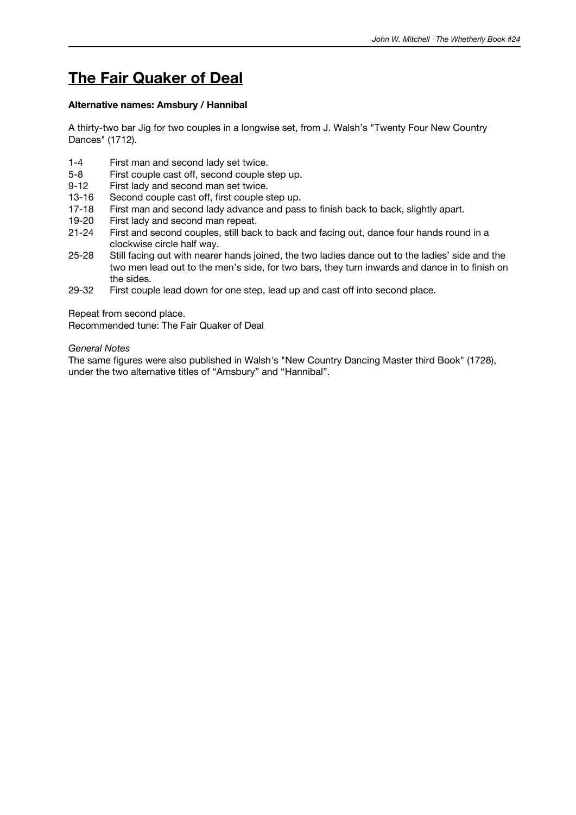### **The Fair Quaker of Deal**

#### **Alternative names: Amsbury / Hannibal**

A thirty-two bar Jig for two couples in a longwise set, from J. Walsh's "Twenty Four New Country Dances" (1712).

- 1-4 First man and second lady set twice.
- 5-8 First couple cast off, second couple step up.
- 9-12 First lady and second man set twice.
- 13-16 Second couple cast off, first couple step up.
- 17-18 First man and second lady advance and pass to finish back to back, slightly apart.<br>19-20 First lady and second man repeat.
- 19-20 First lady and second man repeat.<br>21-24 First and second couples, still back
- First and second couples, still back to back and facing out, dance four hands round in a clockwise circle half way.
- 25-28 Still facing out with nearer hands joined, the two ladies dance out to the ladies' side and the two men lead out to the men's side, for two bars, they turn inwards and dance in to finish on the sides.
- 29-32 First couple lead down for one step, lead up and cast off into second place.

Repeat from second place.

Recommended tune: The Fair Quaker of Deal

*General Notes*

The same figures were also published in Walsh's "New Country Dancing Master third Book" (1728), under the two alternative titles of "Amsbury" and "Hannibal".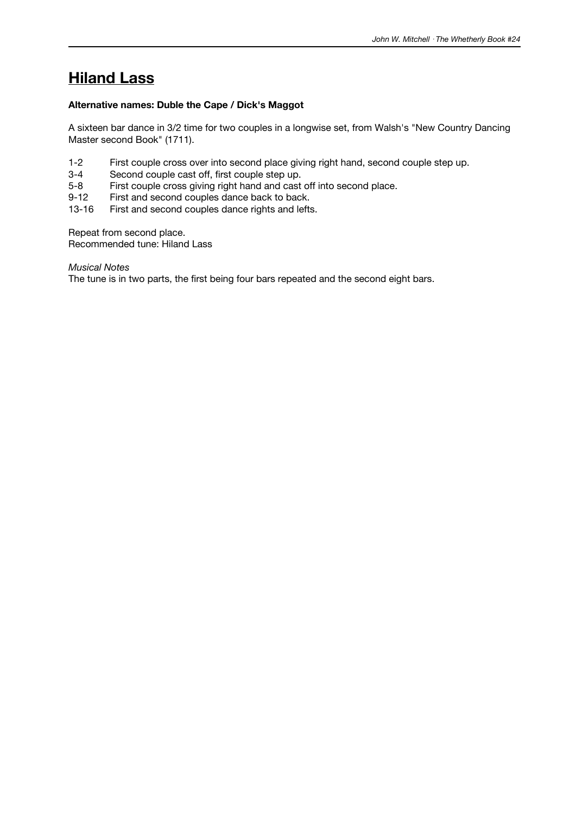# **Hiland Lass**

#### **Alternative names: Duble the Cape / Dick's Maggot**

A sixteen bar dance in 3/2 time for two couples in a longwise set, from Walsh's "New Country Dancing Master second Book" (1711).

- 1-2 First couple cross over into second place giving right hand, second couple step up.
- 3-4 Second couple cast off, first couple step up.
- 5-8 First couple cross giving right hand and cast off into second place.
- 9-12 First and second couples dance back to back.
- 13-16 First and second couples dance rights and lefts.

Repeat from second place.

Recommended tune: Hiland Lass

*Musical Notes*

The tune is in two parts, the first being four bars repeated and the second eight bars.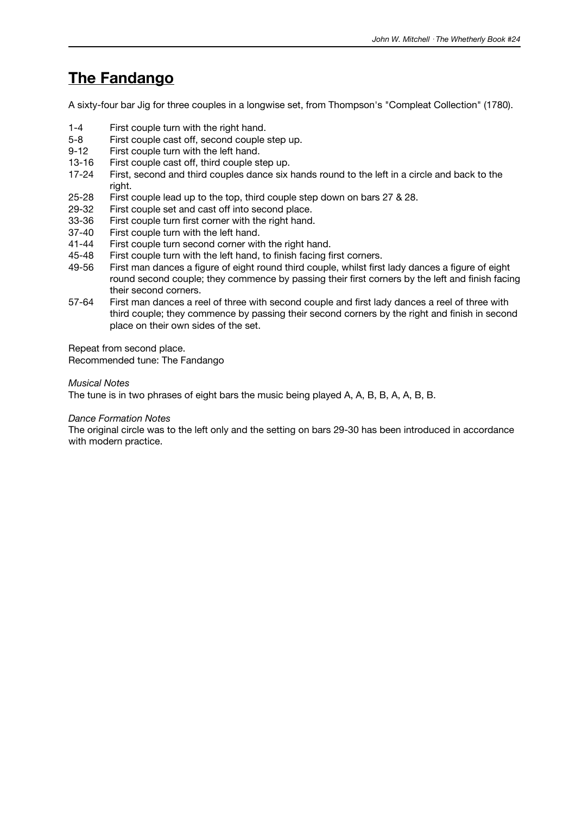### **The Fandango**

A sixty-four bar Jig for three couples in a longwise set, from Thompson's "Compleat Collection" (1780).

- 1-4 First couple turn with the right hand.
- 5-8 First couple cast off, second couple step up.
- 9-12 First couple turn with the left hand.
- 13-16 First couple cast off, third couple step up.
- 17-24 First, second and third couples dance six hands round to the left in a circle and back to the right.
- 25-28 First couple lead up to the top, third couple step down on bars 27 & 28.
- 29-32 First couple set and cast off into second place.<br>33-36 First couple turn first corner with the right hand
- 33-36 First couple turn first corner with the right hand.<br>37-40 First couple turn with the left hand.
- 37-40 First couple turn with the left hand.<br>41-44 First couple turn second corner wit
- First couple turn second corner with the right hand.
- 45-48 First couple turn with the left hand, to finish facing first corners.
- 49-56 First man dances a figure of eight round third couple, whilst first lady dances a figure of eight round second couple; they commence by passing their first corners by the left and finish facing their second corners.
- 57-64 First man dances a reel of three with second couple and first lady dances a reel of three with third couple; they commence by passing their second corners by the right and finish in second place on their own sides of the set.

Repeat from second place. Recommended tune: The Fandango

#### *Musical Notes*

The tune is in two phrases of eight bars the music being played A, A, B, B, A, A, B, B.

#### *Dance Formation Notes*

The original circle was to the left only and the setting on bars 29-30 has been introduced in accordance with modern practice.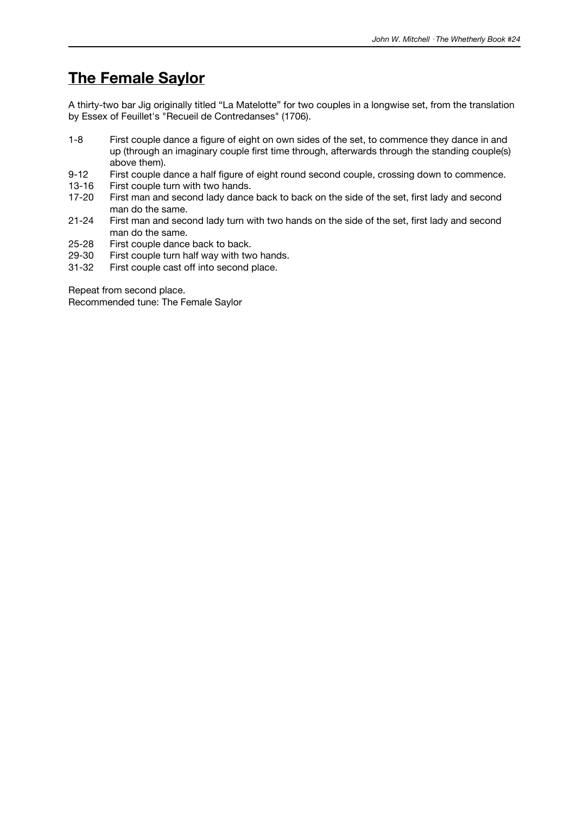### **The Female Saylor**

A thirty-two bar Jig originally titled "La Matelotte" for two couples in a longwise set, from the translation by Essex of Feuillet's "Recueil de Contredanses" (1706).

- 1-8 First couple dance a figure of eight on own sides of the set, to commence they dance in and up (through an imaginary couple first time through, afterwards through the standing couple(s) above them).
- 9-12 First couple dance a half figure of eight round second couple, crossing down to commence.
- 13-16 First couple turn with two hands.
- 17-20 First man and second lady dance back to back on the side of the set, first lady and second man do the same.
- 21-24 First man and second lady turn with two hands on the side of the set, first lady and second man do the same.
- 25-28 First couple dance back to back.
- 29-30 First couple turn half way with two hands.<br>31-32 First couple cast off into second place.
- First couple cast off into second place.

Repeat from second place.

Recommended tune: The Female Saylor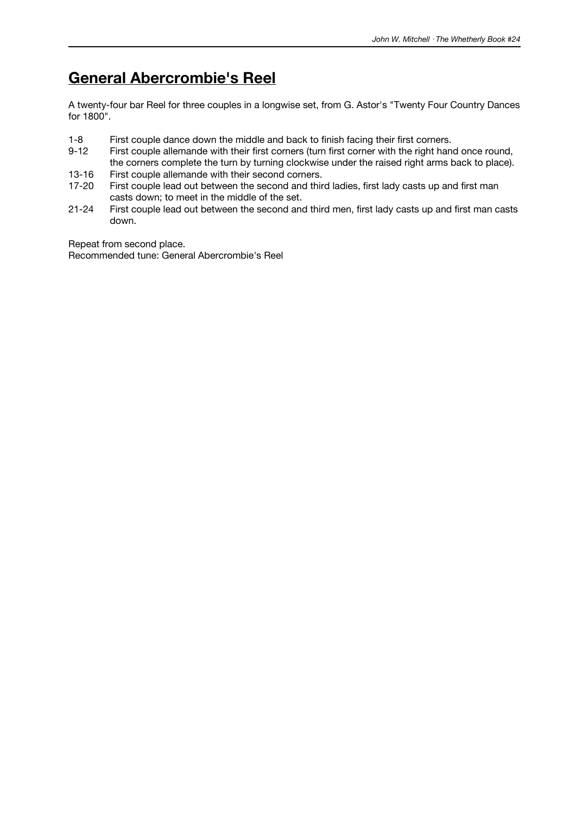# **General Abercrombie's Reel**

A twenty-four bar Reel for three couples in a longwise set, from G. Astor's "Twenty Four Country Dances for 1800".

- 1-8 First couple dance down the middle and back to finish facing their first corners.<br>9-12 First couple allemande with their first corners (turn first corner with the right han
- First couple allemande with their first corners (turn first corner with the right hand once round, the corners complete the turn by turning clockwise under the raised right arms back to place).
- 13-16 First couple allemande with their second corners.
- 17-20 First couple lead out between the second and third ladies, first lady casts up and first man casts down; to meet in the middle of the set.
- 21-24 First couple lead out between the second and third men, first lady casts up and first man casts down.

Repeat from second place.

Recommended tune: General Abercrombie's Reel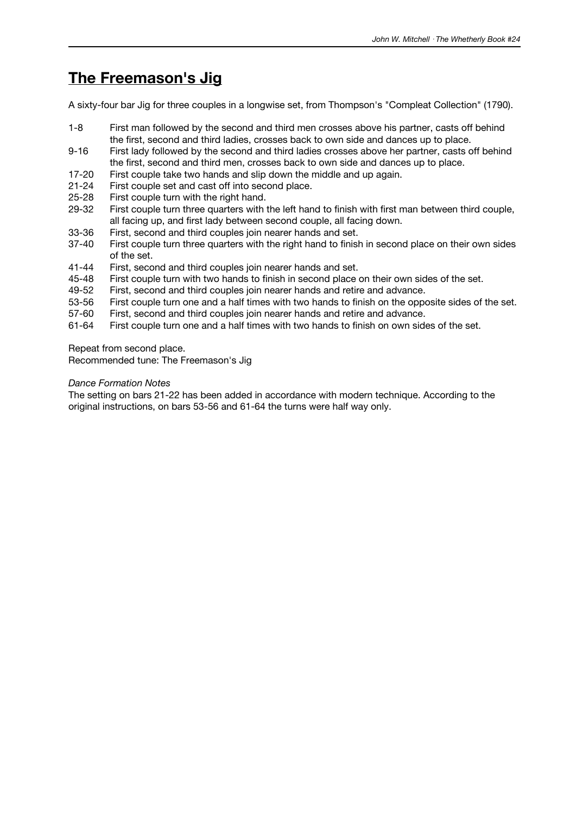# **The Freemason's Jig**

A sixty-four bar Jig for three couples in a longwise set, from Thompson's "Compleat Collection" (1790).

- 1-8 First man followed by the second and third men crosses above his partner, casts off behind the first, second and third ladies, crosses back to own side and dances up to place.
- 9-16 First lady followed by the second and third ladies crosses above her partner, casts off behind the first, second and third men, crosses back to own side and dances up to place.
- 17-20 First couple take two hands and slip down the middle and up again.
- 21-24 First couple set and cast off into second place.
- 25-28 First couple turn with the right hand.
- 29-32 First couple turn three quarters with the left hand to finish with first man between third couple, all facing up, and first lady between second couple, all facing down.
- 33-36 First, second and third couples join nearer hands and set.<br>37-40 First couple turn three quarters with the right hand to finish
- First couple turn three quarters with the right hand to finish in second place on their own sides of the set.
- 41-44 First, second and third couples join nearer hands and set.
- 45-48 First couple turn with two hands to finish in second place on their own sides of the set.
- 49-52 First, second and third couples join nearer hands and retire and advance.
- 53-56 First couple turn one and a half times with two hands to finish on the opposite sides of the set.
- 57-60 First, second and third couples join nearer hands and retire and advance.
- 61-64 First couple turn one and a half times with two hands to finish on own sides of the set.

Repeat from second place.

Recommended tune: The Freemason's Jig

#### *Dance Formation Notes*

The setting on bars 21-22 has been added in accordance with modern technique. According to the original instructions, on bars 53-56 and 61-64 the turns were half way only.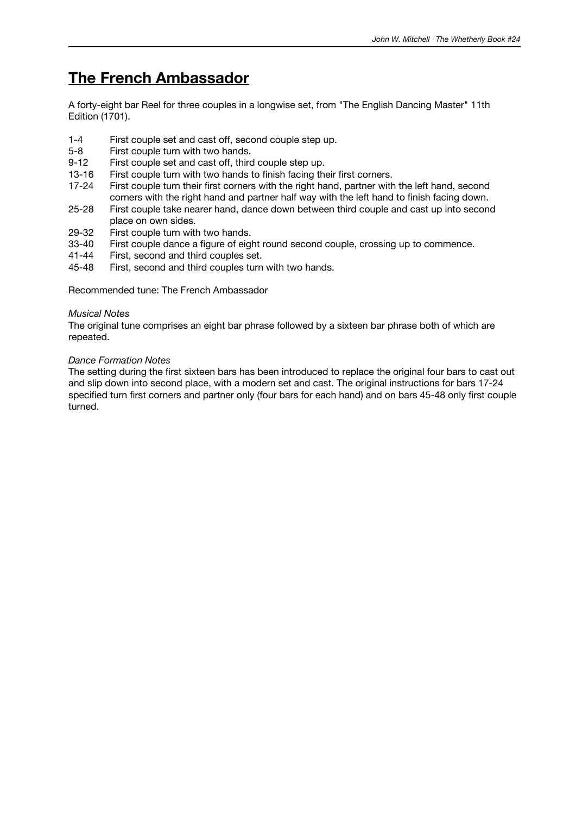### **The French Ambassador**

A forty-eight bar Reel for three couples in a longwise set, from "The English Dancing Master" 11th Edition (1701).

- 1-4 First couple set and cast off, second couple step up.<br>5-8 First couple turn with two hands.
- First couple turn with two hands.
- 9-12 First couple set and cast off, third couple step up.
- 13-16 First couple turn with two hands to finish facing their first corners.
- 17-24 First couple turn their first corners with the right hand, partner with the left hand, second corners with the right hand and partner half way with the left hand to finish facing down.
- 25-28 First couple take nearer hand, dance down between third couple and cast up into second place on own sides.
- 29-32 First couple turn with two hands.<br>33-40 First couple dance a figure of eight
- First couple dance a figure of eight round second couple, crossing up to commence.
- 41-44 First, second and third couples set.
- 45-48 First, second and third couples turn with two hands.

Recommended tune: The French Ambassador

#### *Musical Notes*

The original tune comprises an eight bar phrase followed by a sixteen bar phrase both of which are repeated.

#### *Dance Formation Notes*

The setting during the first sixteen bars has been introduced to replace the original four bars to cast out and slip down into second place, with a modern set and cast. The original instructions for bars 17-24 specified turn first corners and partner only (four bars for each hand) and on bars 45-48 only first couple turned.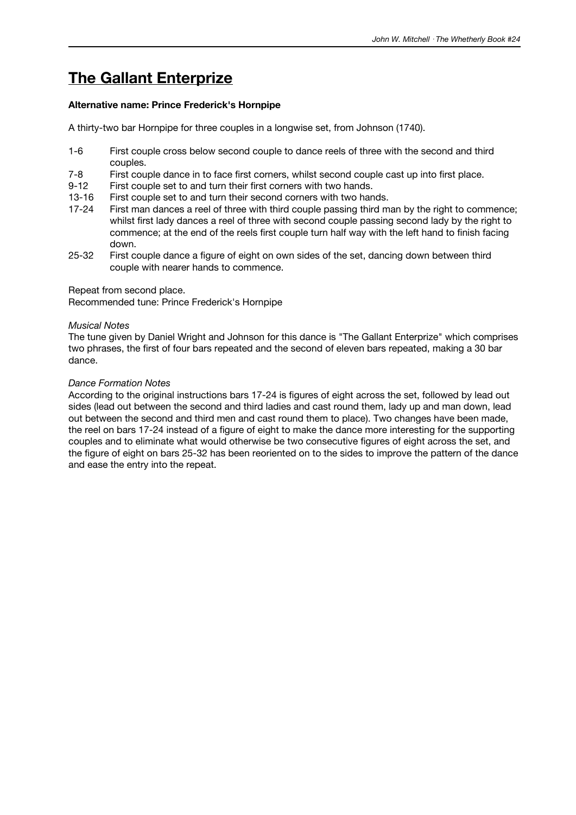# **The Gallant Enterprize**

#### **Alternative name: Prince Frederick's Hornpipe**

A thirty-two bar Hornpipe for three couples in a longwise set, from Johnson (1740).

- 1-6 First couple cross below second couple to dance reels of three with the second and third couples.
- 7-8 First couple dance in to face first corners, whilst second couple cast up into first place.
- 9-12 First couple set to and turn their first corners with two hands.
- 13-16 First couple set to and turn their second corners with two hands.
- 17-24 First man dances a reel of three with third couple passing third man by the right to commence; whilst first lady dances a reel of three with second couple passing second lady by the right to commence; at the end of the reels first couple turn half way with the left hand to finish facing down.
- 25-32 First couple dance a figure of eight on own sides of the set, dancing down between third couple with nearer hands to commence.

Repeat from second place.

Recommended tune: Prince Frederick's Hornpipe

#### *Musical Notes*

The tune given by Daniel Wright and Johnson for this dance is "The Gallant Enterprize" which comprises two phrases, the first of four bars repeated and the second of eleven bars repeated, making a 30 bar dance.

#### *Dance Formation Notes*

According to the original instructions bars 17-24 is figures of eight across the set, followed by lead out sides (lead out between the second and third ladies and cast round them, lady up and man down, lead out between the second and third men and cast round them to place). Two changes have been made, the reel on bars 17-24 instead of a figure of eight to make the dance more interesting for the supporting couples and to eliminate what would otherwise be two consecutive figures of eight across the set, and the figure of eight on bars 25-32 has been reoriented on to the sides to improve the pattern of the dance and ease the entry into the repeat.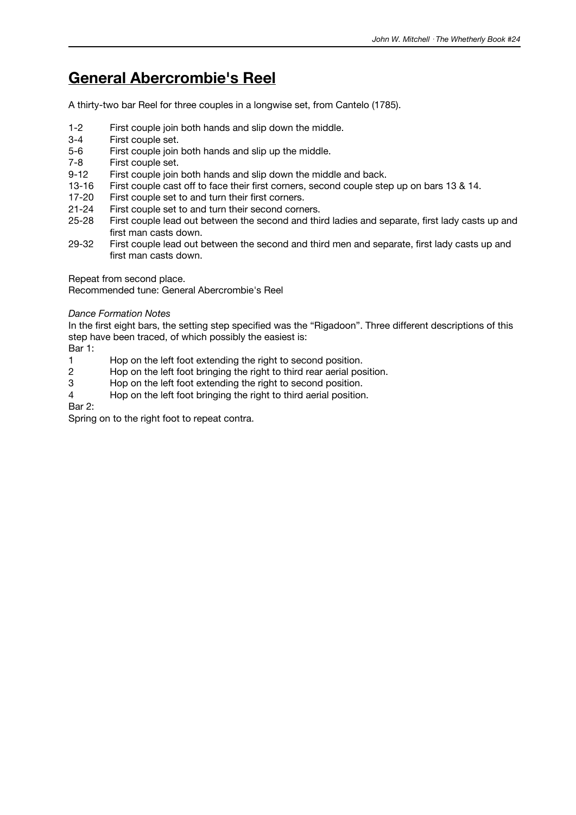### **General Abercrombie's Reel**

A thirty-two bar Reel for three couples in a longwise set, from Cantelo (1785).

- 1-2 First couple join both hands and slip down the middle.
- 3-4 First couple set.<br>5-6 First couple join
- First couple join both hands and slip up the middle.
- 7-8 First couple set.
- 9-12 First couple join both hands and slip down the middle and back.
- 13-16 First couple cast off to face their first corners, second couple step up on bars 13 & 14.
- 17-20 First couple set to and turn their first corners.
- 21-24 First couple set to and turn their second corners.
- 25-28 First couple lead out between the second and third ladies and separate, first lady casts up and first man casts down.
- 29-32 First couple lead out between the second and third men and separate, first lady casts up and first man casts down.

Repeat from second place.

Recommended tune: General Abercrombie's Reel

*Dance Formation Notes*

In the first eight bars, the setting step specified was the "Rigadoon". Three different descriptions of this step have been traced, of which possibly the easiest is:

Bar 1:

- 1 Hop on the left foot extending the right to second position.<br>2 Hop on the left foot bringing the right to third rear aerial pos
- Hop on the left foot bringing the right to third rear aerial position.
- 3 Hop on the left foot extending the right to second position.
- 4 Hop on the left foot bringing the right to third aerial position.

Bar 2:

Spring on to the right foot to repeat contra.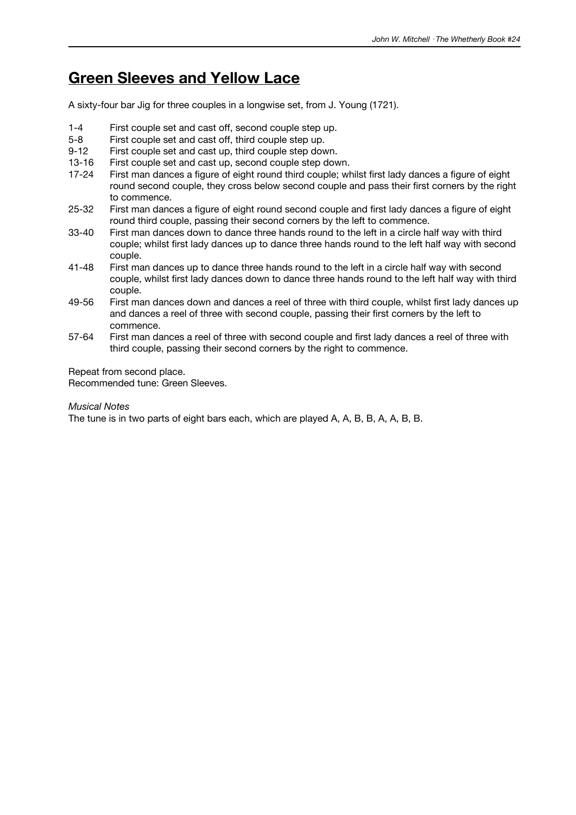### **Green Sleeves and Yellow Lace**

A sixty-four bar Jig for three couples in a longwise set, from J. Young (1721).

- 1-4 First couple set and cast off, second couple step up.
- 5-8 First couple set and cast off, third couple step up.
- 9-12 First couple set and cast up, third couple step down.
- 13-16 First couple set and cast up, second couple step down.
- 17-24 First man dances a figure of eight round third couple; whilst first lady dances a figure of eight round second couple, they cross below second couple and pass their first corners by the right to commence.
- 25-32 First man dances a figure of eight round second couple and first lady dances a figure of eight round third couple, passing their second corners by the left to commence.
- 33-40 First man dances down to dance three hands round to the left in a circle half way with third couple; whilst first lady dances up to dance three hands round to the left half way with second couple.
- 41-48 First man dances up to dance three hands round to the left in a circle half way with second couple, whilst first lady dances down to dance three hands round to the left half way with third couple.
- 49-56 First man dances down and dances a reel of three with third couple, whilst first lady dances up and dances a reel of three with second couple, passing their first corners by the left to commence.
- 57-64 First man dances a reel of three with second couple and first lady dances a reel of three with third couple, passing their second corners by the right to commence.

Repeat from second place.

Recommended tune: Green Sleeves.

#### *Musical Notes*

The tune is in two parts of eight bars each, which are played A, A, B, B, A, A, B, B.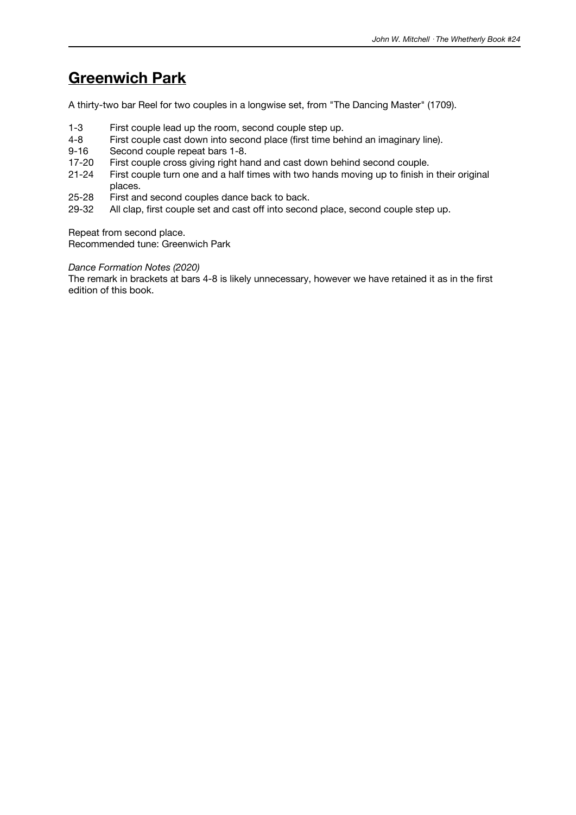## **Greenwich Park**

A thirty-two bar Reel for two couples in a longwise set, from "The Dancing Master" (1709).

- 1-3 First couple lead up the room, second couple step up.
- 4-8 First couple cast down into second place (first time behind an imaginary line).
- Second couple repeat bars 1-8.
- 17-20 First couple cross giving right hand and cast down behind second couple.
- 21-24 First couple turn one and a half times with two hands moving up to finish in their original places.
- 25-28 First and second couples dance back to back.
- 29-32 All clap, first couple set and cast off into second place, second couple step up.

Repeat from second place.

Recommended tune: Greenwich Park

#### *Dance Formation Notes (2020)*

The remark in brackets at bars 4-8 is likely unnecessary, however we have retained it as in the first edition of this book.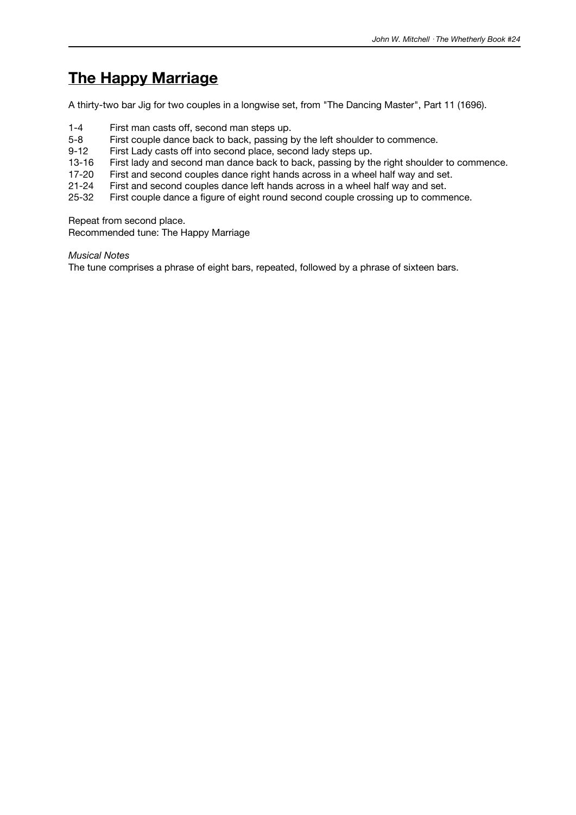## **The Happy Marriage**

A thirty-two bar Jig for two couples in a longwise set, from "The Dancing Master", Part 11 (1696).

- 1-4 First man casts off, second man steps up.
- 5-8 First couple dance back to back, passing by the left shoulder to commence.
- 9-12 First Lady casts off into second place, second lady steps up.
- 13-16 First lady and second man dance back to back, passing by the right shoulder to commence.
- 17-20 First and second couples dance right hands across in a wheel half way and set.
- 21-24 First and second couples dance left hands across in a wheel half way and set.
- 25-32 First couple dance a figure of eight round second couple crossing up to commence.

Repeat from second place.

Recommended tune: The Happy Marriage

*Musical Notes*

The tune comprises a phrase of eight bars, repeated, followed by a phrase of sixteen bars.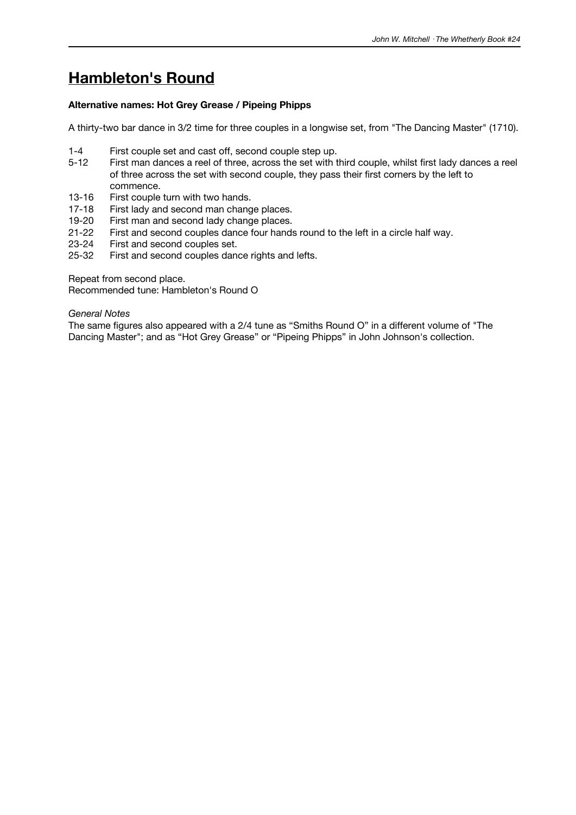# **Hambleton's Round**

### **Alternative names: Hot Grey Grease / Pipeing Phipps**

A thirty-two bar dance in 3/2 time for three couples in a longwise set, from "The Dancing Master" (1710).

- 1-4 First couple set and cast off, second couple step up.
- 5-12 First man dances a reel of three, across the set with third couple, whilst first lady dances a reel of three across the set with second couple, they pass their first corners by the left to commence.
- 13-16 First couple turn with two hands.
- 17-18 First lady and second man change places.
- 19-20 First man and second lady change places.<br>21-22 First and second couples dance four hands
- 21-22 First and second couples dance four hands round to the left in a circle half way.<br>23-24 First and second couples set.
- First and second couples set.
- 25-32 First and second couples dance rights and lefts.

Repeat from second place.

Recommended tune: Hambleton's Round O

#### *General Notes*

The same figures also appeared with a 2/4 tune as "Smiths Round O" in a different volume of "The Dancing Master"; and as "Hot Grey Grease" or "Pipeing Phipps" in John Johnson's collection.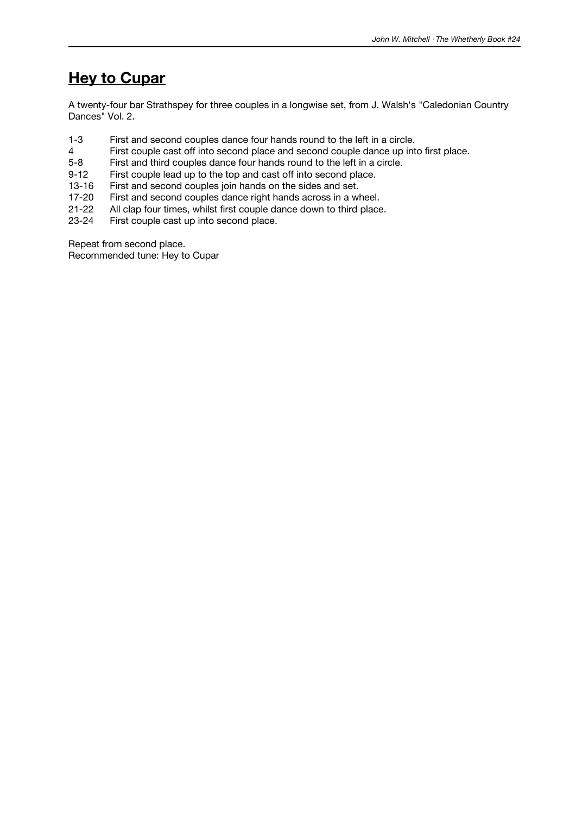## **Hey to Cupar**

A twenty-four bar Strathspey for three couples in a longwise set, from J. Walsh's "Caledonian Country Dances" Vol. 2.

- 1-3 First and second couples dance four hands round to the left in a circle.
- 4 First couple cast off into second place and second couple dance up into first place.<br>5-8 First and third couples dance four hands round to the left in a circle.
- First and third couples dance four hands round to the left in a circle.
- 9-12 First couple lead up to the top and cast off into second place.
- 13-16 First and second couples join hands on the sides and set.
- 17-20 First and second couples dance right hands across in a wheel.
- 21-22 All clap four times, whilst first couple dance down to third place.<br>23-24 First couple cast up into second place.
- First couple cast up into second place.

Repeat from second place.

Recommended tune: Hey to Cupar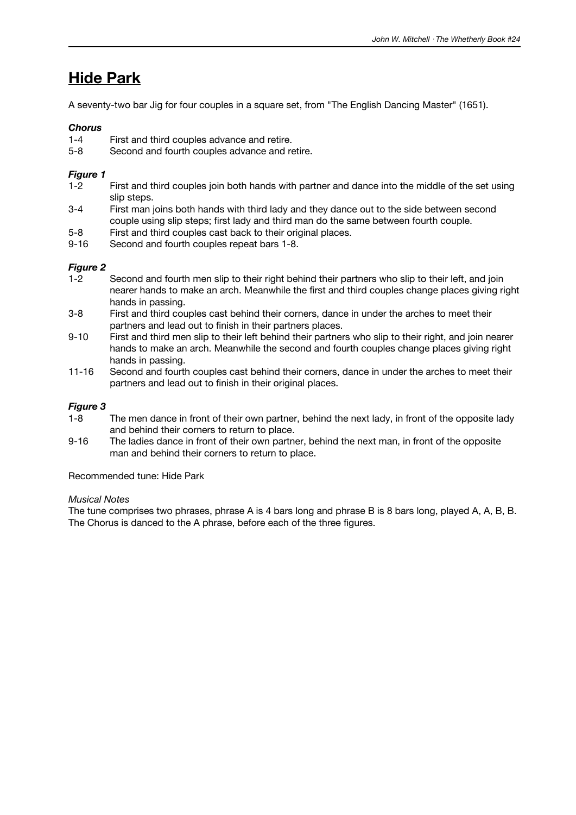## **Hide Park**

A seventy-two bar Jig for four couples in a square set, from "The English Dancing Master" (1651).

### *Chorus*

- 1-4 First and third couples advance and retire.
- 5-8 Second and fourth couples advance and retire.

### *Figure 1*

- 1-2 First and third couples join both hands with partner and dance into the middle of the set using slip steps.
- 3-4 First man joins both hands with third lady and they dance out to the side between second couple using slip steps; first lady and third man do the same between fourth couple.
- 5-8 First and third couples cast back to their original places.
- 9-16 Second and fourth couples repeat bars 1-8.

### *Figure 2*

- 1-2 Second and fourth men slip to their right behind their partners who slip to their left, and join nearer hands to make an arch. Meanwhile the first and third couples change places giving right hands in passing.
- 3-8 First and third couples cast behind their corners, dance in under the arches to meet their partners and lead out to finish in their partners places.
- 9-10 First and third men slip to their left behind their partners who slip to their right, and join nearer hands to make an arch. Meanwhile the second and fourth couples change places giving right hands in passing.
- 11-16 Second and fourth couples cast behind their corners, dance in under the arches to meet their partners and lead out to finish in their original places.

### *Figure 3*

- 1-8 The men dance in front of their own partner, behind the next lady, in front of the opposite lady and behind their corners to return to place.
- 9-16 The ladies dance in front of their own partner, behind the next man, in front of the opposite man and behind their corners to return to place.

Recommended tune: Hide Park

#### *Musical Notes*

The tune comprises two phrases, phrase A is 4 bars long and phrase B is 8 bars long, played A, A, B, B. The Chorus is danced to the A phrase, before each of the three figures.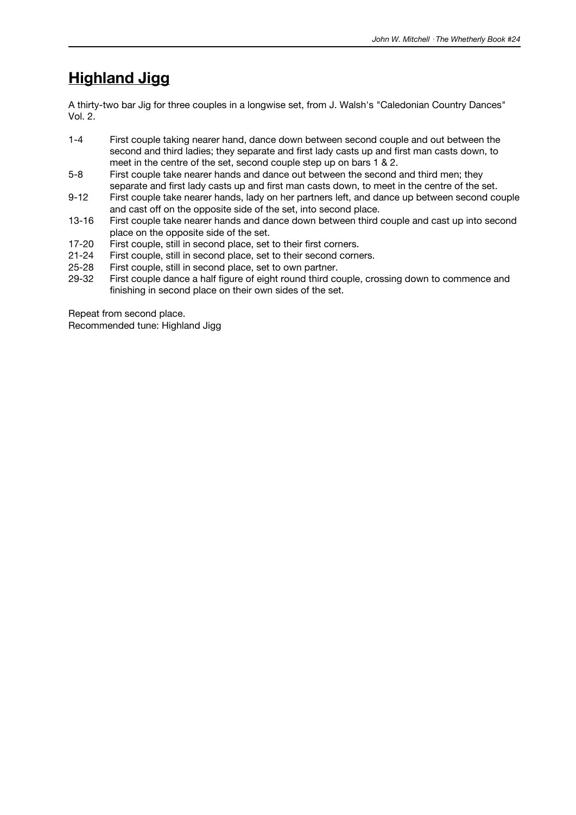# **Highland Jigg**

A thirty-two bar Jig for three couples in a longwise set, from J. Walsh's "Caledonian Country Dances" Vol. 2.

- 1-4 First couple taking nearer hand, dance down between second couple and out between the second and third ladies; they separate and first lady casts up and first man casts down, to meet in the centre of the set, second couple step up on bars 1 & 2.
- 5-8 First couple take nearer hands and dance out between the second and third men; they separate and first lady casts up and first man casts down, to meet in the centre of the set.
- 9-12 First couple take nearer hands, lady on her partners left, and dance up between second couple and cast off on the opposite side of the set, into second place.
- 13-16 First couple take nearer hands and dance down between third couple and cast up into second place on the opposite side of the set.
- 17-20 First couple, still in second place, set to their first corners.
- 21-24 First couple, still in second place, set to their second corners.
- 25-28 First couple, still in second place, set to own partner.
- 29-32 First couple dance a half figure of eight round third couple, crossing down to commence and finishing in second place on their own sides of the set.

Repeat from second place. Recommended tune: Highland Jigg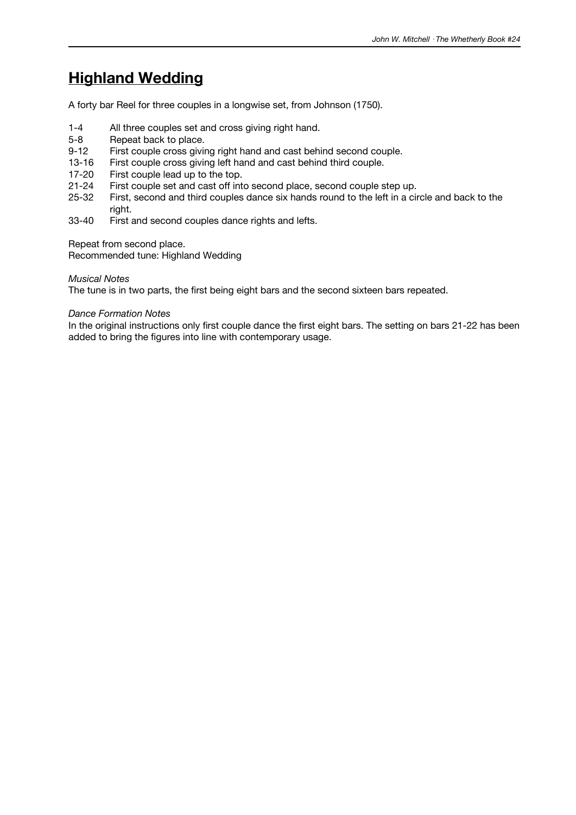# **Highland Wedding**

A forty bar Reel for three couples in a longwise set, from Johnson (1750).

- 1-4 All three couples set and cross giving right hand.
- 5-8 Repeat back to place.
- 9-12 First couple cross giving right hand and cast behind second couple.
- 13-16 First couple cross giving left hand and cast behind third couple.
- 17-20 First couple lead up to the top.
- 21-24 First couple set and cast off into second place, second couple step up.
- 25-32 First, second and third couples dance six hands round to the left in a circle and back to the right.
- 33-40 First and second couples dance rights and lefts.

Repeat from second place.

Recommended tune: Highland Wedding

#### *Musical Notes*

The tune is in two parts, the first being eight bars and the second sixteen bars repeated.

#### *Dance Formation Notes*

In the original instructions only first couple dance the first eight bars. The setting on bars 21-22 has been added to bring the figures into line with contemporary usage.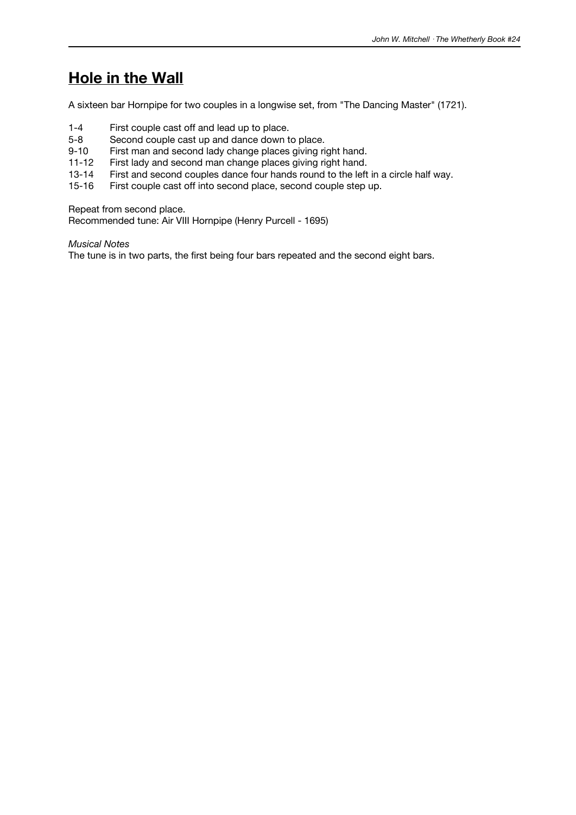### **Hole in the Wall**

A sixteen bar Hornpipe for two couples in a longwise set, from "The Dancing Master" (1721).

- 1-4 First couple cast off and lead up to place.<br>5-8 Second couple cast up and dance down t
- Second couple cast up and dance down to place.
- 9-10 First man and second lady change places giving right hand.
- 11-12 First lady and second man change places giving right hand.
- 13-14 First and second couples dance four hands round to the left in a circle half way.
- 15-16 First couple cast off into second place, second couple step up.

Repeat from second place.

Recommended tune: Air VIII Hornpipe (Henry Purcell - 1695)

*Musical Notes*

The tune is in two parts, the first being four bars repeated and the second eight bars.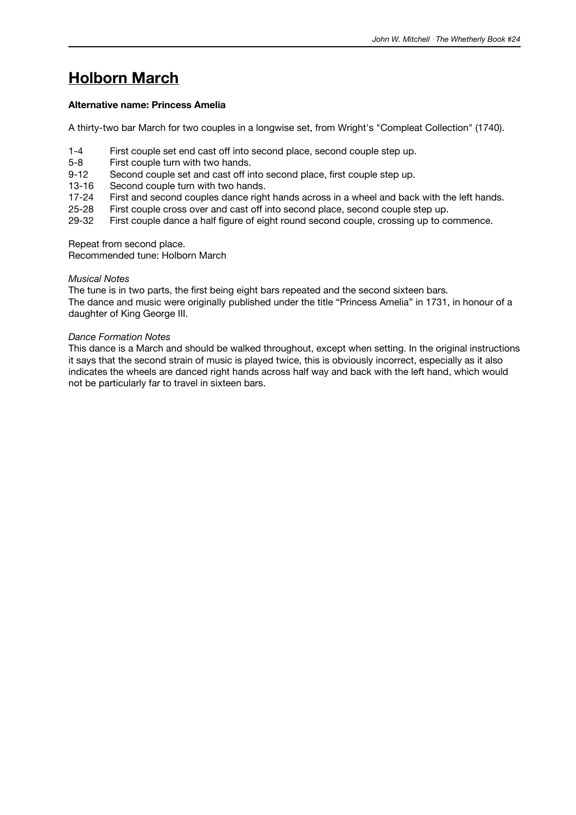# **Holborn March**

### **Alternative name: Princess Amelia**

A thirty-two bar March for two couples in a longwise set, from Wright's "Compleat Collection" (1740).

- 1-4 First couple set end cast off into second place, second couple step up.
- 5-8 First couple turn with two hands.
- 9-12 Second couple set and cast off into second place, first couple step up.
- 13-16 Second couple turn with two hands.
- 17-24 First and second couples dance right hands across in a wheel and back with the left hands.
- 25-28 First couple cross over and cast off into second place, second couple step up.<br>29-32 First couple dance a half figure of eight round second couple, crossing up to co
- First couple dance a half figure of eight round second couple, crossing up to commence.

Repeat from second place.

Recommended tune: Holborn March

#### *Musical Notes*

The tune is in two parts, the first being eight bars repeated and the second sixteen bars. The dance and music were originally published under the title "Princess Amelia" in 1731, in honour of a daughter of King George III.

#### *Dance Formation Notes*

This dance is a March and should be walked throughout, except when setting. In the original instructions it says that the second strain of music is played twice, this is obviously incorrect, especially as it also indicates the wheels are danced right hands across half way and back with the left hand, which would not be particularly far to travel in sixteen bars.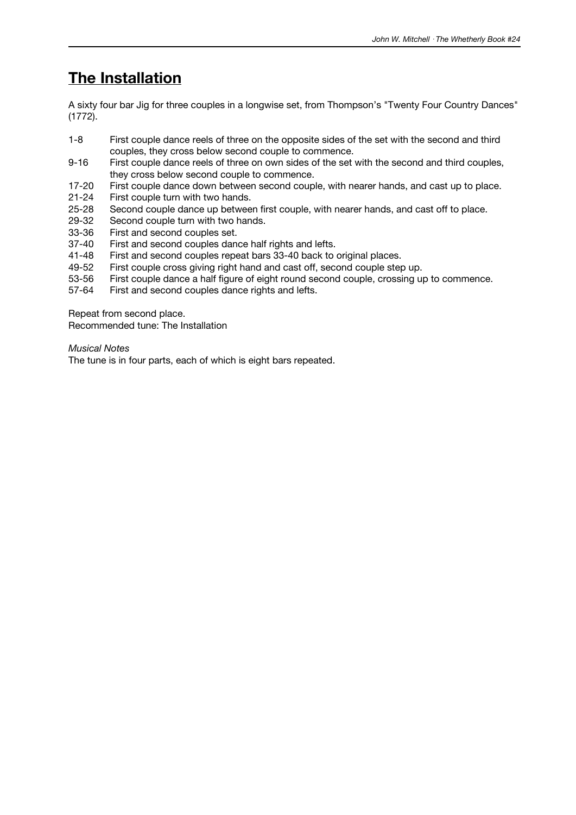# **The Installation**

A sixty four bar Jig for three couples in a longwise set, from Thompson's "Twenty Four Country Dances" (1772).

- 1-8 First couple dance reels of three on the opposite sides of the set with the second and third couples, they cross below second couple to commence.
- 9-16 First couple dance reels of three on own sides of the set with the second and third couples, they cross below second couple to commence.
- 17-20 First couple dance down between second couple, with nearer hands, and cast up to place.
- 21-24 First couple turn with two hands.
- 25-28 Second couple dance up between first couple, with nearer hands, and cast off to place.<br>29-32 Second couple turn with two hands.
- 29-32 Second couple turn with two hands.<br>33-36 First and second couples set.
- 33-36 First and second couples set.<br>37-40 First and second couples dan
- First and second couples dance half rights and lefts.
- 41-48 First and second couples repeat bars 33-40 back to original places.<br>49-52 First couple cross giving right hand and cast off. second couple ster
- First couple cross giving right hand and cast off, second couple step up.
- 53-56 First couple dance a half figure of eight round second couple, crossing up to commence.
- 57-64 First and second couples dance rights and lefts.

Repeat from second place.

Recommended tune: The Installation

*Musical Notes*

The tune is in four parts, each of which is eight bars repeated.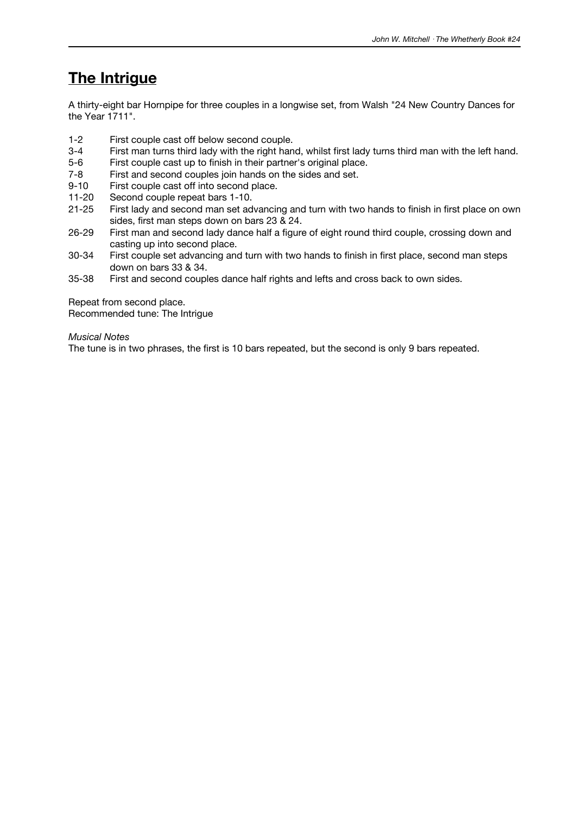# **The Intrigue**

A thirty-eight bar Hornpipe for three couples in a longwise set, from Walsh "24 New Country Dances for the Year 1711".

- 1-2 First couple cast off below second couple.
- 3-4 First man turns third lady with the right hand, whilst first lady turns third man with the left hand.
- 5-6 First couple cast up to finish in their partner's original place.
- 7-8 First and second couples join hands on the sides and set.<br>9-10 First couple cast off into second place.
- First couple cast off into second place.
- 11-20 Second couple repeat bars 1-10.
- 21-25 First lady and second man set advancing and turn with two hands to finish in first place on own sides, first man steps down on bars 23 & 24.
- 26-29 First man and second lady dance half a figure of eight round third couple, crossing down and casting up into second place.
- 30-34 First couple set advancing and turn with two hands to finish in first place, second man steps down on bars 33 & 34.
- 35-38 First and second couples dance half rights and lefts and cross back to own sides.

Repeat from second place. Recommended tune: The Intrigue

#### *Musical Notes*

The tune is in two phrases, the first is 10 bars repeated, but the second is only 9 bars repeated.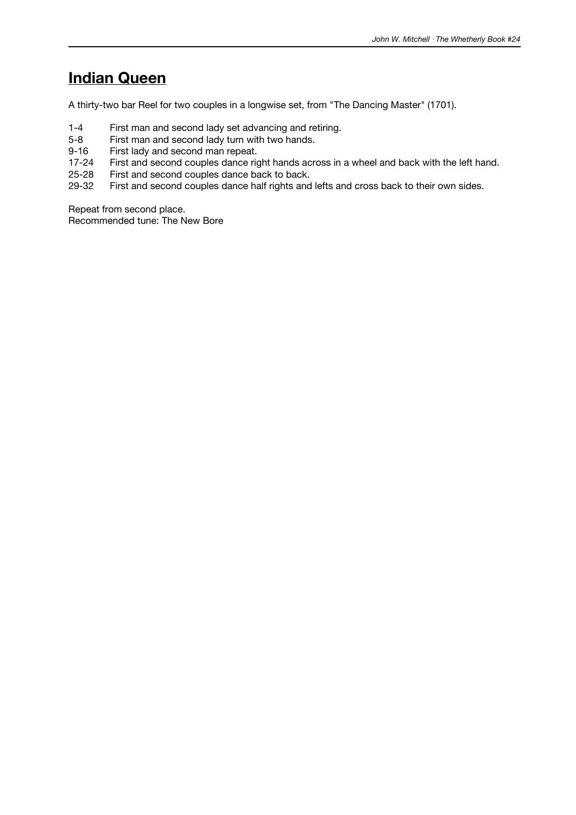### **Indian Queen**

A thirty-two bar Reel for two couples in a longwise set, from "The Dancing Master" (1701).

- 1-4 First man and second lady set advancing and retiring.<br>5-8 First man and second lady turn with two hands.
- First man and second lady turn with two hands.
- 9-16 First lady and second man repeat.
- 17-24 First and second couples dance right hands across in a wheel and back with the left hand.
- 25-28 First and second couples dance back to back.
- 29-32 First and second couples dance half rights and lefts and cross back to their own sides.

Repeat from second place. Recommended tune: The New Bore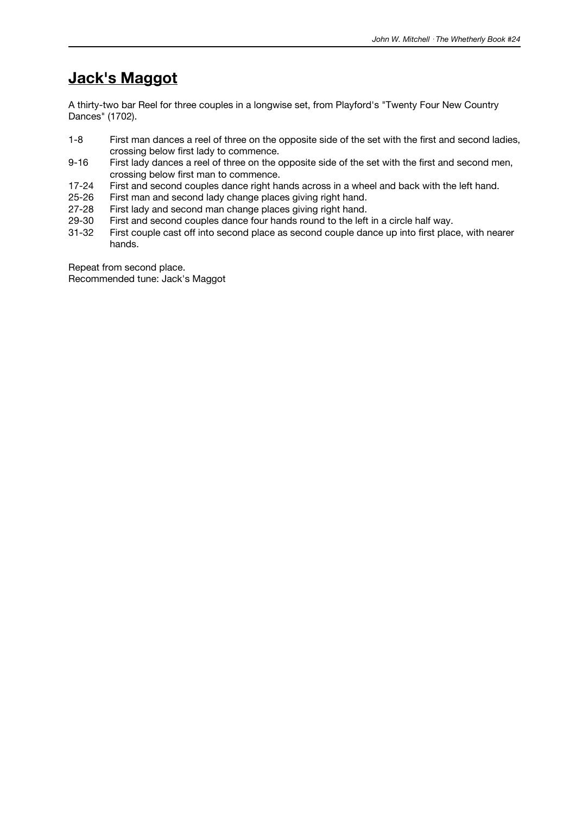## **Jack's Maggot**

A thirty-two bar Reel for three couples in a longwise set, from Playford's "Twenty Four New Country Dances" (1702).

- 1-8 First man dances a reel of three on the opposite side of the set with the first and second ladies, crossing below first lady to commence.
- 9-16 First lady dances a reel of three on the opposite side of the set with the first and second men, crossing below first man to commence.
- 17-24 First and second couples dance right hands across in a wheel and back with the left hand.
- 25-26 First man and second lady change places giving right hand.<br>27-28 First lady and second man change places giving right hand.
- 27-28 First lady and second man change places giving right hand.<br>29-30 First and second couples dance four hands round to the left
- 29-30 First and second couples dance four hands round to the left in a circle half way.<br>31-32 First couple cast off into second place as second couple dance up into first plac
- First couple cast off into second place as second couple dance up into first place, with nearer hands.

Repeat from second place. Recommended tune: Jack's Maggot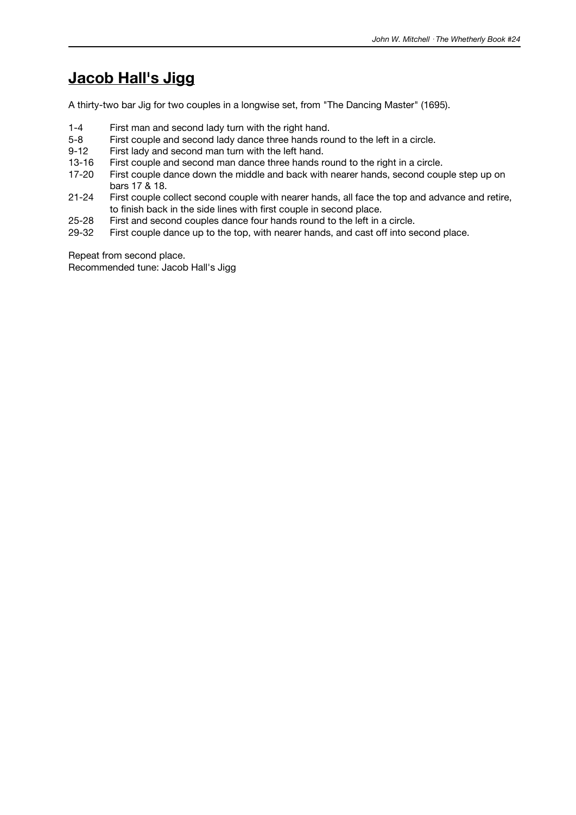## **Jacob Hall's Jigg**

A thirty-two bar Jig for two couples in a longwise set, from "The Dancing Master" (1695).

- 1-4 First man and second lady turn with the right hand.
- 5-8 First couple and second lady dance three hands round to the left in a circle.<br>9-12 First lady and second man turn with the left hand.
- First lady and second man turn with the left hand.
- 13-16 First couple and second man dance three hands round to the right in a circle.
- 17-20 First couple dance down the middle and back with nearer hands, second couple step up on bars 17 & 18.
- 21-24 First couple collect second couple with nearer hands, all face the top and advance and retire, to finish back in the side lines with first couple in second place.
- 25-28 First and second couples dance four hands round to the left in a circle.<br>29-32 First couple dance up to the top, with nearer hands, and cast off into se
- First couple dance up to the top, with nearer hands, and cast off into second place.

Repeat from second place.

Recommended tune: Jacob Hall's Jigg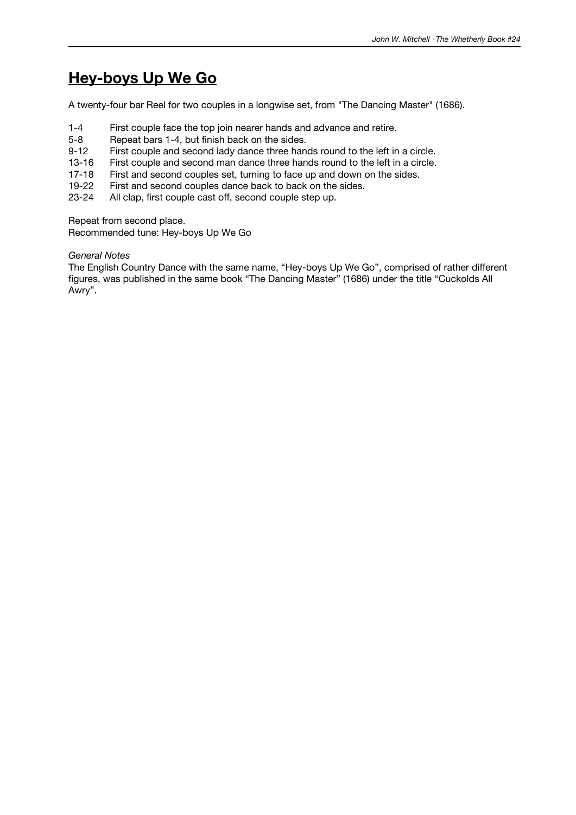## **Hey-boys Up We Go**

A twenty-four bar Reel for two couples in a longwise set, from "The Dancing Master" (1686).

- 1-4 First couple face the top join nearer hands and advance and retire.
- 5-8 Repeat bars 1-4, but finish back on the sides.
- 9-12 First couple and second lady dance three hands round to the left in a circle.
- 13-16 First couple and second man dance three hands round to the left in a circle.
- 17-18 First and second couples set, turning to face up and down on the sides.
- 19-22 First and second couples dance back to back on the sides.
- 23-24 All clap, first couple cast off, second couple step up.

Repeat from second place.

Recommended tune: Hey-boys Up We Go

#### *General Notes*

The English Country Dance with the same name, "Hey-boys Up We Go", comprised of rather different figures, was published in the same book "The Dancing Master" (1686) under the title "Cuckolds All Awry".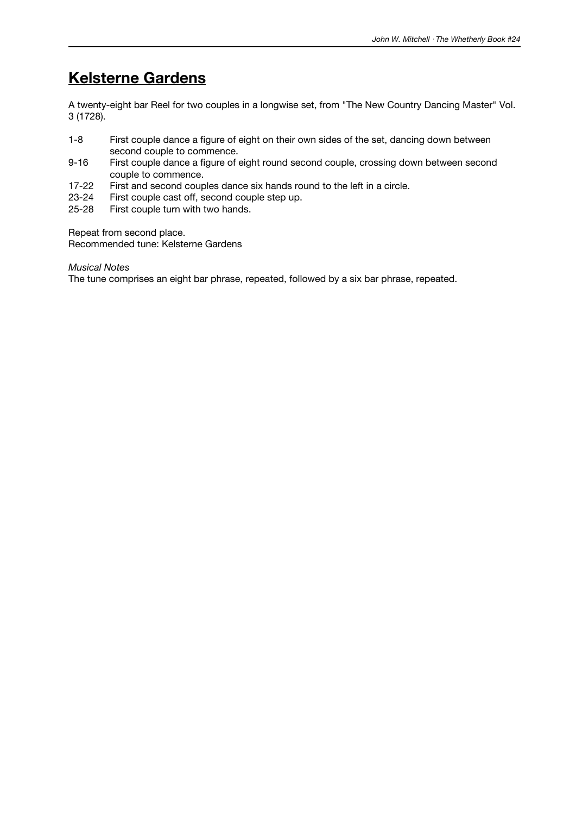# **Kelsterne Gardens**

A twenty-eight bar Reel for two couples in a longwise set, from "The New Country Dancing Master" Vol. 3 (1728).

- 1-8 First couple dance a figure of eight on their own sides of the set, dancing down between second couple to commence.
- 9-16 First couple dance a figure of eight round second couple, crossing down between second couple to commence.
- 17-22 First and second couples dance six hands round to the left in a circle.
- 23-24 First couple cast off, second couple step up.<br>25-28 First couple turn with two hands.
- First couple turn with two hands.

Repeat from second place.

Recommended tune: Kelsterne Gardens

*Musical Notes*

The tune comprises an eight bar phrase, repeated, followed by a six bar phrase, repeated.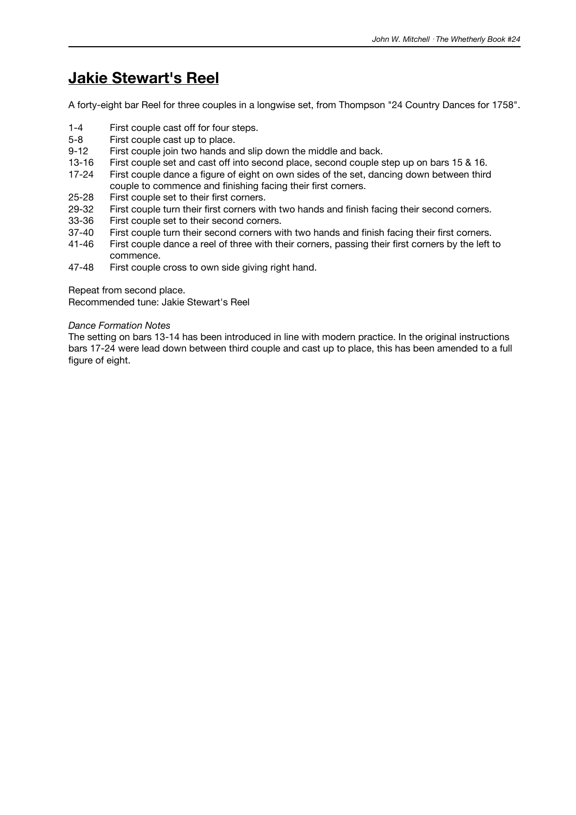### **Jakie Stewart's Reel**

A forty-eight bar Reel for three couples in a longwise set, from Thompson "24 Country Dances for 1758".

- 1-4 First couple cast off for four steps.
- 5-8 First couple cast up to place.
- 9-12 First couple join two hands and slip down the middle and back.
- 13-16 First couple set and cast off into second place, second couple step up on bars 15 & 16.
- 17-24 First couple dance a figure of eight on own sides of the set, dancing down between third couple to commence and finishing facing their first corners.
- 25-28 First couple set to their first corners.
- 29-32 First couple turn their first corners with two hands and finish facing their second corners.<br>33-36 First couple set to their second corners.
- 33-36 First couple set to their second corners.<br>37-40 First couple turn their second corners wi
- 37-40 First couple turn their second corners with two hands and finish facing their first corners.<br>41-46 First couple dance a reel of three with their corners, passing their first corners by the left is
- First couple dance a reel of three with their corners, passing their first corners by the left to commence.
- 47-48 First couple cross to own side giving right hand.

Repeat from second place.

Recommended tune: Jakie Stewart's Reel

#### *Dance Formation Notes*

The setting on bars 13-14 has been introduced in line with modern practice. In the original instructions bars 17-24 were lead down between third couple and cast up to place, this has been amended to a full figure of eight.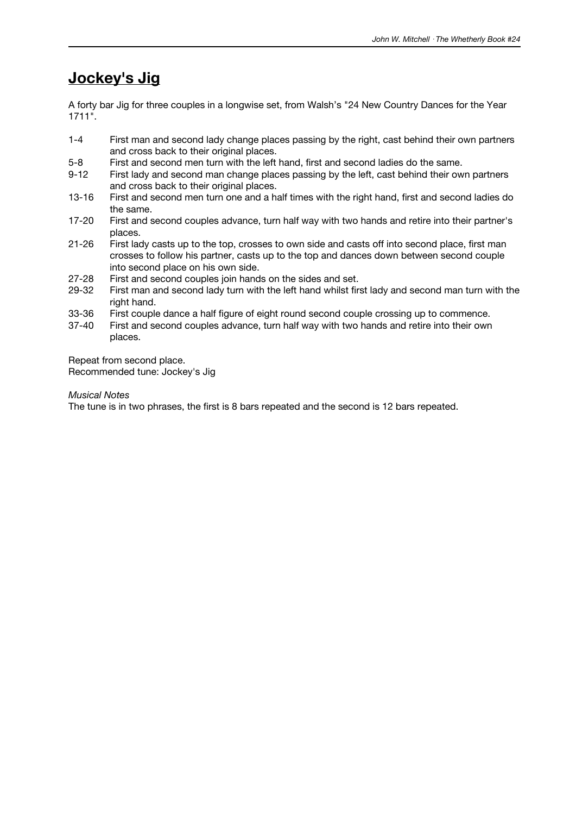### **Jockey's Jig**

A forty bar Jig for three couples in a longwise set, from Walsh's "24 New Country Dances for the Year 1711".

- 1-4 First man and second lady change places passing by the right, cast behind their own partners and cross back to their original places.
- 5-8 First and second men turn with the left hand, first and second ladies do the same.
- 9-12 First lady and second man change places passing by the left, cast behind their own partners and cross back to their original places.
- 13-16 First and second men turn one and a half times with the right hand, first and second ladies do the same.
- 17-20 First and second couples advance, turn half way with two hands and retire into their partner's places.
- 21-26 First lady casts up to the top, crosses to own side and casts off into second place, first man crosses to follow his partner, casts up to the top and dances down between second couple into second place on his own side.
- 27-28 First and second couples join hands on the sides and set.
- 29-32 First man and second lady turn with the left hand whilst first lady and second man turn with the right hand.
- 33-36 First couple dance a half figure of eight round second couple crossing up to commence.
- 37-40 First and second couples advance, turn half way with two hands and retire into their own places.

Repeat from second place. Recommended tune: Jockey's Jig

*Musical Notes*

The tune is in two phrases, the first is 8 bars repeated and the second is 12 bars repeated.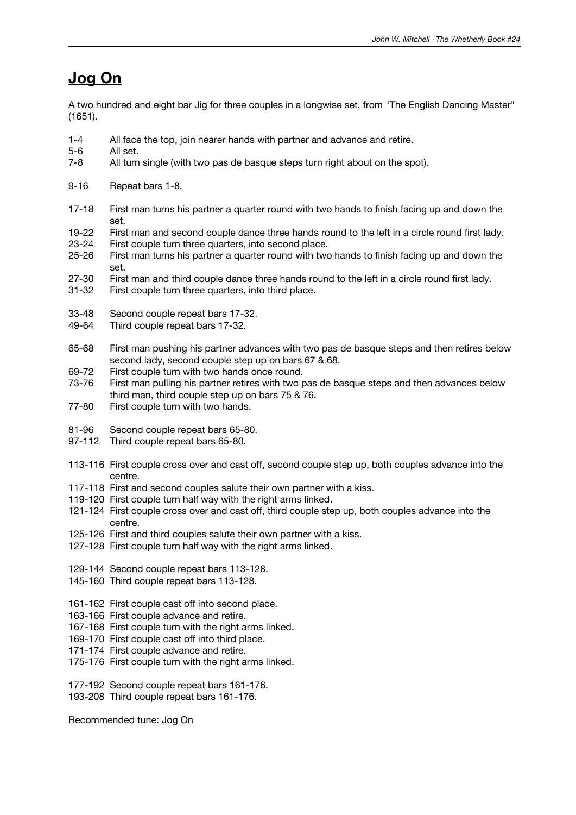### **Jog On**

A two hundred and eight bar Jig for three couples in a longwise set, from "The English Dancing Master" (1651).

- 1-4 All face the top, join nearer hands with partner and advance and retire.
- 5-6 All set.
- 7-8 All turn single (with two pas de basque steps turn right about on the spot).
- 9-16 Repeat bars 1-8.
- 17-18 First man turns his partner a quarter round with two hands to finish facing up and down the set.
- 19-22 First man and second couple dance three hands round to the left in a circle round first lady.<br>23-24 First couple turn three quarters, into second place.
- First couple turn three quarters, into second place.
- 25-26 First man turns his partner a quarter round with two hands to finish facing up and down the set.
- 27-30 First man and third couple dance three hands round to the left in a circle round first lady.
- 31-32 First couple turn three quarters, into third place.
- 33-48 Second couple repeat bars 17-32.
- 49-64 Third couple repeat bars 17-32.
- 65-68 First man pushing his partner advances with two pas de basque steps and then retires below second lady, second couple step up on bars 67 & 68.
- 69-72 First couple turn with two hands once round.
- 73-76 First man pulling his partner retires with two pas de basque steps and then advances below third man, third couple step up on bars 75 & 76.
- 77-80 First couple turn with two hands.
- 81-96 Second couple repeat bars 65-80.
- 97-112 Third couple repeat bars 65-80.
- 113-116 First couple cross over and cast off, second couple step up, both couples advance into the centre.
- 117-118 First and second couples salute their own partner with a kiss.
- 119-120 First couple turn half way with the right arms linked.
- 121-124 First couple cross over and cast off, third couple step up, both couples advance into the centre.
- 125-126 First and third couples salute their own partner with a kiss.
- 127-128 First couple turn half way with the right arms linked.
- 129-144 Second couple repeat bars 113-128.
- 145-160 Third couple repeat bars 113-128.
- 161-162 First couple cast off into second place.
- 163-166 First couple advance and retire.
- 167-168 First couple turn with the right arms linked.
- 169-170 First couple cast off into third place.
- 171-174 First couple advance and retire.
- 175-176 First couple turn with the right arms linked.
- 177-192 Second couple repeat bars 161-176.
- 193-208 Third couple repeat bars 161-176.

Recommended tune: Jog On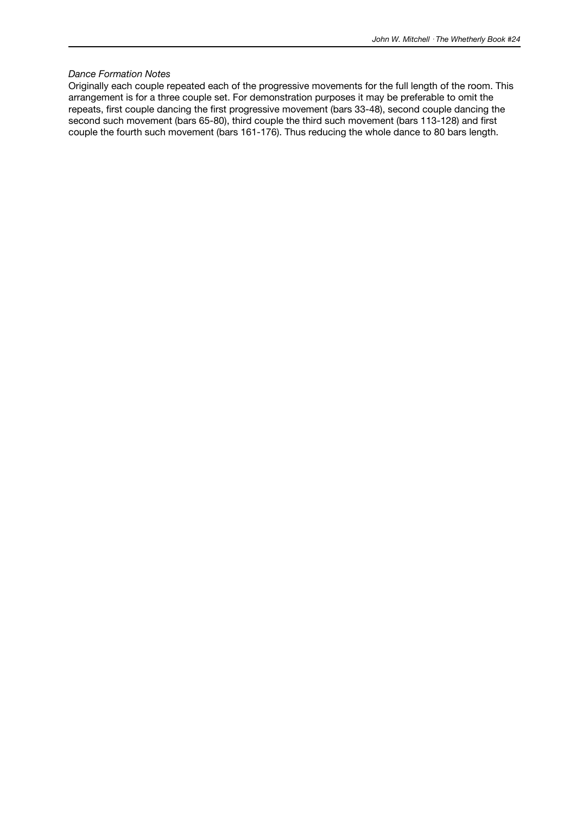#### *Dance Formation Notes*

Originally each couple repeated each of the progressive movements for the full length of the room. This arrangement is for a three couple set. For demonstration purposes it may be preferable to omit the repeats, first couple dancing the first progressive movement (bars 33-48), second couple dancing the second such movement (bars 65-80), third couple the third such movement (bars 113-128) and first couple the fourth such movement (bars 161-176). Thus reducing the whole dance to 80 bars length.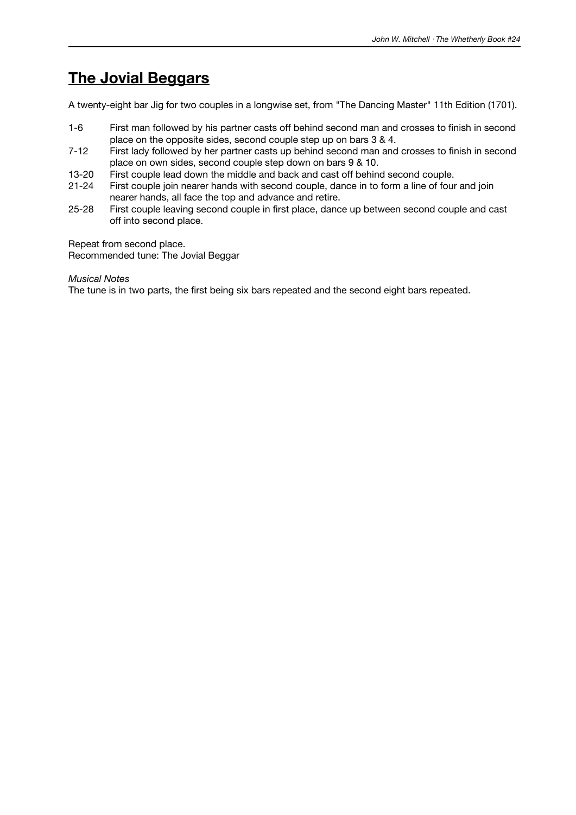## **The Jovial Beggars**

A twenty-eight bar Jig for two couples in a longwise set, from "The Dancing Master" 11th Edition (1701).

- 1-6 First man followed by his partner casts off behind second man and crosses to finish in second place on the opposite sides, second couple step up on bars 3 & 4.
- 7-12 First lady followed by her partner casts up behind second man and crosses to finish in second place on own sides, second couple step down on bars 9 & 10.
- 13-20 First couple lead down the middle and back and cast off behind second couple.
- 21-24 First couple join nearer hands with second couple, dance in to form a line of four and join nearer hands, all face the top and advance and retire.
- 25-28 First couple leaving second couple in first place, dance up between second couple and cast off into second place.

Repeat from second place. Recommended tune: The Jovial Beggar

*Musical Notes*

The tune is in two parts, the first being six bars repeated and the second eight bars repeated.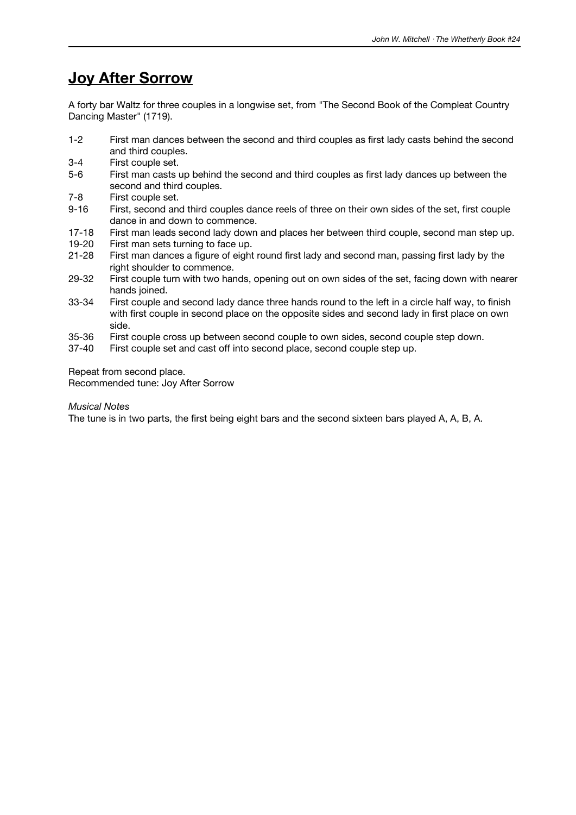## **Joy After Sorrow**

A forty bar Waltz for three couples in a longwise set, from "The Second Book of the Compleat Country Dancing Master" (1719).

- 1-2 First man dances between the second and third couples as first lady casts behind the second and third couples.
- 3-4 First couple set.
- 5-6 First man casts up behind the second and third couples as first lady dances up between the second and third couples.
- 7-8 First couple set.
- 9-16 First, second and third couples dance reels of three on their own sides of the set, first couple dance in and down to commence.
- 17-18 First man leads second lady down and places her between third couple, second man step up.<br>19-20 First man sets turning to face up.
- First man sets turning to face up.
- 21-28 First man dances a figure of eight round first lady and second man, passing first lady by the right shoulder to commence.
- 29-32 First couple turn with two hands, opening out on own sides of the set, facing down with nearer hands joined.
- 33-34 First couple and second lady dance three hands round to the left in a circle half way, to finish with first couple in second place on the opposite sides and second lady in first place on own side.
- 35-36 First couple cross up between second couple to own sides, second couple step down.<br>37-40 First couple set and cast off into second place, second couple step up.
- First couple set and cast off into second place, second couple step up.

Repeat from second place.

Recommended tune: Joy After Sorrow

### *Musical Notes*

The tune is in two parts, the first being eight bars and the second sixteen bars played A, A, B, A.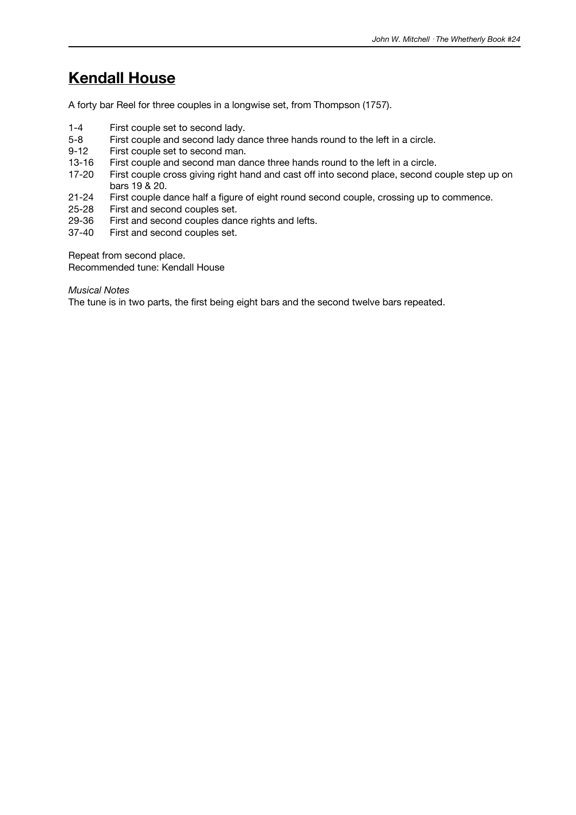## **Kendall House**

A forty bar Reel for three couples in a longwise set, from Thompson (1757).

- 1-4 First couple set to second lady.<br>5-8 First couple and second lady da
- 5-8 First couple and second lady dance three hands round to the left in a circle.<br>9-12 First couple set to second man.
- First couple set to second man.
- 13-16 First couple and second man dance three hands round to the left in a circle.
- 17-20 First couple cross giving right hand and cast off into second place, second couple step up on bars 19 & 20.
- 21-24 First couple dance half a figure of eight round second couple, crossing up to commence.
- 25-28 First and second couples set.<br>29-36 First and second couples dan
- 29-36 First and second couples dance rights and lefts.<br>37-40 First and second couples set.
- First and second couples set.

Repeat from second place. Recommended tune: Kendall House

*Musical Notes*

The tune is in two parts, the first being eight bars and the second twelve bars repeated.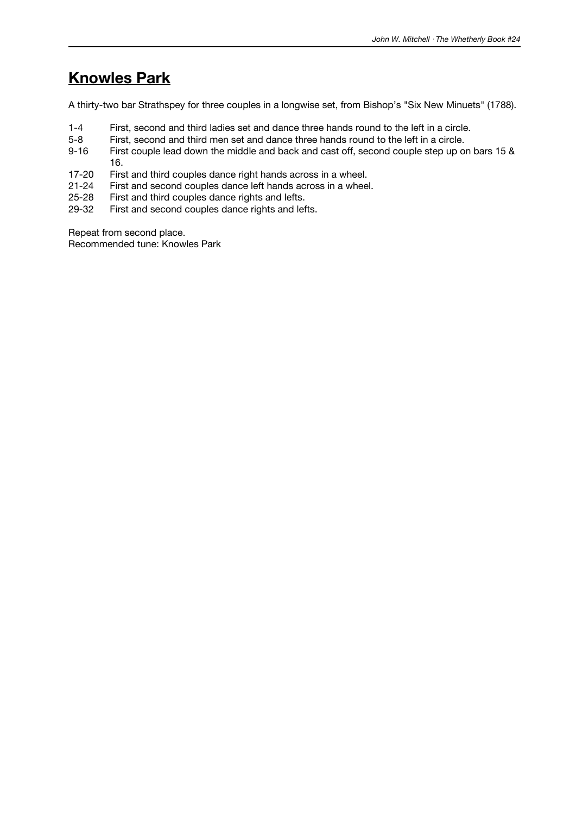## **Knowles Park**

A thirty-two bar Strathspey for three couples in a longwise set, from Bishop's "Six New Minuets" (1788).

- 1-4 First, second and third ladies set and dance three hands round to the left in a circle.
- 5-8 First, second and third men set and dance three hands round to the left in a circle.<br>9-16 First couple lead down the middle and back and cast off, second couple step up on
- First couple lead down the middle and back and cast off, second couple step up on bars 15 & 16.
- 17-20 First and third couples dance right hands across in a wheel.
- 21-24 First and second couples dance left hands across in a wheel.
- 25-28 First and third couples dance rights and lefts.<br>29-32 First and second couples dance rights and lef
- First and second couples dance rights and lefts.

Repeat from second place.

Recommended tune: Knowles Park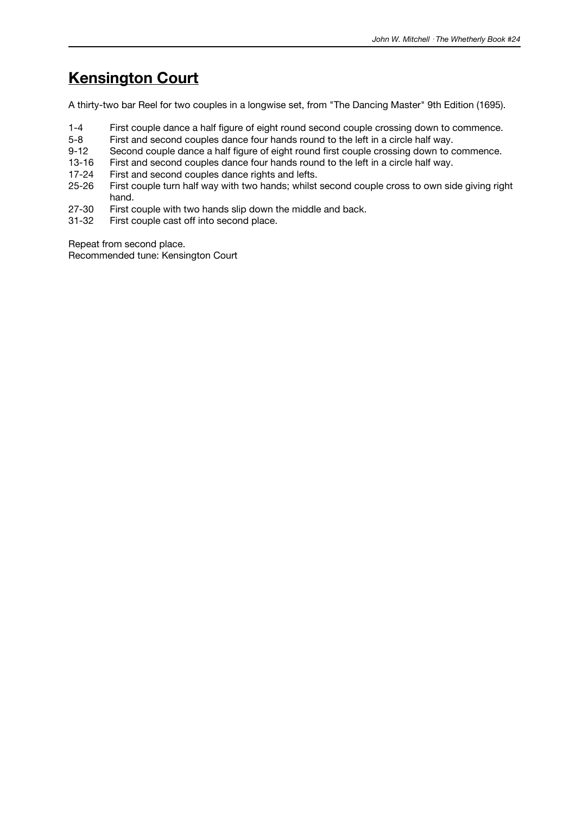# **Kensington Court**

A thirty-two bar Reel for two couples in a longwise set, from "The Dancing Master" 9th Edition (1695).

- 1-4 First couple dance a half figure of eight round second couple crossing down to commence.
- 5-8 First and second couples dance four hands round to the left in a circle half way.
- 9-12 Second couple dance a half figure of eight round first couple crossing down to commence.
- 13-16 First and second couples dance four hands round to the left in a circle half way.
- 17-24 First and second couples dance rights and lefts.
- 25-26 First couple turn half way with two hands; whilst second couple cross to own side giving right hand.
- 27-30 First couple with two hands slip down the middle and back.<br>31-32 First couple cast off into second place.
- First couple cast off into second place.

Repeat from second place.

Recommended tune: Kensington Court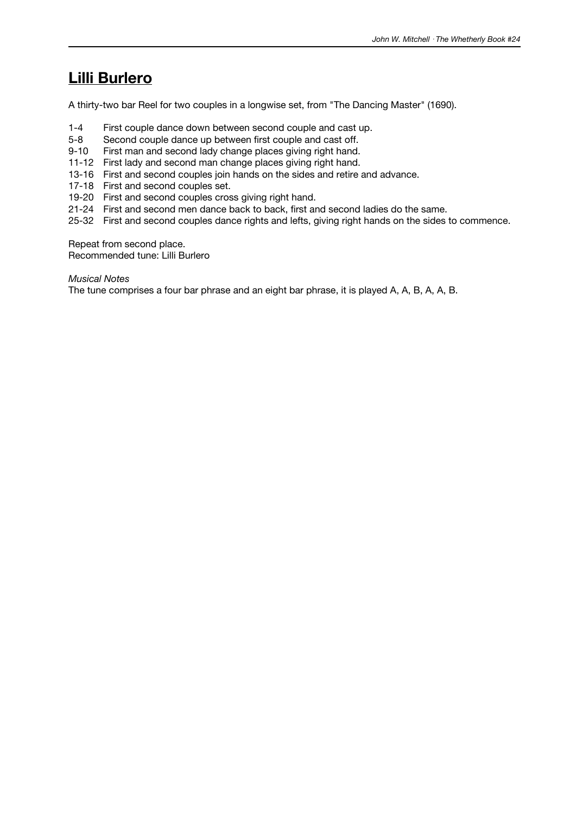### **Lilli Burlero**

A thirty-two bar Reel for two couples in a longwise set, from "The Dancing Master" (1690).

- 1-4 First couple dance down between second couple and cast up.
- 5-8 Second couple dance up between first couple and cast off.
- 9-10 First man and second lady change places giving right hand.
- 11-12 First lady and second man change places giving right hand.
- 13-16 First and second couples join hands on the sides and retire and advance.
- 17-18 First and second couples set.
- 19-20 First and second couples cross giving right hand.
- 21-24 First and second men dance back to back, first and second ladies do the same.
- 25-32 First and second couples dance rights and lefts, giving right hands on the sides to commence.

Repeat from second place.

Recommended tune: Lilli Burlero

#### *Musical Notes*

The tune comprises a four bar phrase and an eight bar phrase, it is played A, A, B, A, A, B.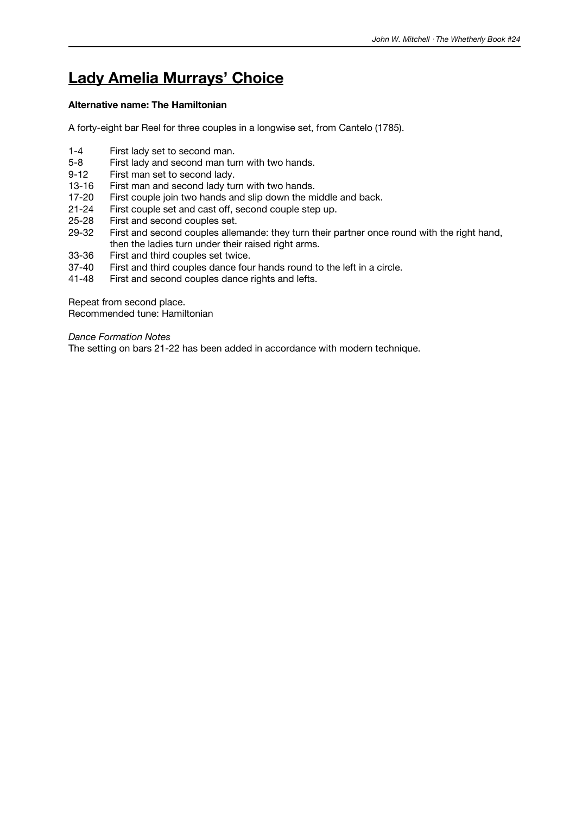# **Lady Amelia Murrays' Choice**

### **Alternative name: The Hamiltonian**

A forty-eight bar Reel for three couples in a longwise set, from Cantelo (1785).

- 1-4 First lady set to second man.
- 5-8 First lady and second man turn with two hands.
- 9-12 First man set to second lady.
- 13-16 First man and second lady turn with two hands.
- 17-20 First couple join two hands and slip down the middle and back.
- 21-24 First couple set and cast off, second couple step up.<br>25-28 First and second couples set.
- 25-28 First and second couples set.<br>29-32 First and second couples aller
- First and second couples allemande: they turn their partner once round with the right hand, then the ladies turn under their raised right arms.
- 33-36 First and third couples set twice.<br>37-40 First and third couples dance fou
- First and third couples dance four hands round to the left in a circle.
- 41-48 First and second couples dance rights and lefts.

Repeat from second place. Recommended tune: Hamiltonian

*Dance Formation Notes*

The setting on bars 21-22 has been added in accordance with modern technique.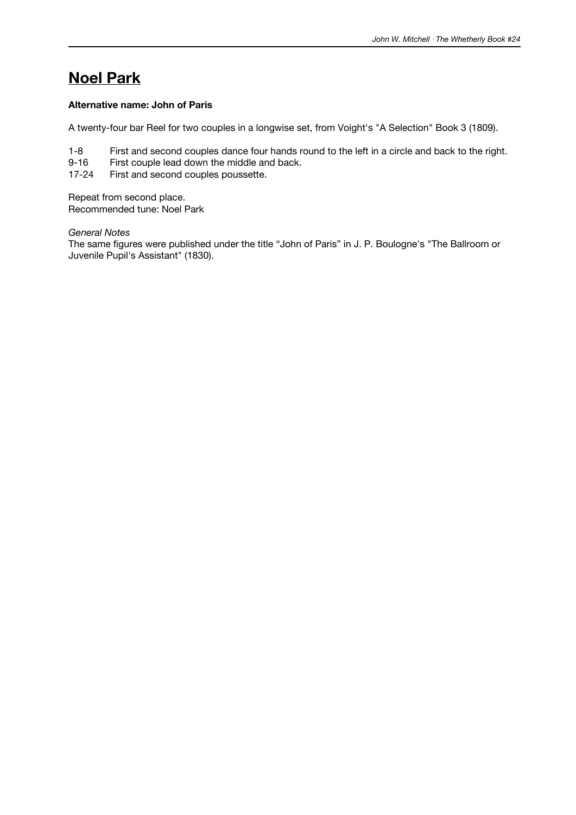# **Noel Park**

### **Alternative name: John of Paris**

A twenty-four bar Reel for two couples in a longwise set, from Voight's "A Selection" Book 3 (1809).

- 1-8 First and second couples dance four hands round to the left in a circle and back to the right.
- 9-16 First couple lead down the middle and back.
- 17-24 First and second couples poussette.

Repeat from second place. Recommended tune: Noel Park

#### *General Notes*

The same figures were published under the title "John of Paris" in J. P. Boulogne's "The Ballroom or Juvenile Pupil's Assistant" (1830).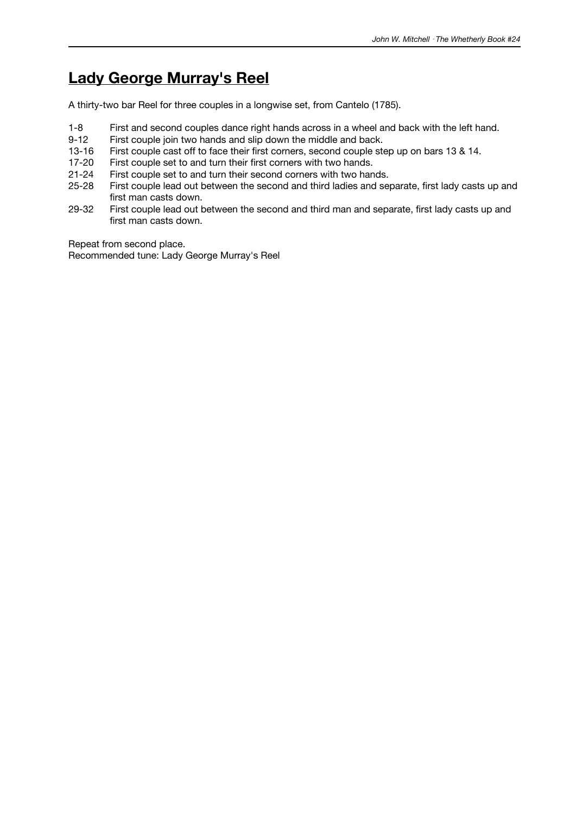# **Lady George Murray's Reel**

A thirty-two bar Reel for three couples in a longwise set, from Cantelo (1785).

- 1-8 First and second couples dance right hands across in a wheel and back with the left hand.<br>9-12 First couple join two hands and slip down the middle and back.
- First couple join two hands and slip down the middle and back.
- 13-16 First couple cast off to face their first corners, second couple step up on bars 13 & 14.
- 17-20 First couple set to and turn their first corners with two hands.
- 21-24 First couple set to and turn their second corners with two hands.
- 25-28 First couple lead out between the second and third ladies and separate, first lady casts up and first man casts down.
- 29-32 First couple lead out between the second and third man and separate, first lady casts up and first man casts down.

Repeat from second place.

Recommended tune: Lady George Murray's Reel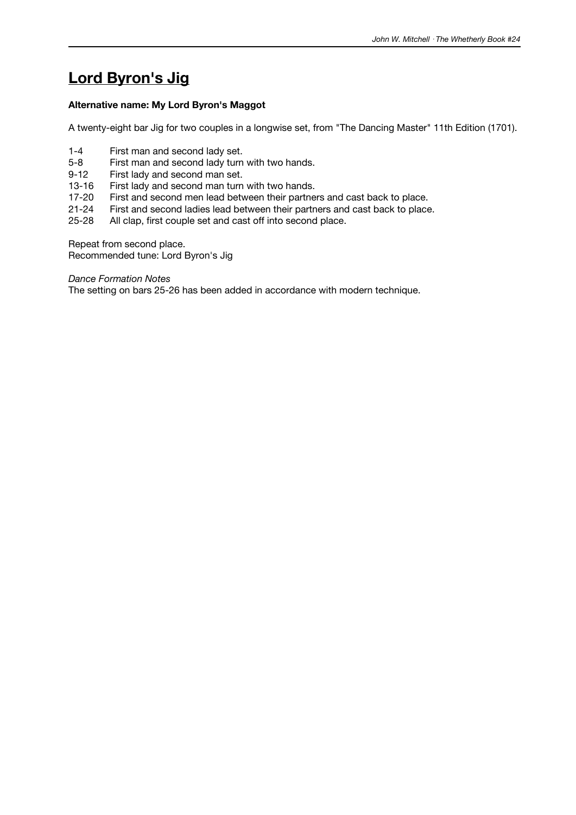# **Lord Byron's Jig**

### **Alternative name: My Lord Byron's Maggot**

A twenty-eight bar Jig for two couples in a longwise set, from "The Dancing Master" 11th Edition (1701).

- 1-4 First man and second lady set.
- 5-8 First man and second lady turn with two hands.
- 9-12 First lady and second man set.
- 13-16 First lady and second man turn with two hands.
- 17-20 First and second men lead between their partners and cast back to place.
- 21-24 First and second ladies lead between their partners and cast back to place.<br>25-28 All clap, first couple set and cast off into second place.
- All clap, first couple set and cast off into second place.

Repeat from second place. Recommended tune: Lord Byron's Jig

*Dance Formation Notes*

The setting on bars 25-26 has been added in accordance with modern technique.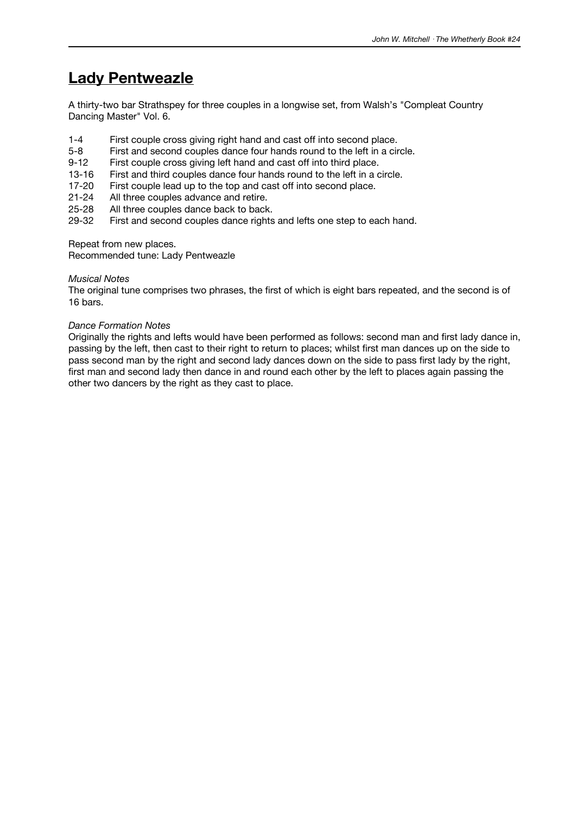# **Lady Pentweazle**

A thirty-two bar Strathspey for three couples in a longwise set, from Walsh's "Compleat Country Dancing Master" Vol. 6.

- 1-4 First couple cross giving right hand and cast off into second place.
- 5-8 First and second couples dance four hands round to the left in a circle.
- 9-12 First couple cross giving left hand and cast off into third place.
- 13-16 First and third couples dance four hands round to the left in a circle.
- 17-20 First couple lead up to the top and cast off into second place.
- 21-24 All three couples advance and retire.
- 25-28 All three couples dance back to back.<br>29-32 First and second couples dance rights
- First and second couples dance rights and lefts one step to each hand.

Repeat from new places.

Recommended tune: Lady Pentweazle

#### *Musical Notes*

The original tune comprises two phrases, the first of which is eight bars repeated, and the second is of 16 bars.

#### *Dance Formation Notes*

Originally the rights and lefts would have been performed as follows: second man and first lady dance in, passing by the left, then cast to their right to return to places; whilst first man dances up on the side to pass second man by the right and second lady dances down on the side to pass first lady by the right, first man and second lady then dance in and round each other by the left to places again passing the other two dancers by the right as they cast to place.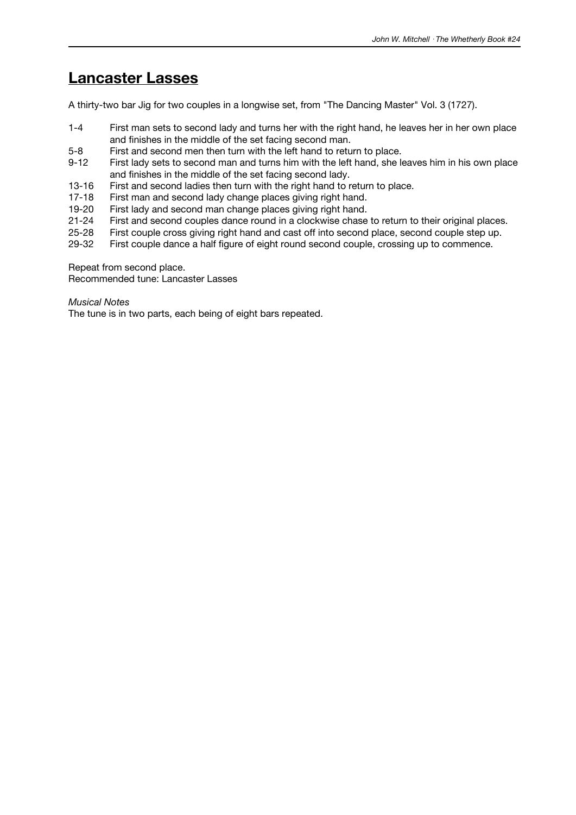### **Lancaster Lasses**

A thirty-two bar Jig for two couples in a longwise set, from "The Dancing Master" Vol. 3 (1727).

- 1-4 First man sets to second lady and turns her with the right hand, he leaves her in her own place and finishes in the middle of the set facing second man.
- 5-8 First and second men then turn with the left hand to return to place.
- 9-12 First lady sets to second man and turns him with the left hand, she leaves him in his own place and finishes in the middle of the set facing second lady.
- 13-16 First and second ladies then turn with the right hand to return to place.
- 17-18 First man and second lady change places giving right hand.
- 19-20 First lady and second man change places giving right hand.<br>21-24 First and second couples dance round in a clockwise chase
- 21-24 First and second couples dance round in a clockwise chase to return to their original places.<br>25-28 First couple cross giving right hand and cast off into second place, second couple step up.
- 25-28 First couple cross giving right hand and cast off into second place, second couple step up.<br>29-32 First couple dance a half figure of eight round second couple, crossing up to commence.
- First couple dance a half figure of eight round second couple, crossing up to commence.

Repeat from second place.

Recommended tune: Lancaster Lasses

*Musical Notes*

The tune is in two parts, each being of eight bars repeated.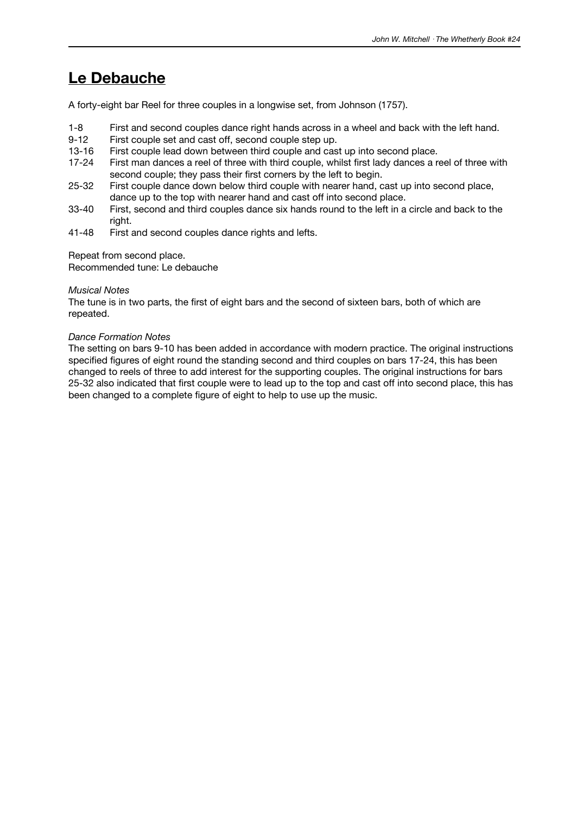## **Le Debauche**

A forty-eight bar Reel for three couples in a longwise set, from Johnson (1757).

- 1-8 First and second couples dance right hands across in a wheel and back with the left hand.
- 9-12 First couple set and cast off, second couple step up.
- 13-16 First couple lead down between third couple and cast up into second place.
- 17-24 First man dances a reel of three with third couple, whilst first lady dances a reel of three with second couple; they pass their first corners by the left to begin.
- 25-32 First couple dance down below third couple with nearer hand, cast up into second place, dance up to the top with nearer hand and cast off into second place.
- 33-40 First, second and third couples dance six hands round to the left in a circle and back to the right.
- 41-48 First and second couples dance rights and lefts.

Repeat from second place.

Recommended tune: Le debauche

#### *Musical Notes*

The tune is in two parts, the first of eight bars and the second of sixteen bars, both of which are repeated.

#### *Dance Formation Notes*

The setting on bars 9-10 has been added in accordance with modern practice. The original instructions specified figures of eight round the standing second and third couples on bars 17-24, this has been changed to reels of three to add interest for the supporting couples. The original instructions for bars 25-32 also indicated that first couple were to lead up to the top and cast off into second place, this has been changed to a complete figure of eight to help to use up the music.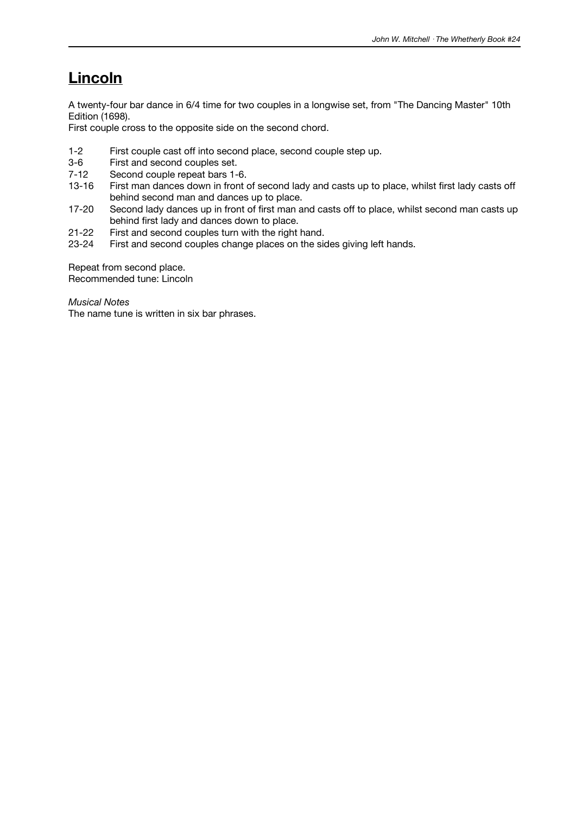# **Lincoln**

A twenty-four bar dance in 6/4 time for two couples in a longwise set, from "The Dancing Master" 10th Edition (1698).

First couple cross to the opposite side on the second chord.

- 1-2 First couple cast off into second place, second couple step up.
- 3-6 First and second couples set.
- 7-12 Second couple repeat bars 1-6.
- 13-16 First man dances down in front of second lady and casts up to place, whilst first lady casts off behind second man and dances up to place.
- 17-20 Second lady dances up in front of first man and casts off to place, whilst second man casts up behind first lady and dances down to place.
- 21-22 First and second couples turn with the right hand.<br>23-24 First and second couples change places on the side
- First and second couples change places on the sides giving left hands.

Repeat from second place.

Recommended tune: Lincoln

*Musical Notes*

The name tune is written in six bar phrases.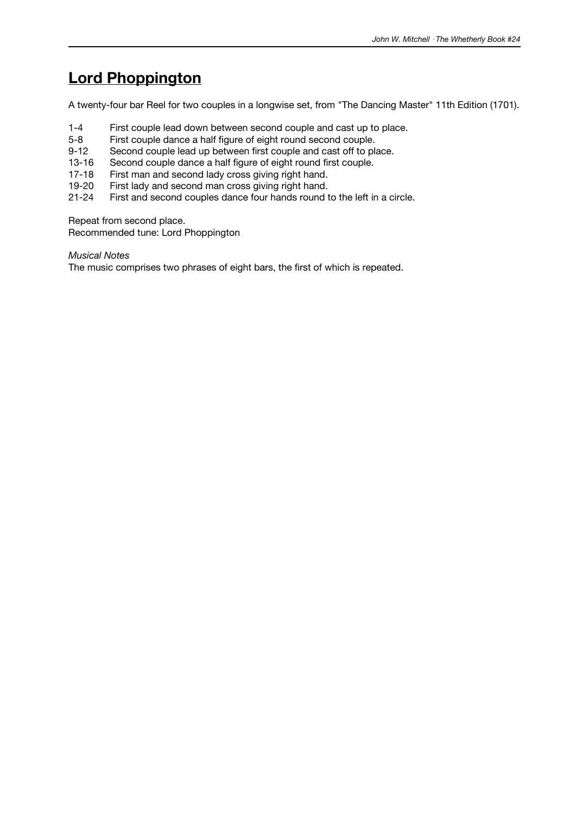## **Lord Phoppington**

A twenty-four bar Reel for two couples in a longwise set, from "The Dancing Master" 11th Edition (1701).

- 1-4 First couple lead down between second couple and cast up to place.
- 5-8 First couple dance a half figure of eight round second couple.
- 9-12 Second couple lead up between first couple and cast off to place.
- 13-16 Second couple dance a half figure of eight round first couple.
- 17-18 First man and second lady cross giving right hand.
- 19-20 First lady and second man cross giving right hand.
- 21-24 First and second couples dance four hands round to the left in a circle.

Repeat from second place.

Recommended tune: Lord Phoppington

*Musical Notes*

The music comprises two phrases of eight bars, the first of which is repeated.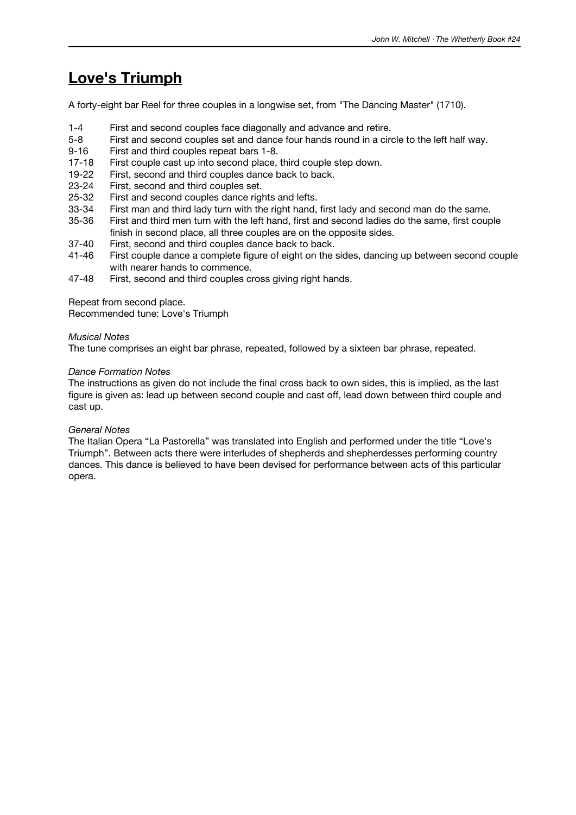# **Love's Triumph**

A forty-eight bar Reel for three couples in a longwise set, from "The Dancing Master" (1710).

- 1-4 First and second couples face diagonally and advance and retire.
- 5-8 First and second couples set and dance four hands round in a circle to the left half way.
- 9-16 First and third couples repeat bars 1-8.
- 17-18 First couple cast up into second place, third couple step down.
- 19-22 First, second and third couples dance back to back.
- 23-24 First, second and third couples set.
- 25-32 First and second couples dance rights and lefts.<br>33-34 First man and third lady turn with the right hand,
- 33-34 First man and third lady turn with the right hand, first lady and second man do the same.<br>35-36 First and third men turn with the left hand, first and second ladies do the same, first coup
- First and third men turn with the left hand, first and second ladies do the same, first couple finish in second place, all three couples are on the opposite sides.
- 37-40 First, second and third couples dance back to back.
- 41-46 First couple dance a complete figure of eight on the sides, dancing up between second couple with nearer hands to commence.
- 47-48 First, second and third couples cross giving right hands.

Repeat from second place.

Recommended tune: Love's Triumph

#### *Musical Notes*

The tune comprises an eight bar phrase, repeated, followed by a sixteen bar phrase, repeated.

#### *Dance Formation Notes*

The instructions as given do not include the final cross back to own sides, this is implied, as the last figure is given as: lead up between second couple and cast off, lead down between third couple and cast up.

### *General Notes*

The Italian Opera "La Pastorella" was translated into English and performed under the title "Love's Triumph". Between acts there were interludes of shepherds and shepherdesses performing country dances. This dance is believed to have been devised for performance between acts of this particular opera.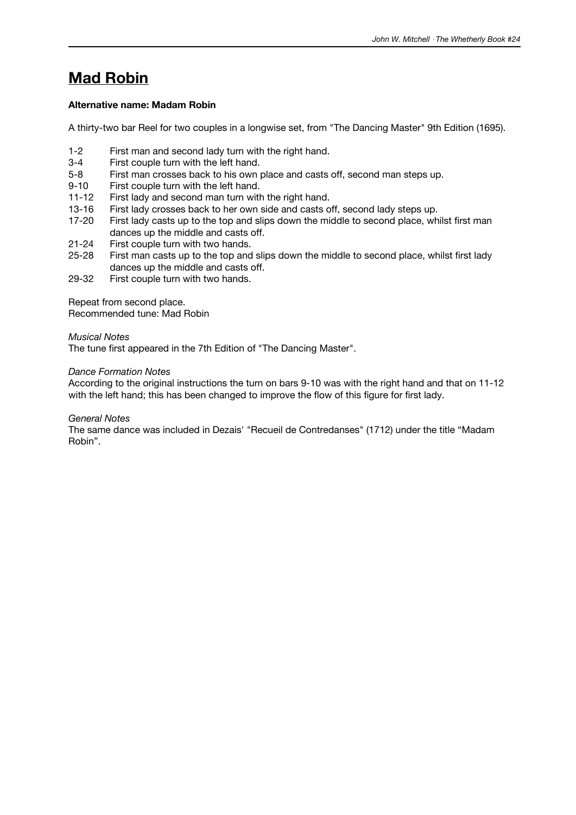# **Mad Robin**

## **Alternative name: Madam Robin**

A thirty-two bar Reel for two couples in a longwise set, from "The Dancing Master" 9th Edition (1695).

- 1-2 First man and second lady turn with the right hand.
- 3-4 First couple turn with the left hand.
- 5-8 First man crosses back to his own place and casts off, second man steps up.
- 9-10 First couple turn with the left hand.
- 11-12 First lady and second man turn with the right hand.
- 13-16 First lady crosses back to her own side and casts off, second lady steps up.<br>17-20 First lady casts up to the top and slips down the middle to second place, wh
- First lady casts up to the top and slips down the middle to second place, whilst first man dances up the middle and casts off.
- 21-24 First couple turn with two hands.
- 25-28 First man casts up to the top and slips down the middle to second place, whilst first lady dances up the middle and casts off.
- 29-32 First couple turn with two hands.

Repeat from second place. Recommended tune: Mad Robin

#### *Musical Notes*

The tune first appeared in the 7th Edition of "The Dancing Master".

#### *Dance Formation Notes*

According to the original instructions the turn on bars 9-10 was with the right hand and that on 11-12 with the left hand; this has been changed to improve the flow of this figure for first lady.

### *General Notes*

The same dance was included in Dezais' "Recueil de Contredanses" (1712) under the title "Madam Robin".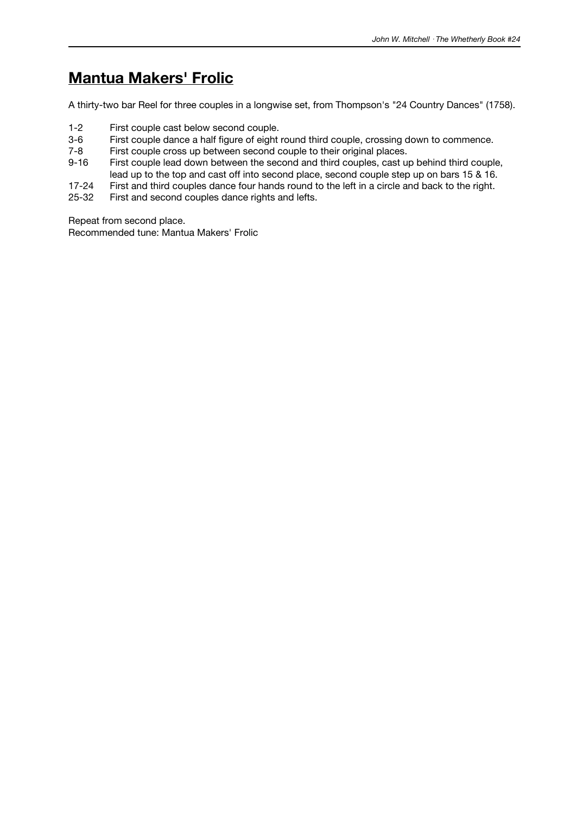# **Mantua Makers' Frolic**

A thirty-two bar Reel for three couples in a longwise set, from Thompson's "24 Country Dances" (1758).

- 1-2 First couple cast below second couple.<br>3-6 First couple dance a half figure of eight
- 3-6 First couple dance a half figure of eight round third couple, crossing down to commence.<br>7-8 First couple cross up between second couple to their original places.
- First couple cross up between second couple to their original places.
- 9-16 First couple lead down between the second and third couples, cast up behind third couple, lead up to the top and cast off into second place, second couple step up on bars 15 & 16.
- 17-24 First and third couples dance four hands round to the left in a circle and back to the right.
- 25-32 First and second couples dance rights and lefts.

Repeat from second place.

Recommended tune: Mantua Makers' Frolic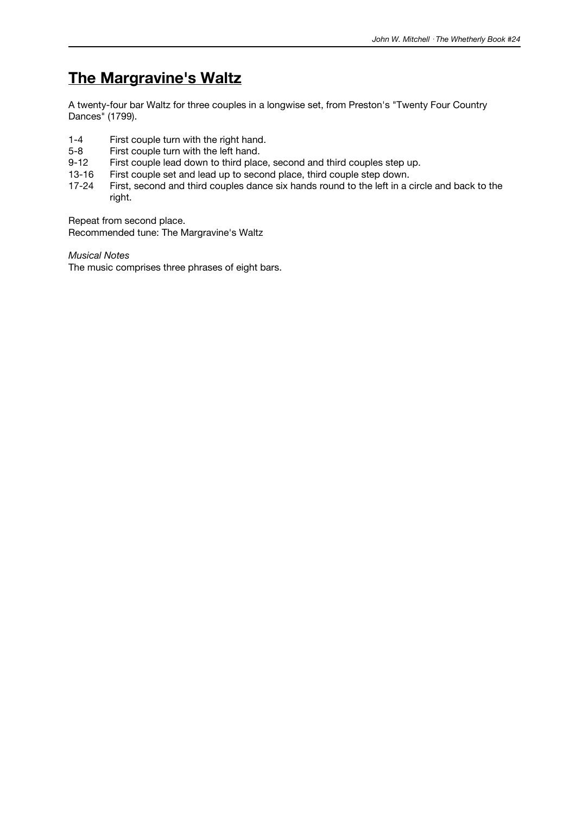## **The Margravine's Waltz**

A twenty-four bar Waltz for three couples in a longwise set, from Preston's "Twenty Four Country Dances" (1799).

- 1-4 First couple turn with the right hand.<br>5-8 First couple turn with the left hand.
- 5-8 First couple turn with the left hand.<br>9-12 First couple lead down to third plac
- First couple lead down to third place, second and third couples step up.
- 13-16 First couple set and lead up to second place, third couple step down.<br>17-24 First, second and third couples dance six hands round to the left in a
- First, second and third couples dance six hands round to the left in a circle and back to the right.

Repeat from second place.

Recommended tune: The Margravine's Waltz

*Musical Notes*

The music comprises three phrases of eight bars.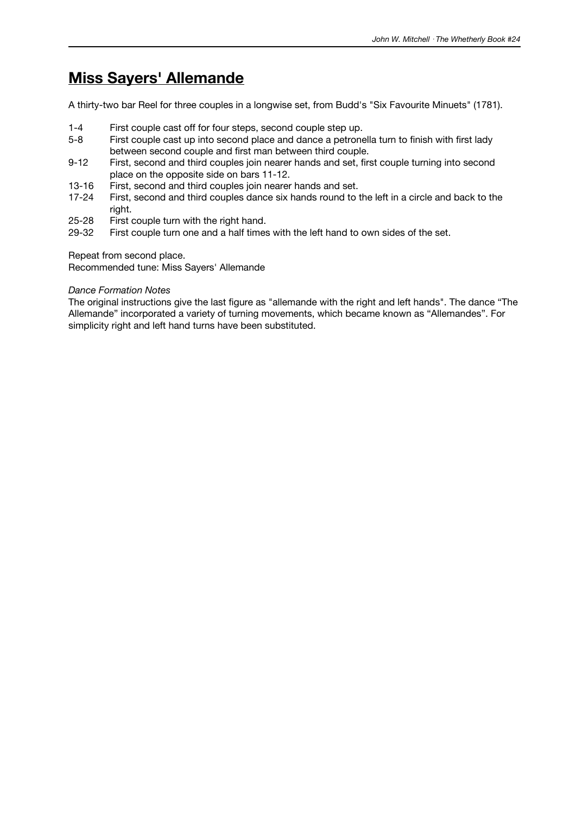## **Miss Sayers' Allemande**

A thirty-two bar Reel for three couples in a longwise set, from Budd's "Six Favourite Minuets" (1781).

- 1-4 First couple cast off for four steps, second couple step up.
- 5-8 First couple cast up into second place and dance a petronella turn to finish with first lady between second couple and first man between third couple.
- 9-12 First, second and third couples join nearer hands and set, first couple turning into second place on the opposite side on bars 11-12.
- 13-16 First, second and third couples join nearer hands and set.
- 17-24 First, second and third couples dance six hands round to the left in a circle and back to the right.
- 25-28 First couple turn with the right hand.<br>29-32 First couple turn one and a half times
- First couple turn one and a half times with the left hand to own sides of the set.

Repeat from second place.

Recommended tune: Miss Sayers' Allemande

### *Dance Formation Notes*

The original instructions give the last figure as "allemande with the right and left hands". The dance "The Allemande" incorporated a variety of turning movements, which became known as "Allemandes". For simplicity right and left hand turns have been substituted.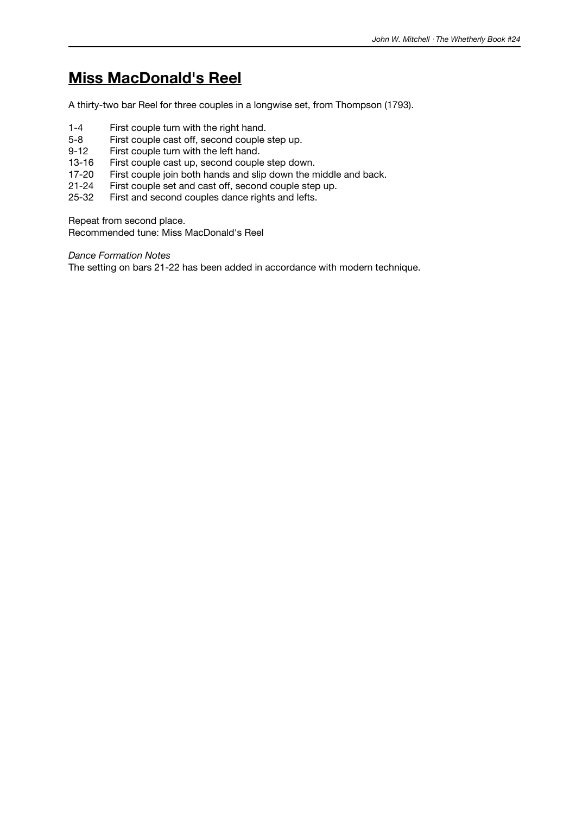# **Miss MacDonald's Reel**

A thirty-two bar Reel for three couples in a longwise set, from Thompson (1793).

- 1-4 First couple turn with the right hand.<br>5-8 First couple cast off. second couple
- 5-8 First couple cast off, second couple step up.<br>9-12 First couple turn with the left hand.
- First couple turn with the left hand.
- 13-16 First couple cast up, second couple step down.
- 17-20 First couple join both hands and slip down the middle and back.
- 21-24 First couple set and cast off, second couple step up.
- 25-32 First and second couples dance rights and lefts.

Repeat from second place.

Recommended tune: Miss MacDonald's Reel

*Dance Formation Notes*

The setting on bars 21-22 has been added in accordance with modern technique.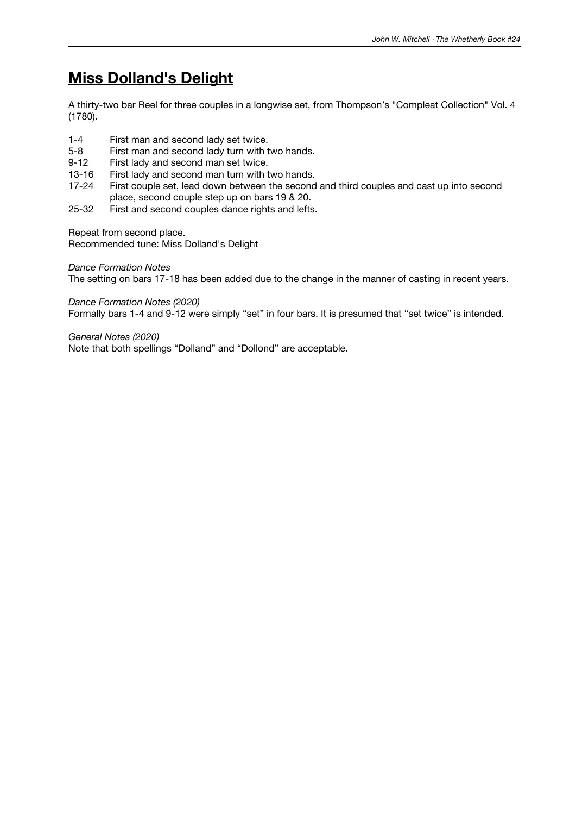## **Miss Dolland's Delight**

A thirty-two bar Reel for three couples in a longwise set, from Thompson's "Compleat Collection" Vol. 4 (1780).

- 1-4 First man and second lady set twice.
- 5-8 First man and second lady turn with two hands.
- 9-12 First lady and second man set twice.
- 13-16 First lady and second man turn with two hands.
- 17-24 First couple set, lead down between the second and third couples and cast up into second place, second couple step up on bars 19 & 20.
- 25-32 First and second couples dance rights and lefts.

Repeat from second place.

Recommended tune: Miss Dolland's Delight

*Dance Formation Notes*

The setting on bars 17-18 has been added due to the change in the manner of casting in recent years.

*Dance Formation Notes (2020)*

Formally bars 1-4 and 9-12 were simply "set" in four bars. It is presumed that "set twice" is intended.

*General Notes (2020)* Note that both spellings "Dolland" and "Dollond" are acceptable.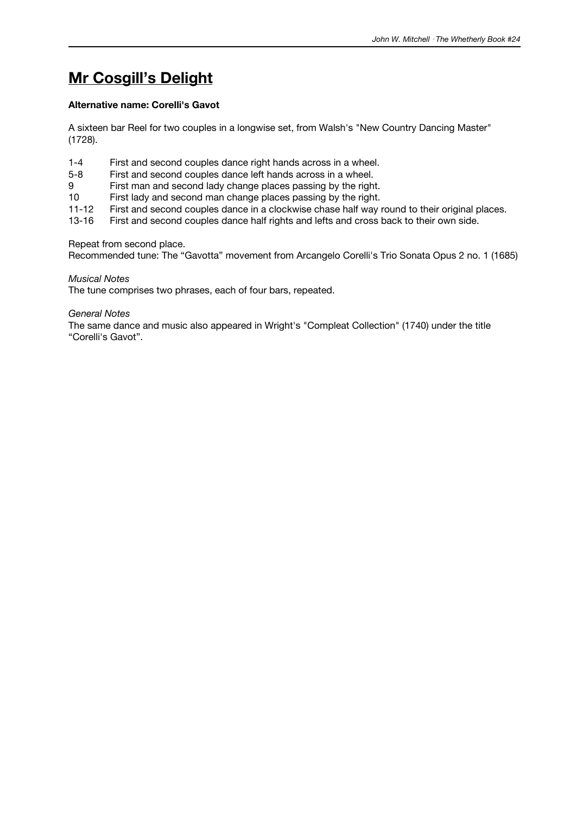# **Mr Cosgill's Delight**

### **Alternative name: Corelli's Gavot**

A sixteen bar Reel for two couples in a longwise set, from Walsh's "New Country Dancing Master" (1728).

- 1-4 First and second couples dance right hands across in a wheel.
- 5-8 First and second couples dance left hands across in a wheel.
- 9 First man and second lady change places passing by the right.
- 10 First lady and second man change places passing by the right.
- 11-12 First and second couples dance in a clockwise chase half way round to their original places.<br>13-16 First and second couples dance half rights and lefts and cross back to their own side.
- First and second couples dance half rights and lefts and cross back to their own side.

#### Repeat from second place.

Recommended tune: The "Gavotta" movement from Arcangelo Corelli's Trio Sonata Opus 2 no. 1 (1685)

#### *Musical Notes*

The tune comprises two phrases, each of four bars, repeated.

*General Notes*

The same dance and music also appeared in Wright's "Compleat Collection" (1740) under the title "Corelli's Gavot".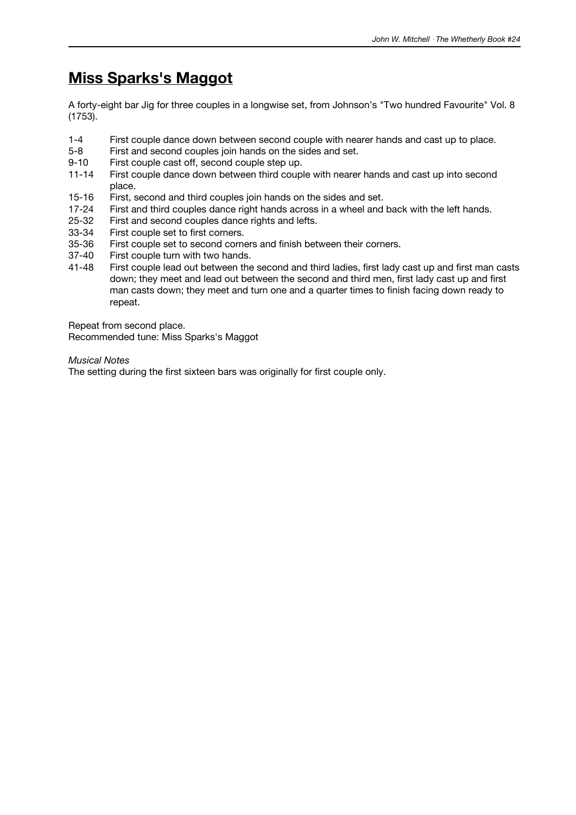# **Miss Sparks's Maggot**

A forty-eight bar Jig for three couples in a longwise set, from Johnson's "Two hundred Favourite" Vol. 8 (1753).

- 1-4 First couple dance down between second couple with nearer hands and cast up to place.
- 5-8 First and second couples join hands on the sides and set.
- 9-10 First couple cast off, second couple step up.
- 11-14 First couple dance down between third couple with nearer hands and cast up into second place.
- 15-16 First, second and third couples join hands on the sides and set.
- 17-24 First and third couples dance right hands across in a wheel and back with the left hands.<br>25-32 First and second couples dance rights and lefts.
- 25-32 First and second couples dance rights and lefts.<br>33-34 First couple set to first corners.
- 33-34 First couple set to first corners.<br>35-36 First couple set to second corne
- First couple set to second corners and finish between their corners.
- 37-40 First couple turn with two hands.<br>41-48 First couple lead out between the
- First couple lead out between the second and third ladies, first lady cast up and first man casts down; they meet and lead out between the second and third men, first lady cast up and first man casts down; they meet and turn one and a quarter times to finish facing down ready to repeat.

Repeat from second place.

Recommended tune: Miss Sparks's Maggot

*Musical Notes*

The setting during the first sixteen bars was originally for first couple only.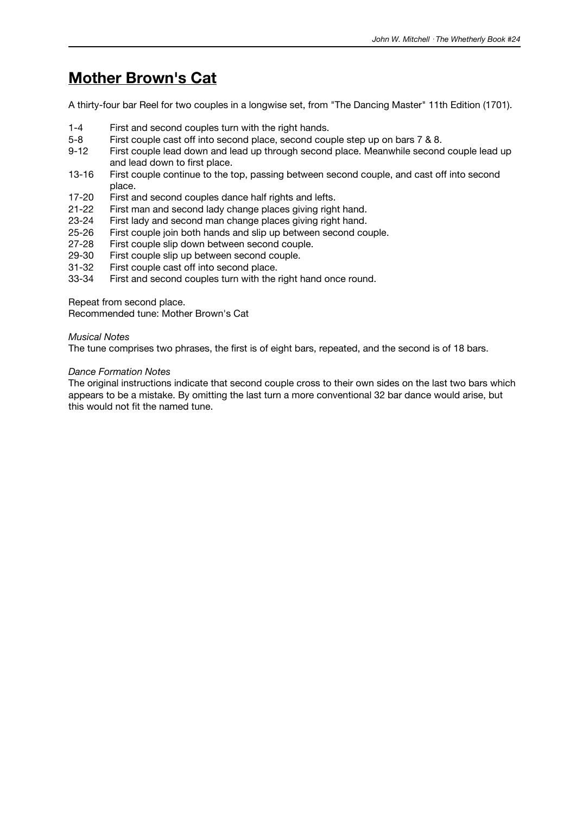## **Mother Brown's Cat**

A thirty-four bar Reel for two couples in a longwise set, from "The Dancing Master" 11th Edition (1701).

- 1-4 First and second couples turn with the right hands.
- 5-8 First couple cast off into second place, second couple step up on bars 7 & 8.<br>9-12 First couple lead down and lead up through second place. Meanwhile second
- First couple lead down and lead up through second place. Meanwhile second couple lead up and lead down to first place.
- 13-16 First couple continue to the top, passing between second couple, and cast off into second place.
- 17-20 First and second couples dance half rights and lefts.
- 21-22 First man and second lady change places giving right hand.<br>23-24 First lady and second man change places giving right hand.
- 23-24 First lady and second man change places giving right hand.<br>25-26 First couple join both hands and slip up between second co
- 25-26 First couple join both hands and slip up between second couple.<br>27-28 First couple slip down between second couple.
- First couple slip down between second couple.
- 29-30 First couple slip up between second couple.<br>31-32 First couple cast off into second place.
- First couple cast off into second place.
- 33-34 First and second couples turn with the right hand once round.

Repeat from second place.

Recommended tune: Mother Brown's Cat

#### *Musical Notes*

The tune comprises two phrases, the first is of eight bars, repeated, and the second is of 18 bars.

#### *Dance Formation Notes*

The original instructions indicate that second couple cross to their own sides on the last two bars which appears to be a mistake. By omitting the last turn a more conventional 32 bar dance would arise, but this would not fit the named tune.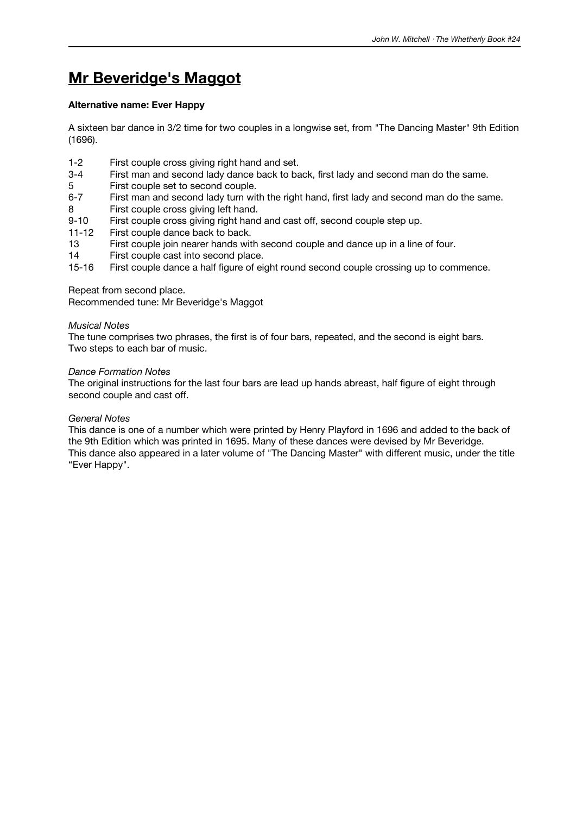# **Mr Beveridge's Maggot**

## **Alternative name: Ever Happy**

A sixteen bar dance in 3/2 time for two couples in a longwise set, from "The Dancing Master" 9th Edition (1696).

- 1-2 First couple cross giving right hand and set.
- 3-4 First man and second lady dance back to back, first lady and second man do the same.
- 5 First couple set to second couple.
- 6-7 First man and second lady turn with the right hand, first lady and second man do the same.
- 8 First couple cross giving left hand.
- 9-10 First couple cross giving right hand and cast off, second couple step up.
- 11-12 First couple dance back to back.
- 13 First couple join nearer hands with second couple and dance up in a line of four.
- 14 First couple cast into second place.
- 15-16 First couple dance a half figure of eight round second couple crossing up to commence.

## Repeat from second place.

Recommended tune: Mr Beveridge's Maggot

### *Musical Notes*

The tune comprises two phrases, the first is of four bars, repeated, and the second is eight bars. Two steps to each bar of music.

### *Dance Formation Notes*

The original instructions for the last four bars are lead up hands abreast, half figure of eight through second couple and cast off.

### *General Notes*

This dance is one of a number which were printed by Henry Playford in 1696 and added to the back of the 9th Edition which was printed in 1695. Many of these dances were devised by Mr Beveridge. This dance also appeared in a later volume of "The Dancing Master" with different music, under the title "Ever Happy".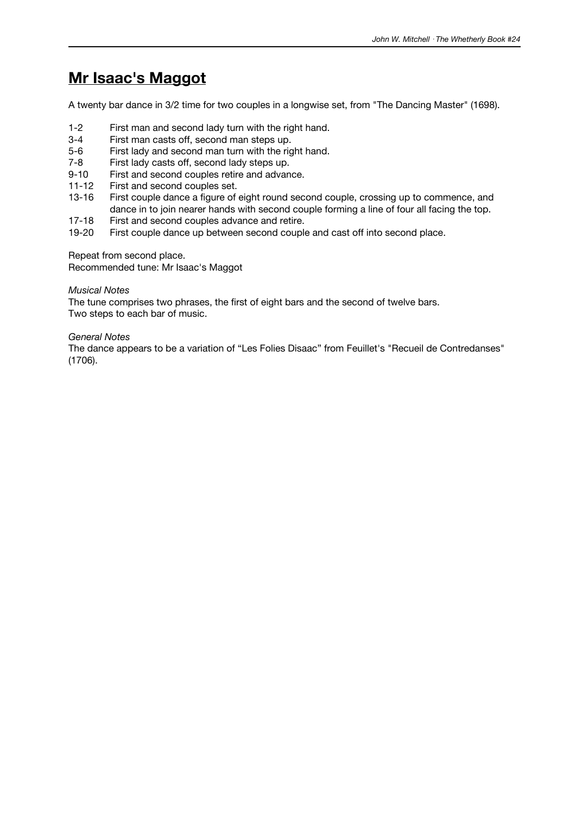# **Mr Isaac's Maggot**

A twenty bar dance in 3/2 time for two couples in a longwise set, from "The Dancing Master" (1698).

- 1-2 First man and second lady turn with the right hand.
- 3-4 First man casts off, second man steps up.<br>5-6 First lady and second man turn with the rig
- First lady and second man turn with the right hand.
- 7-8 First lady casts off, second lady steps up.
- 9-10 First and second couples retire and advance.
- 11-12 First and second couples set.
- 13-16 First couple dance a figure of eight round second couple, crossing up to commence, and dance in to join nearer hands with second couple forming a line of four all facing the top.
- 17-18 First and second couples advance and retire.<br>19-20 First couple dance up between second couple
- First couple dance up between second couple and cast off into second place.

Repeat from second place.

Recommended tune: Mr Isaac's Maggot

## *Musical Notes*

The tune comprises two phrases, the first of eight bars and the second of twelve bars. Two steps to each bar of music.

## *General Notes*

The dance appears to be a variation of "Les Folies Disaac" from Feuillet's "Recueil de Contredanses" (1706).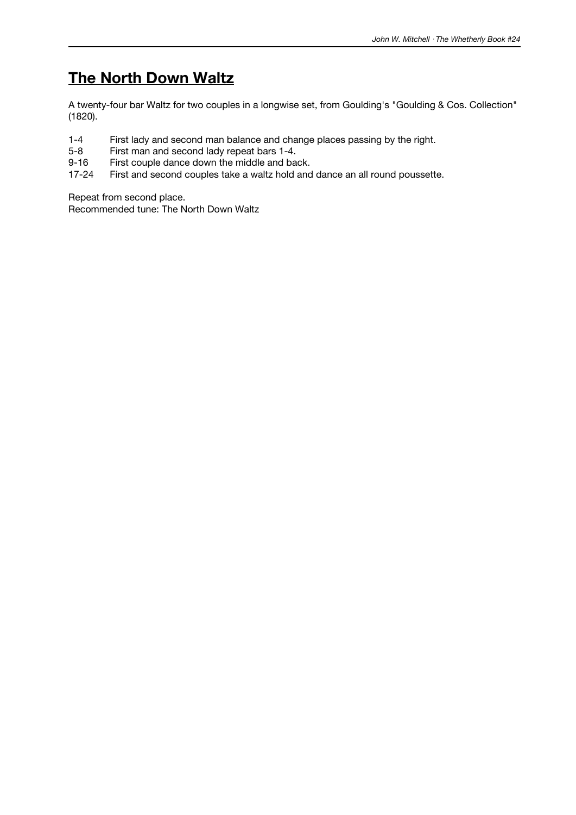# **The North Down Waltz**

A twenty-four bar Waltz for two couples in a longwise set, from Goulding's "Goulding & Cos. Collection" (1820).

- 1-4 First lady and second man balance and change places passing by the right.<br>5-8 First man and second lady repeat bars 1-4.
- 5-8 First man and second lady repeat bars 1-4.<br>9-16 First couple dance down the middle and ba
- First couple dance down the middle and back.
- 17-24 First and second couples take a waltz hold and dance an all round poussette.

Repeat from second place.

Recommended tune: The North Down Waltz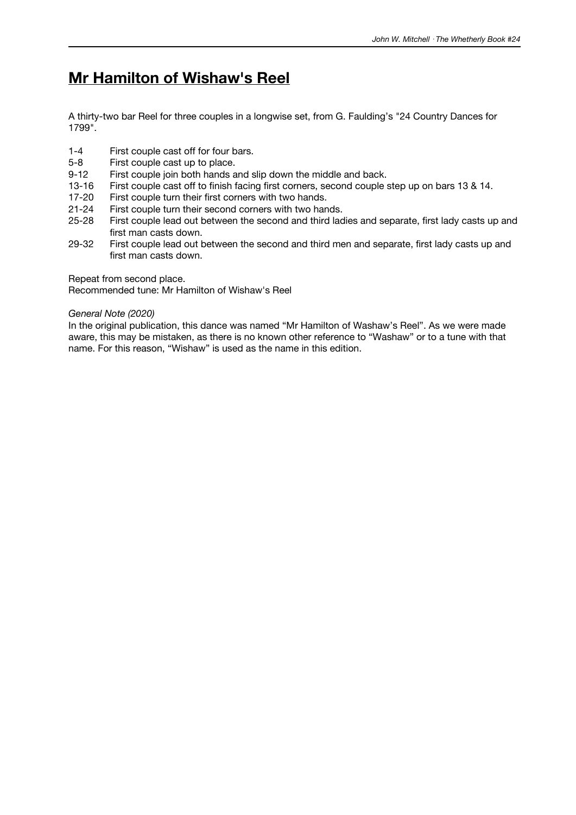## **Mr Hamilton of Wishaw's Reel**

A thirty-two bar Reel for three couples in a longwise set, from G. Faulding's "24 Country Dances for 1799".

- 1-4 First couple cast off for four bars.
- 5-8 First couple cast up to place.
- 9-12 First couple join both hands and slip down the middle and back.
- 13-16 First couple cast off to finish facing first corners, second couple step up on bars 13 & 14.
- 17-20 First couple turn their first corners with two hands.
- 21-24 First couple turn their second corners with two hands.<br>25-28 First couple lead out between the second and third lad
- First couple lead out between the second and third ladies and separate, first lady casts up and first man casts down.
- 29-32 First couple lead out between the second and third men and separate, first lady casts up and first man casts down.

Repeat from second place.

Recommended tune: Mr Hamilton of Wishaw's Reel

#### *General Note (2020)*

In the original publication, this dance was named "Mr Hamilton of Washaw's Reel". As we were made aware, this may be mistaken, as there is no known other reference to "Washaw" or to a tune with that name. For this reason, "Wishaw" is used as the name in this edition.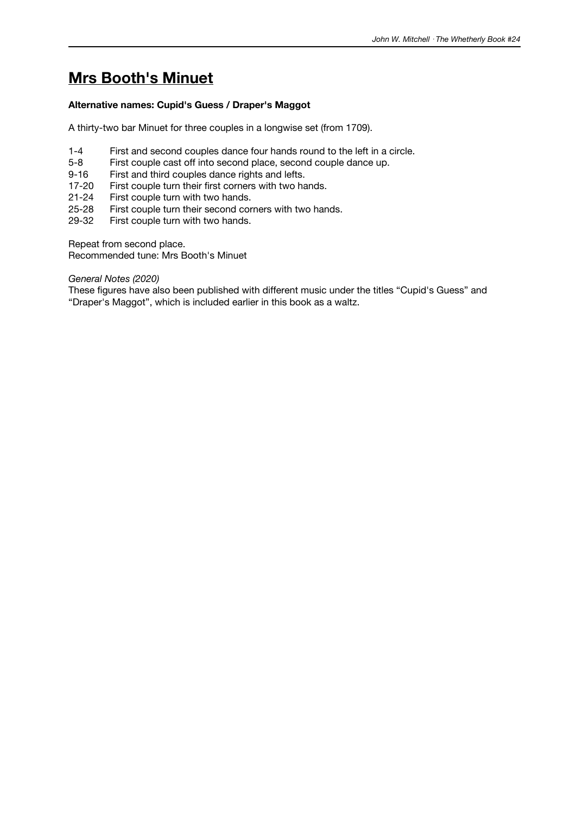# **Mrs Booth's Minuet**

### **Alternative names: Cupid's Guess / Draper's Maggot**

A thirty-two bar Minuet for three couples in a longwise set (from 1709).

- 1-4 First and second couples dance four hands round to the left in a circle.
- 5-8 First couple cast off into second place, second couple dance up.
- 9-16 First and third couples dance rights and lefts.
- 17-20 First couple turn their first corners with two hands.
- 21-24 First couple turn with two hands.
- 25-28 First couple turn their second corners with two hands.<br>29-32 First couple turn with two hands.
- First couple turn with two hands.

Repeat from second place.

Recommended tune: Mrs Booth's Minuet

#### *General Notes (2020)*

These figures have also been published with different music under the titles "Cupid's Guess" and "Draper's Maggot", which is included earlier in this book as a waltz.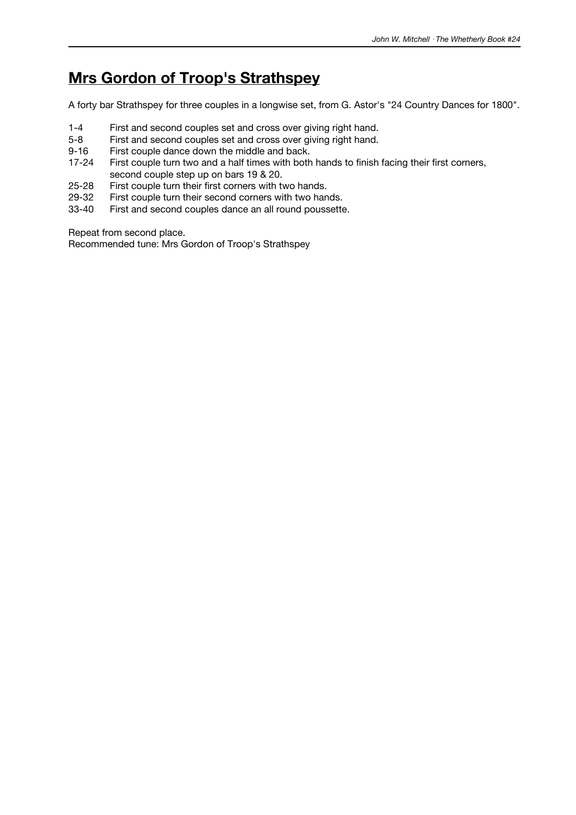# **Mrs Gordon of Troop's Strathspey**

A forty bar Strathspey for three couples in a longwise set, from G. Astor's "24 Country Dances for 1800".

- 1-4 First and second couples set and cross over giving right hand.<br>5-8 First and second couples set and cross over giving right hand.
- First and second couples set and cross over giving right hand.
- 9-16 First couple dance down the middle and back.
- 17-24 First couple turn two and a half times with both hands to finish facing their first corners, second couple step up on bars 19 & 20.
- 25-28 First couple turn their first corners with two hands.
- 29-32 First couple turn their second corners with two hands.<br>33-40 First and second couples dance an all round poussette
- First and second couples dance an all round poussette.

Repeat from second place.

Recommended tune: Mrs Gordon of Troop's Strathspey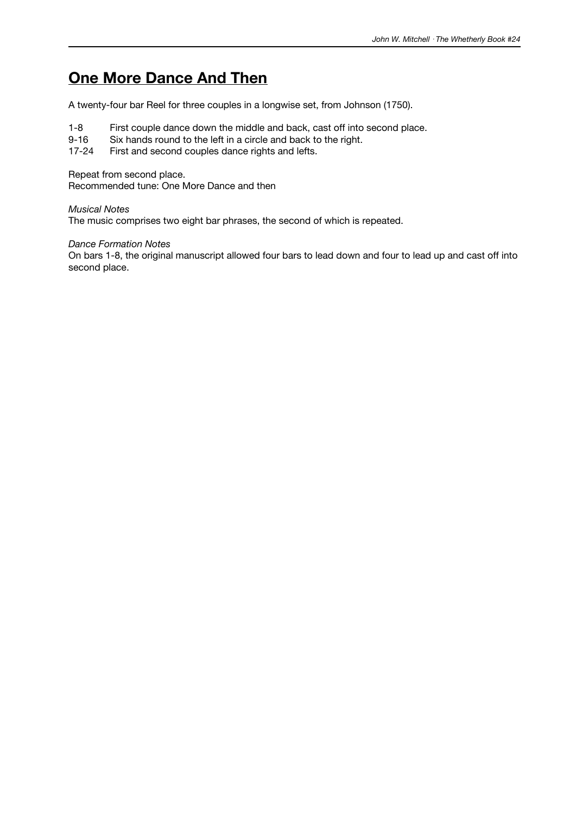# **One More Dance And Then**

A twenty-four bar Reel for three couples in a longwise set, from Johnson (1750).

- 1-8 First couple dance down the middle and back, cast off into second place.<br>9-16 Six hands round to the left in a circle and back to the right.
- 9-16 Six hands round to the left in a circle and back to the right.<br>17-24 First and second couples dance rights and lefts.

First and second couples dance rights and lefts.

Repeat from second place.

Recommended tune: One More Dance and then

*Musical Notes*

The music comprises two eight bar phrases, the second of which is repeated.

*Dance Formation Notes*

On bars 1-8, the original manuscript allowed four bars to lead down and four to lead up and cast off into second place.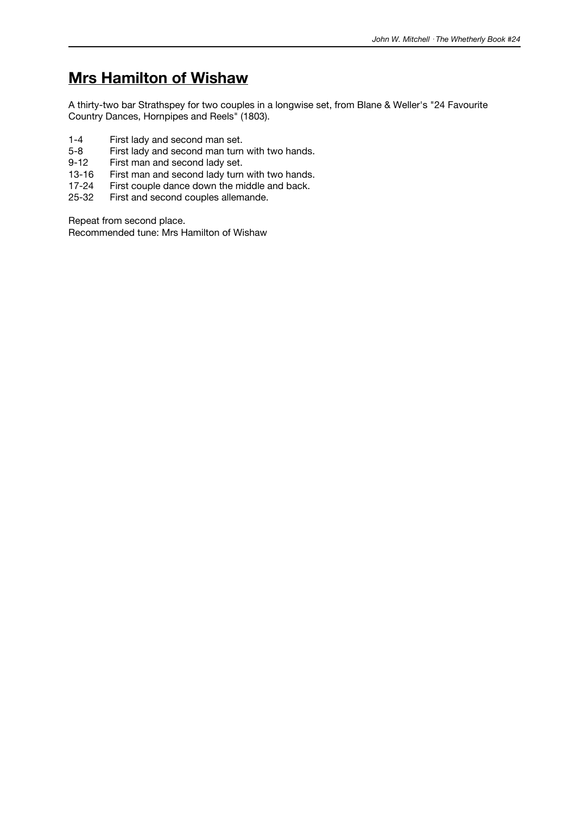# **Mrs Hamilton of Wishaw**

A thirty-two bar Strathspey for two couples in a longwise set, from Blane & Weller's "24 Favourite Country Dances, Hornpipes and Reels" (1803).

- 1-4 First lady and second man set.<br>5-8 First lady and second man turn
- 5-8 First lady and second man turn with two hands.<br>9-12 First man and second lady set.
- First man and second lady set.
- 13-16 First man and second lady turn with two hands.<br>17-24 First couple dance down the middle and back.
- 17-24 First couple dance down the middle and back.<br>25-32 First and second couples allemande.
- First and second couples allemande.

Repeat from second place.

Recommended tune: Mrs Hamilton of Wishaw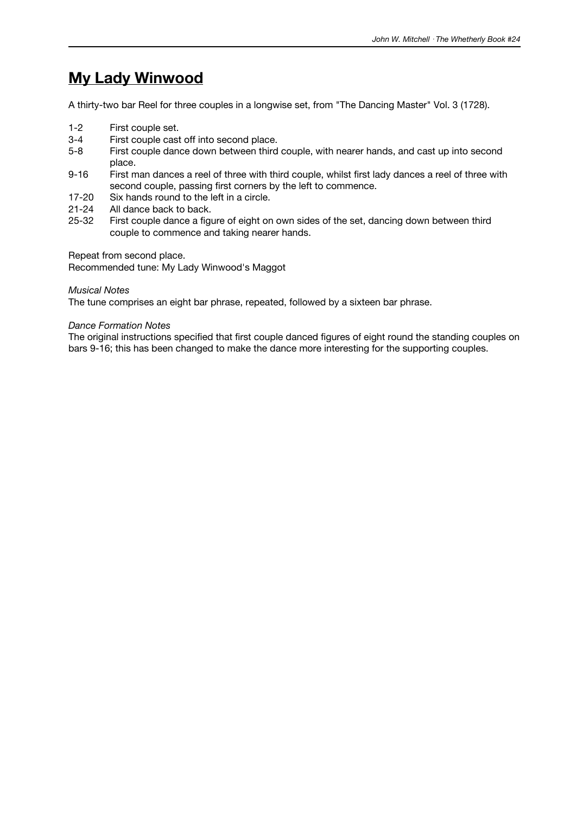# **My Lady Winwood**

A thirty-two bar Reel for three couples in a longwise set, from "The Dancing Master" Vol. 3 (1728).

- 1-2 First couple set.
- 3-4 First couple cast off into second place.
- 5-8 First couple dance down between third couple, with nearer hands, and cast up into second place.
- 9-16 First man dances a reel of three with third couple, whilst first lady dances a reel of three with second couple, passing first corners by the left to commence.
- 17-20 Six hands round to the left in a circle.
- 21-24 All dance back to back.<br>25-32 First couple dance a figu
- First couple dance a figure of eight on own sides of the set, dancing down between third couple to commence and taking nearer hands.

Repeat from second place.

Recommended tune: My Lady Winwood's Maggot

#### *Musical Notes*

The tune comprises an eight bar phrase, repeated, followed by a sixteen bar phrase.

#### *Dance Formation Notes*

The original instructions specified that first couple danced figures of eight round the standing couples on bars 9-16; this has been changed to make the dance more interesting for the supporting couples.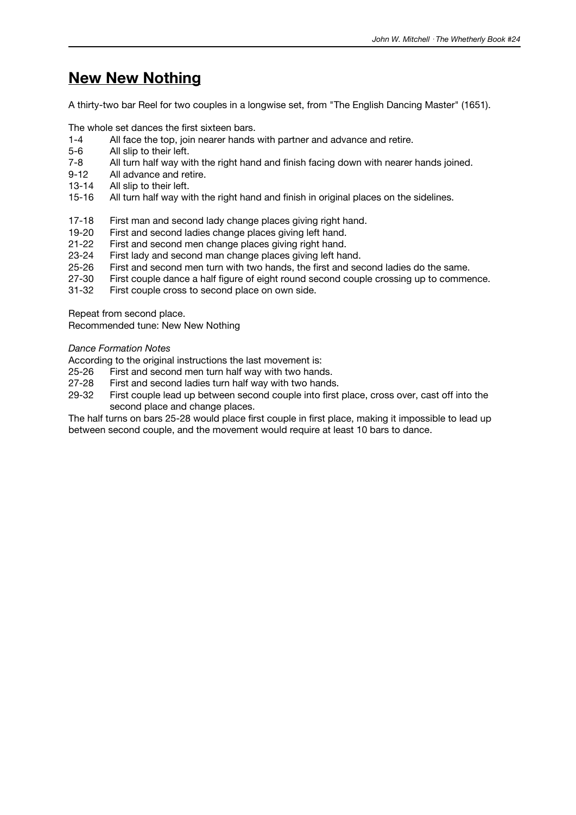## **New New Nothing**

A thirty-two bar Reel for two couples in a longwise set, from "The English Dancing Master" (1651).

The whole set dances the first sixteen bars.

- 1-4 All face the top, join nearer hands with partner and advance and retire.
- 
- 5-6 All slip to their left.<br>7-8 All turn half way wi All turn half way with the right hand and finish facing down with nearer hands joined.
- 9-12 All advance and retire.
- 13-14 All slip to their left.
- 15-16 All turn half way with the right hand and finish in original places on the sidelines.
- 17-18 First man and second lady change places giving right hand.<br>19-20 First and second ladies change places giving left hand.
- 19-20 First and second ladies change places giving left hand.<br>21-22 First and second men change places giving right hand.
- First and second men change places giving right hand.
- 23-24 First lady and second man change places giving left hand.
- 25-26 First and second men turn with two hands, the first and second ladies do the same.
- 27-30 First couple dance a half figure of eight round second couple crossing up to commence.
- 31-32 First couple cross to second place on own side.

Repeat from second place.

Recommended tune: New New Nothing

#### *Dance Formation Notes*

According to the original instructions the last movement is:

- 25-26 First and second men turn half way with two hands.
- 27-28 First and second ladies turn half way with two hands.
- 29-32 First couple lead up between second couple into first place, cross over, cast off into the second place and change places.

The half turns on bars 25-28 would place first couple in first place, making it impossible to lead up between second couple, and the movement would require at least 10 bars to dance.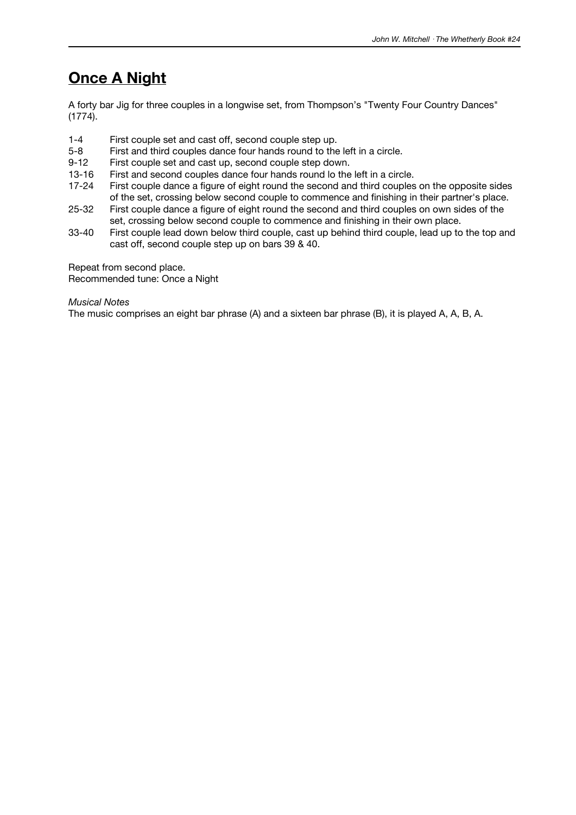## **Once A Night**

A forty bar Jig for three couples in a longwise set, from Thompson's "Twenty Four Country Dances" (1774).

- 1-4 First couple set and cast off, second couple step up.<br>5-8 First and third couples dance four hands round to the
- First and third couples dance four hands round to the left in a circle.
- 9-12 First couple set and cast up, second couple step down.
- 13-16 First and second couples dance four hands round lo the left in a circle.
- 17-24 First couple dance a figure of eight round the second and third couples on the opposite sides of the set, crossing below second couple to commence and finishing in their partner's place.
- 25-32 First couple dance a figure of eight round the second and third couples on own sides of the set, crossing below second couple to commence and finishing in their own place.
- 33-40 First couple lead down below third couple, cast up behind third couple, lead up to the top and cast off, second couple step up on bars 39 & 40.

Repeat from second place.

Recommended tune: Once a Night

*Musical Notes*

The music comprises an eight bar phrase (A) and a sixteen bar phrase (B), it is played A, A, B, A.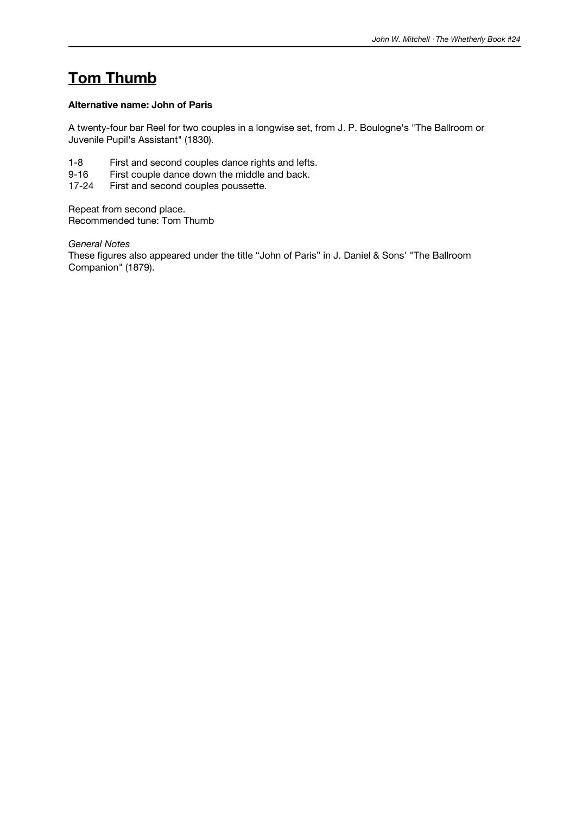# **Tom Thumb**

### **Alternative name: John of Paris**

A twenty-four bar Reel for two couples in a longwise set, from J. P. Boulogne's "The Ballroom or Juvenile Pupil's Assistant" (1830).

- 1-8 First and second couples dance rights and lefts.
- 9-16 First couple dance down the middle and back.<br>17-24 First and second couples poussette.
- First and second couples poussette.

Repeat from second place. Recommended tune: Tom Thumb

*General Notes*

These figures also appeared under the title "John of Paris" in J. Daniel & Sons' "The Ballroom Companion" (1879).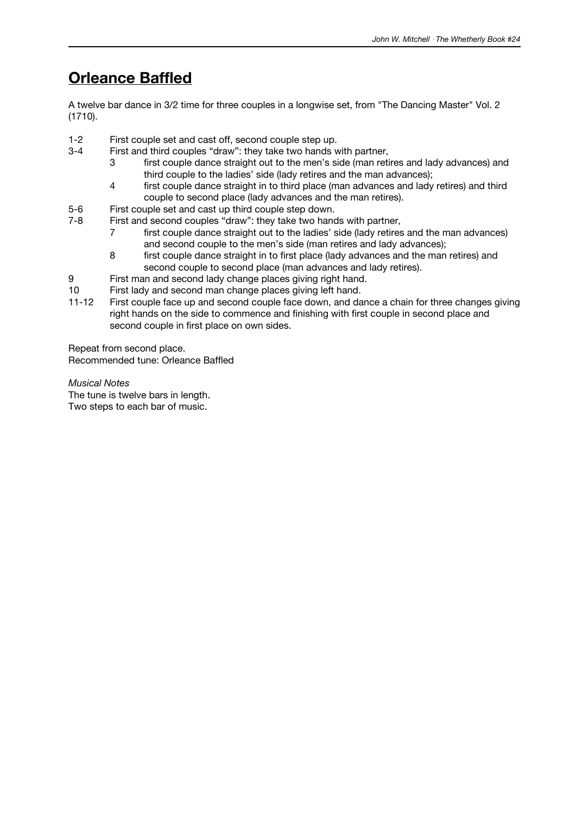# **Orleance Baffled**

A twelve bar dance in 3/2 time for three couples in a longwise set, from "The Dancing Master" Vol. 2 (1710).

- 1-2 First couple set and cast off, second couple step up.
- 3-4 First and third couples "draw": they take two hands with partner,
	- 3 first couple dance straight out to the men's side (man retires and lady advances) and third couple to the ladies' side (lady retires and the man advances);
	- 4 first couple dance straight in to third place (man advances and lady retires) and third couple to second place (lady advances and the man retires).
- 5-6 First couple set and cast up third couple step down.
- 7-8 First and second couples "draw": they take two hands with partner,
	- 7 first couple dance straight out to the ladies' side (lady retires and the man advances) and second couple to the men's side (man retires and lady advances);
	- 8 first couple dance straight in to first place (lady advances and the man retires) and second couple to second place (man advances and lady retires).
- 9 First man and second lady change places giving right hand.
- 10 First lady and second man change places giving left hand.
- 11-12 First couple face up and second couple face down, and dance a chain for three changes giving right hands on the side to commence and finishing with first couple in second place and second couple in first place on own sides.

Repeat from second place. Recommended tune: Orleance Baffled

*Musical Notes*

The tune is twelve bars in length. Two steps to each bar of music.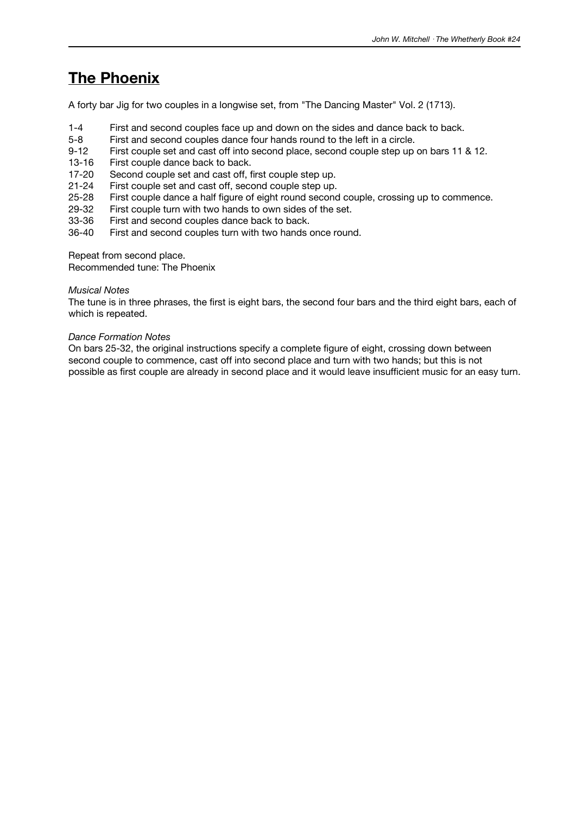# **The Phoenix**

A forty bar Jig for two couples in a longwise set, from "The Dancing Master" Vol. 2 (1713).

- 1-4 First and second couples face up and down on the sides and dance back to back.
- 5-8 First and second couples dance four hands round to the left in a circle.<br>9-12 First couple set and cast off into second place, second couple step up
- First couple set and cast off into second place, second couple step up on bars 11 & 12.
- 13-16 First couple dance back to back.
- 17-20 Second couple set and cast off, first couple step up.
- 
- 21-24 First couple set and cast off, second couple step up. First couple dance a half figure of eight round second couple, crossing up to commence.
- 29-32 First couple turn with two hands to own sides of the set.<br>33-36 First and second couples dance back to back.
- 33-36 First and second couples dance back to back.<br>36-40 First and second couples turn with two hands
- First and second couples turn with two hands once round.

Repeat from second place.

Recommended tune: The Phoenix

#### *Musical Notes*

The tune is in three phrases, the first is eight bars, the second four bars and the third eight bars, each of which is repeated.

#### *Dance Formation Notes*

On bars 25-32, the original instructions specify a complete figure of eight, crossing down between second couple to commence, cast off into second place and turn with two hands; but this is not possible as first couple are already in second place and it would leave insufficient music for an easy turn.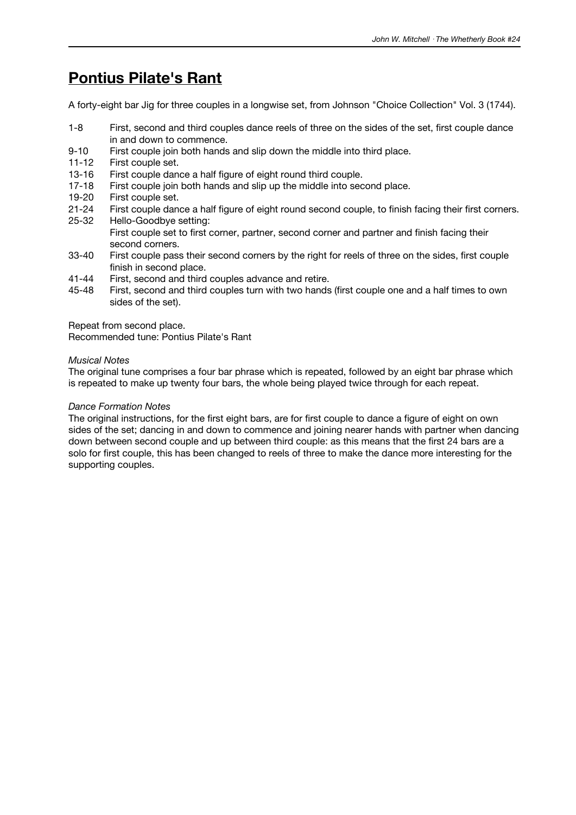## **Pontius Pilate's Rant**

A forty-eight bar Jig for three couples in a longwise set, from Johnson "Choice Collection" Vol. 3 (1744).

- 1-8 First, second and third couples dance reels of three on the sides of the set, first couple dance in and down to commence.
- 9-10 First couple join both hands and slip down the middle into third place.
- 11-12 First couple set.
- 13-16 First couple dance a half figure of eight round third couple.
- 17-18 First couple join both hands and slip up the middle into second place.
- 19-20 First couple set.
- 21-24 First couple dance a half figure of eight round second couple, to finish facing their first corners. 25-32 Hello-Goodbye setting:
- First couple set to first corner, partner, second corner and partner and finish facing their second corners.
- 33-40 First couple pass their second corners by the right for reels of three on the sides, first couple finish in second place.
- 41-44 First, second and third couples advance and retire.
- 45-48 First, second and third couples turn with two hands (first couple one and a half times to own sides of the set).

Repeat from second place.

Recommended tune: Pontius Pilate's Rant

#### *Musical Notes*

The original tune comprises a four bar phrase which is repeated, followed by an eight bar phrase which is repeated to make up twenty four bars, the whole being played twice through for each repeat.

#### *Dance Formation Notes*

The original instructions, for the first eight bars, are for first couple to dance a figure of eight on own sides of the set; dancing in and down to commence and joining nearer hands with partner when dancing down between second couple and up between third couple: as this means that the first 24 bars are a solo for first couple, this has been changed to reels of three to make the dance more interesting for the supporting couples.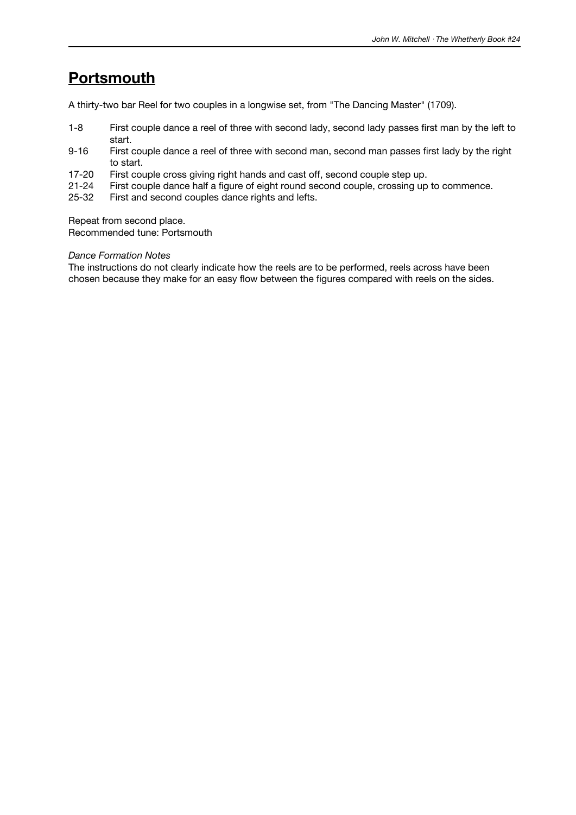# **Portsmouth**

A thirty-two bar Reel for two couples in a longwise set, from "The Dancing Master" (1709).

- 1-8 First couple dance a reel of three with second lady, second lady passes first man by the left to start.
- 9-16 First couple dance a reel of three with second man, second man passes first lady by the right to start.
- 17-20 First couple cross giving right hands and cast off, second couple step up.
- 21-24 First couple dance half a figure of eight round second couple, crossing up to commence.
- 25-32 First and second couples dance rights and lefts.

Repeat from second place.

Recommended tune: Portsmouth

#### *Dance Formation Notes*

The instructions do not clearly indicate how the reels are to be performed, reels across have been chosen because they make for an easy flow between the figures compared with reels on the sides.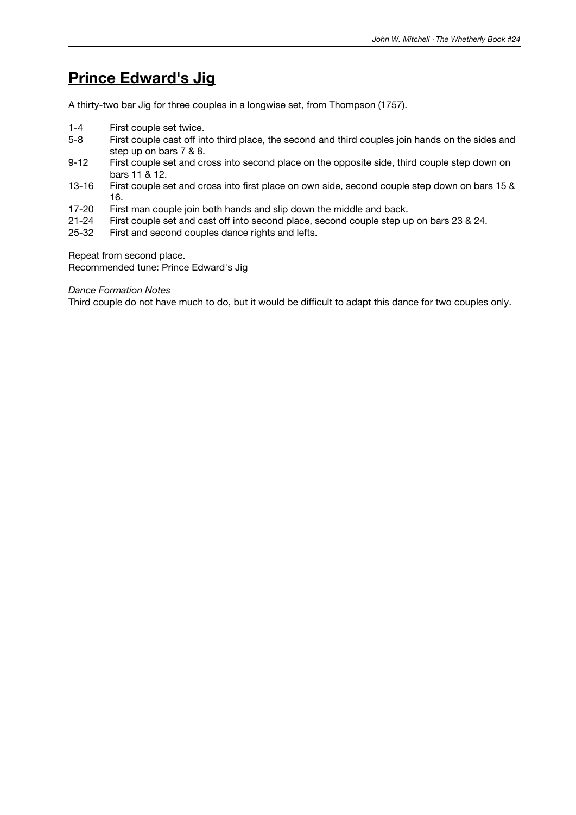# **Prince Edward's Jig**

A thirty-two bar Jig for three couples in a longwise set, from Thompson (1757).

- 1-4 First couple set twice.
- 5-8 First couple cast off into third place, the second and third couples join hands on the sides and step up on bars 7 & 8.
- 9-12 First couple set and cross into second place on the opposite side, third couple step down on bars 11 & 12.
- 13-16 First couple set and cross into first place on own side, second couple step down on bars 15 & 16.
- 17-20 First man couple join both hands and slip down the middle and back.<br>21-24 First couple set and cast off into second place, second couple step up
- 21-24 First couple set and cast off into second place, second couple step up on bars 23 & 24.<br>25-32 First and second couples dance rights and lefts.
- First and second couples dance rights and lefts.

Repeat from second place.

Recommended tune: Prince Edward's Jig

*Dance Formation Notes*

Third couple do not have much to do, but it would be difficult to adapt this dance for two couples only.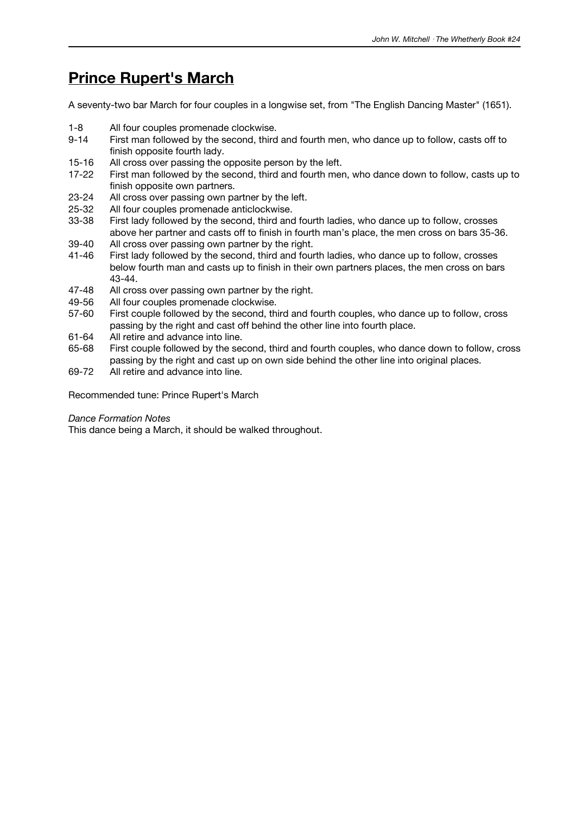## **Prince Rupert's March**

A seventy-two bar March for four couples in a longwise set, from "The English Dancing Master" (1651).

- 1-8 All four couples promenade clockwise.
- 9-14 First man followed by the second, third and fourth men, who dance up to follow, casts off to finish opposite fourth lady.
- 15-16 All cross over passing the opposite person by the left.
- 17-22 First man followed by the second, third and fourth men, who dance down to follow, casts up to finish opposite own partners.
- 23-24 All cross over passing own partner by the left.
- 25-32 All four couples promenade anticlockwise.
- 33-38 First lady followed by the second, third and fourth ladies, who dance up to follow, crosses above her partner and casts off to finish in fourth man's place, the men cross on bars 35-36.
- 39-40 All cross over passing own partner by the right.
- 41-46 First lady followed by the second, third and fourth ladies, who dance up to follow, crosses below fourth man and casts up to finish in their own partners places, the men cross on bars 43-44.
- 47-48 All cross over passing own partner by the right.
- 49-56 All four couples promenade clockwise.
- 57-60 First couple followed by the second, third and fourth couples, who dance up to follow, cross passing by the right and cast off behind the other line into fourth place.
- 61-64 All retire and advance into line.
- 65-68 First couple followed by the second, third and fourth couples, who dance down to follow, cross passing by the right and cast up on own side behind the other line into original places.
- 69-72 All retire and advance into line.

Recommended tune: Prince Rupert's March

#### *Dance Formation Notes*

This dance being a March, it should be walked throughout.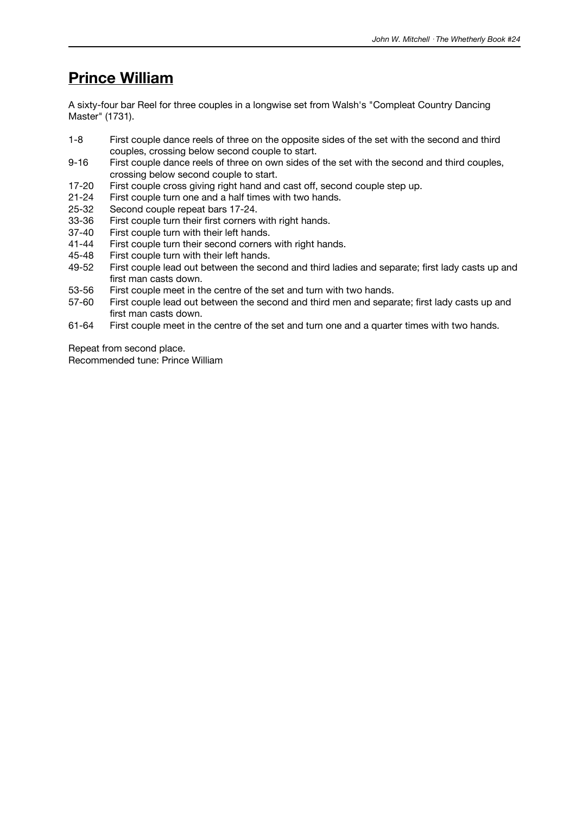## **Prince William**

A sixty-four bar Reel for three couples in a longwise set from Walsh's "Compleat Country Dancing Master" (1731).

- 1-8 First couple dance reels of three on the opposite sides of the set with the second and third couples, crossing below second couple to start.
- 9-16 First couple dance reels of three on own sides of the set with the second and third couples, crossing below second couple to start.
- 17-20 First couple cross giving right hand and cast off, second couple step up.
- 21-24 First couple turn one and a half times with two hands.
- 25-32 Second couple repeat bars 17-24.<br>33-36 First couple turn their first corners
- 33-36 First couple turn their first corners with right hands.<br>37-40 First couple turn with their left hands.
- 37-40 First couple turn with their left hands.<br>41-44 First couple turn their second corners
- First couple turn their second corners with right hands.
- 45-48 First couple turn with their left hands.<br>49-52 First couple lead out between the sec
- First couple lead out between the second and third ladies and separate; first lady casts up and first man casts down.
- 53-56 First couple meet in the centre of the set and turn with two hands.
- 57-60 First couple lead out between the second and third men and separate; first lady casts up and first man casts down.
- 61-64 First couple meet in the centre of the set and turn one and a quarter times with two hands.

Repeat from second place.

Recommended tune: Prince William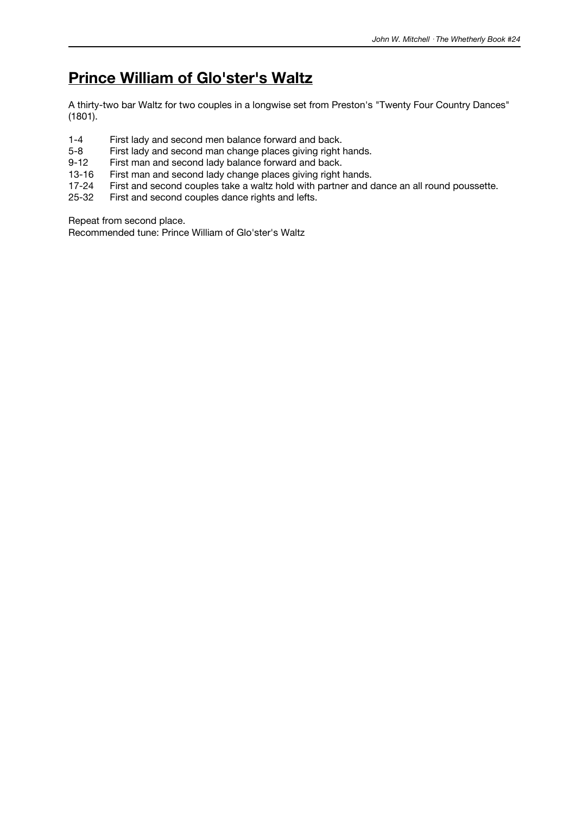# **Prince William of Glo'ster's Waltz**

A thirty-two bar Waltz for two couples in a longwise set from Preston's "Twenty Four Country Dances" (1801).

- 1-4 First lady and second men balance forward and back.<br>5-8 First lady and second man change places giving right l
- First lady and second man change places giving right hands.
- 9-12 First man and second lady balance forward and back.
- 13-16 First man and second lady change places giving right hands.<br>17-24 First and second couples take a waltz hold with partner and c
- First and second couples take a waltz hold with partner and dance an all round poussette.
- 25-32 First and second couples dance rights and lefts.

Repeat from second place.

Recommended tune: Prince William of Glo'ster's Waltz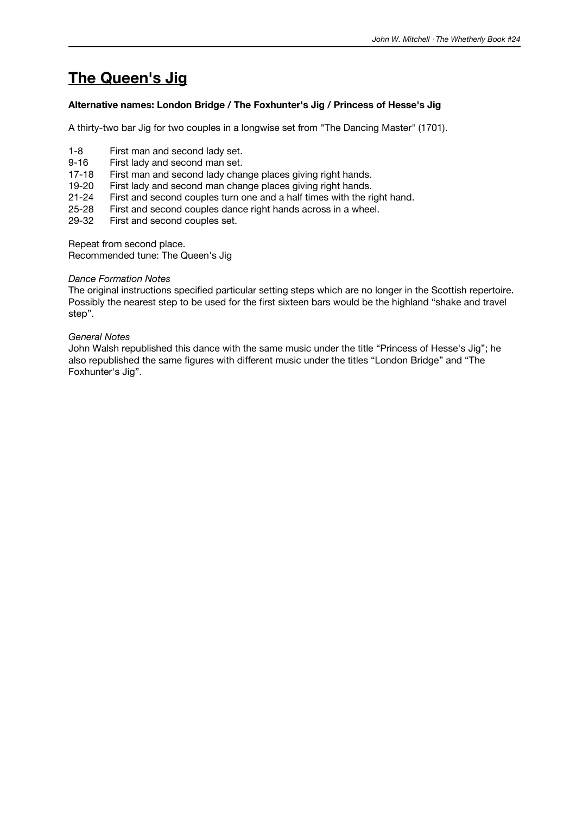# **The Queen's Jig**

### **Alternative names: London Bridge / The Foxhunter's Jig / Princess of Hesse's Jig**

A thirty-two bar Jig for two couples in a longwise set from "The Dancing Master" (1701).

- 1-8 First man and second lady set.
- 9-16 First lady and second man set.
- 17-18 First man and second lady change places giving right hands.
- 19-20 First lady and second man change places giving right hands.
- 21-24 First and second couples turn one and a half times with the right hand.
- 25-28 First and second couples dance right hands across in a wheel.<br>29-32 First and second couples set.
- First and second couples set.

Repeat from second place. Recommended tune: The Queen's Jig

#### *Dance Formation Notes*

The original instructions specified particular setting steps which are no longer in the Scottish repertoire. Possibly the nearest step to be used for the first sixteen bars would be the highland "shake and travel step".

#### *General Notes*

John Walsh republished this dance with the same music under the title "Princess of Hesse's Jig"; he also republished the same figures with different music under the titles "London Bridge" and "The Foxhunter's Jig".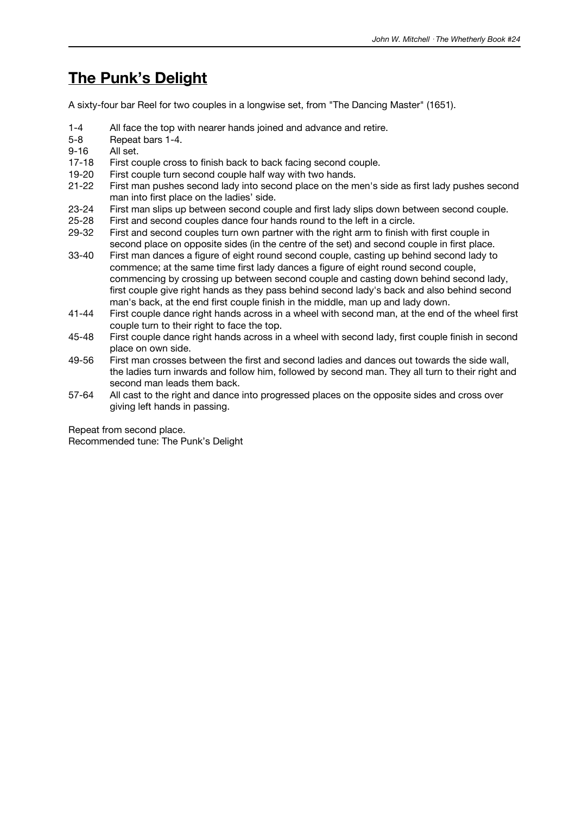# **The Punk's Delight**

A sixty-four bar Reel for two couples in a longwise set, from "The Dancing Master" (1651).

- 1-4 All face the top with nearer hands joined and advance and retire.
- 5-8 Repeat bars 1-4.
- 9-16 All set.
- 17-18 First couple cross to finish back to back facing second couple.
- 19-20 First couple turn second couple half way with two hands.
- 21-22 First man pushes second lady into second place on the men's side as first lady pushes second man into first place on the ladies' side.
- 23-24 First man slips up between second couple and first lady slips down between second couple.<br>25-28 First and second couples dance four hands round to the left in a circle.
- 25-28 First and second couples dance four hands round to the left in a circle.<br>29-32 First and second couples turn own partner with the right arm to finish w
- First and second couples turn own partner with the right arm to finish with first couple in second place on opposite sides (in the centre of the set) and second couple in first place.
- 33-40 First man dances a figure of eight round second couple, casting up behind second lady to commence; at the same time first lady dances a figure of eight round second couple, commencing by crossing up between second couple and casting down behind second lady, first couple give right hands as they pass behind second lady's back and also behind second man's back, at the end first couple finish in the middle, man up and lady down.
- 41-44 First couple dance right hands across in a wheel with second man, at the end of the wheel first couple turn to their right to face the top.
- 45-48 First couple dance right hands across in a wheel with second lady, first couple finish in second place on own side.
- 49-56 First man crosses between the first and second ladies and dances out towards the side wall, the ladies turn inwards and follow him, followed by second man. They all turn to their right and second man leads them back.
- 57-64 All cast to the right and dance into progressed places on the opposite sides and cross over giving left hands in passing.

Repeat from second place. Recommended tune: The Punk's Delight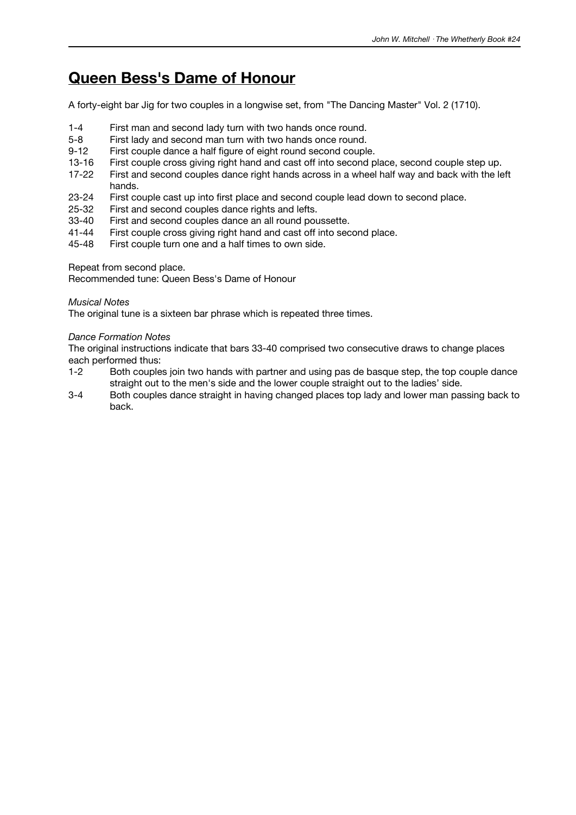## **Queen Bess's Dame of Honour**

A forty-eight bar Jig for two couples in a longwise set, from "The Dancing Master" Vol. 2 (1710).

- 1-4 First man and second lady turn with two hands once round.
- 5-8 First lady and second man turn with two hands once round.
- 9-12 First couple dance a half figure of eight round second couple.
- 13-16 First couple cross giving right hand and cast off into second place, second couple step up.
- 17-22 First and second couples dance right hands across in a wheel half way and back with the left hands.
- 23-24 First couple cast up into first place and second couple lead down to second place.
- 25-32 First and second couples dance rights and lefts.
- 33-40 First and second couples dance an all round poussette.<br>41-44 First couple cross giving right hand and cast off into sec
- 41-44 First couple cross giving right hand and cast off into second place.<br>45-48 First couple turn one and a half times to own side.
- First couple turn one and a half times to own side.

Repeat from second place.

Recommended tune: Queen Bess's Dame of Honour

### *Musical Notes*

The original tune is a sixteen bar phrase which is repeated three times.

### *Dance Formation Notes*

The original instructions indicate that bars 33-40 comprised two consecutive draws to change places each performed thus:

- 1-2 Both couples join two hands with partner and using pas de basque step, the top couple dance straight out to the men's side and the lower couple straight out to the ladies' side.
- 3-4 Both couples dance straight in having changed places top lady and lower man passing back to back.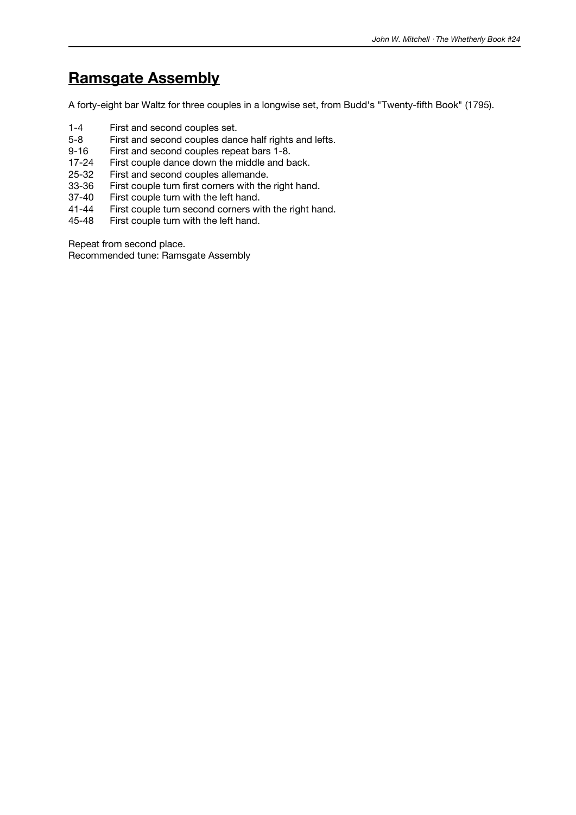# **Ramsgate Assembly**

A forty-eight bar Waltz for three couples in a longwise set, from Budd's "Twenty-fifth Book" (1795).

- 1-4 First and second couples set.<br>5-8 First and second couples dang
- 5-8 First and second couples dance half rights and lefts.<br>9-16 First and second couples repeat bars 1-8.
- First and second couples repeat bars 1-8.
- 17-24 First couple dance down the middle and back.
- 25-32 First and second couples allemande.<br>33-36 First couple turn first corners with the
- 33-36 First couple turn first corners with the right hand.<br>37-40 First couple turn with the left hand.
- 37-40 First couple turn with the left hand.<br>41-44 First couple turn second corners wi
- 41-44 First couple turn second corners with the right hand.<br>45-48 First couple turn with the left hand.
- First couple turn with the left hand.

Repeat from second place.

Recommended tune: Ramsgate Assembly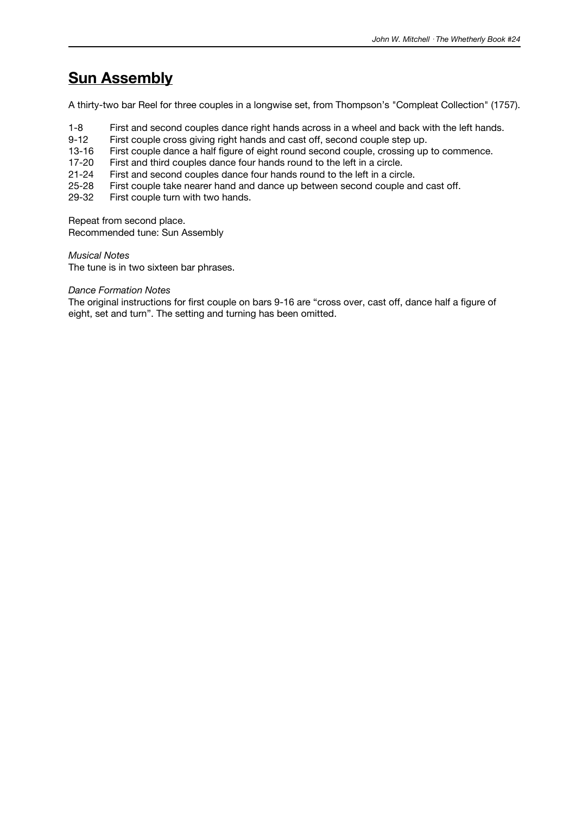# **Sun Assembly**

A thirty-two bar Reel for three couples in a longwise set, from Thompson's "Compleat Collection" (1757).

- 1-8 First and second couples dance right hands across in a wheel and back with the left hands.
- 9-12 First couple cross giving right hands and cast off, second couple step up.
- 13-16 First couple dance a half figure of eight round second couple, crossing up to commence.
- 17-20 First and third couples dance four hands round to the left in a circle.
- 21-24 First and second couples dance four hands round to the left in a circle.
- 25-28 First couple take nearer hand and dance up between second couple and cast off.
- 29-32 First couple turn with two hands.

Repeat from second place.

Recommended tune: Sun Assembly

*Musical Notes*

The tune is in two sixteen bar phrases.

### *Dance Formation Notes*

The original instructions for first couple on bars 9-16 are "cross over, cast off, dance half a figure of eight, set and turn". The setting and turning has been omitted.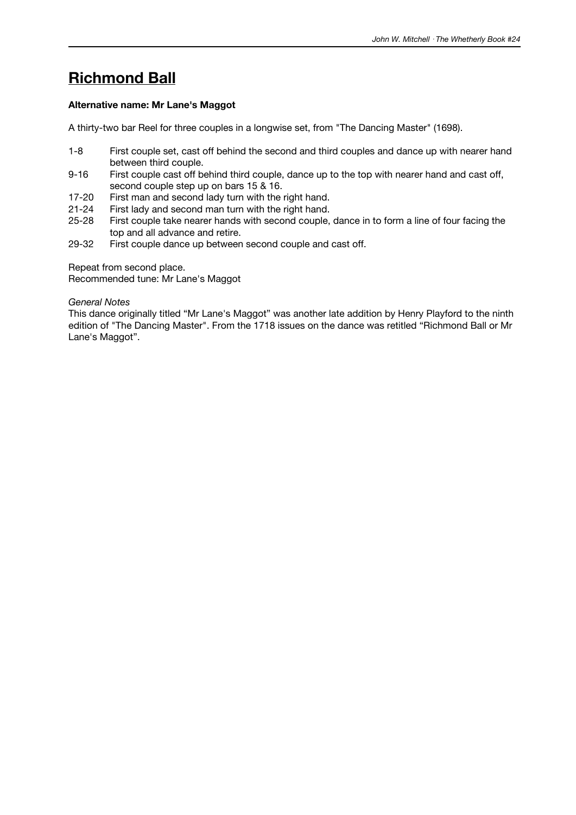# **Richmond Ball**

### **Alternative name: Mr Lane's Maggot**

A thirty-two bar Reel for three couples in a longwise set, from "The Dancing Master" (1698).

- 1-8 First couple set, cast off behind the second and third couples and dance up with nearer hand between third couple.
- 9-16 First couple cast off behind third couple, dance up to the top with nearer hand and cast off, second couple step up on bars 15 & 16.
- 17-20 First man and second lady turn with the right hand.
- 21-24 First lady and second man turn with the right hand.
- 25-28 First couple take nearer hands with second couple, dance in to form a line of four facing the top and all advance and retire.
- 29-32 First couple dance up between second couple and cast off.

Repeat from second place.

Recommended tune: Mr Lane's Maggot

#### *General Notes*

This dance originally titled "Mr Lane's Maggot" was another late addition by Henry Playford to the ninth edition of "The Dancing Master". From the 1718 issues on the dance was retitled "Richmond Ball or Mr Lane's Maggot".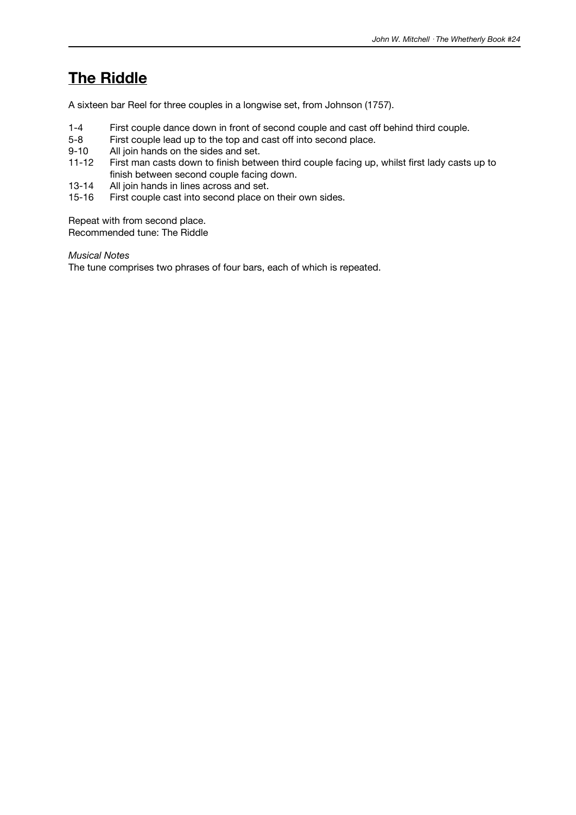## **The Riddle**

A sixteen bar Reel for three couples in a longwise set, from Johnson (1757).

- 1-4 First couple dance down in front of second couple and cast off behind third couple.<br>5-8 First couple lead up to the top and cast off into second place.
- 5-8 First couple lead up to the top and cast off into second place.<br>9-10 All join hands on the sides and set.
- All join hands on the sides and set.
- 11-12 First man casts down to finish between third couple facing up, whilst first lady casts up to finish between second couple facing down.
- 13-14 All join hands in lines across and set.
- 15-16 First couple cast into second place on their own sides.

Repeat with from second place. Recommended tune: The Riddle

*Musical Notes*

The tune comprises two phrases of four bars, each of which is repeated.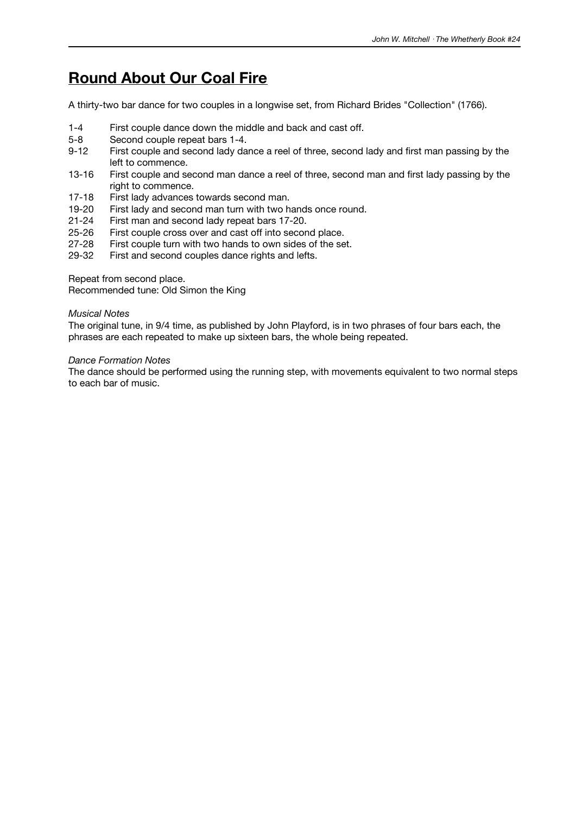## **Round About Our Coal Fire**

A thirty-two bar dance for two couples in a longwise set, from Richard Brides "Collection" (1766).

- 1-4 First couple dance down the middle and back and cast off.
- 5-8 Second couple repeat bars 1-4.<br>9-12 First couple and second lady da
- First couple and second lady dance a reel of three, second lady and first man passing by the left to commence.
- 13-16 First couple and second man dance a reel of three, second man and first lady passing by the right to commence.
- 17-18 First lady advances towards second man.
- 19-20 First lady and second man turn with two hands once round.
- 21-24 First man and second lady repeat bars 17-20.<br>25-26 First couple cross over and cast off into secor
- 25-26 First couple cross over and cast off into second place.<br>27-28 First couple turn with two hands to own sides of the se
- First couple turn with two hands to own sides of the set.
- 29-32 First and second couples dance rights and lefts.

Repeat from second place.

Recommended tune: Old Simon the King

#### *Musical Notes*

The original tune, in 9/4 time, as published by John Playford, is in two phrases of four bars each, the phrases are each repeated to make up sixteen bars, the whole being repeated.

#### *Dance Formation Notes*

The dance should be performed using the running step, with movements equivalent to two normal steps to each bar of music.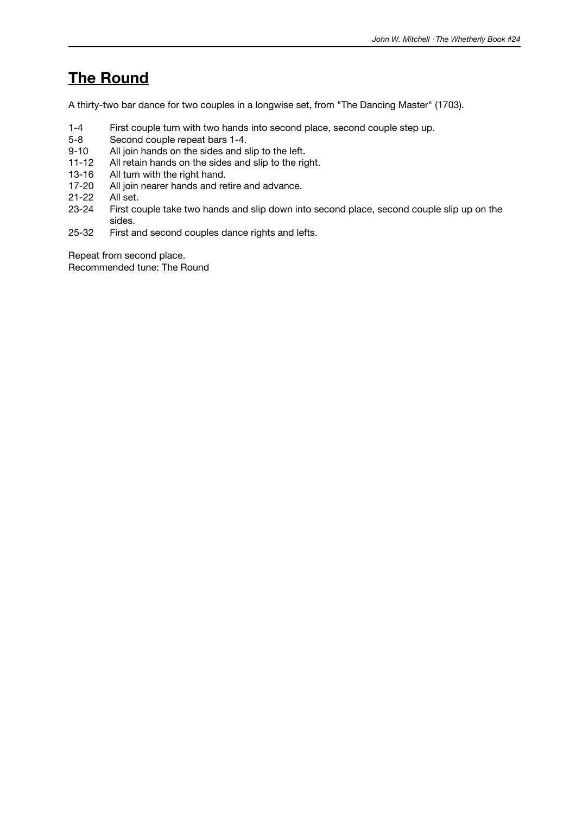### **The Round**

A thirty-two bar dance for two couples in a longwise set, from "The Dancing Master" (1703).

- 1-4 First couple turn with two hands into second place, second couple step up.
- 5-8 Second couple repeat bars 1-4.<br>9-10 All join hands on the sides and s
- All join hands on the sides and slip to the left.
- 11-12 All retain hands on the sides and slip to the right.
- 
- 13-16 All turn with the right hand.<br>17-20 All join nearer hands and re All join nearer hands and retire and advance.
- 21-22 All set.
- 23-24 First couple take two hands and slip down into second place, second couple slip up on the sides.
- 25-32 First and second couples dance rights and lefts.

Repeat from second place. Recommended tune: The Round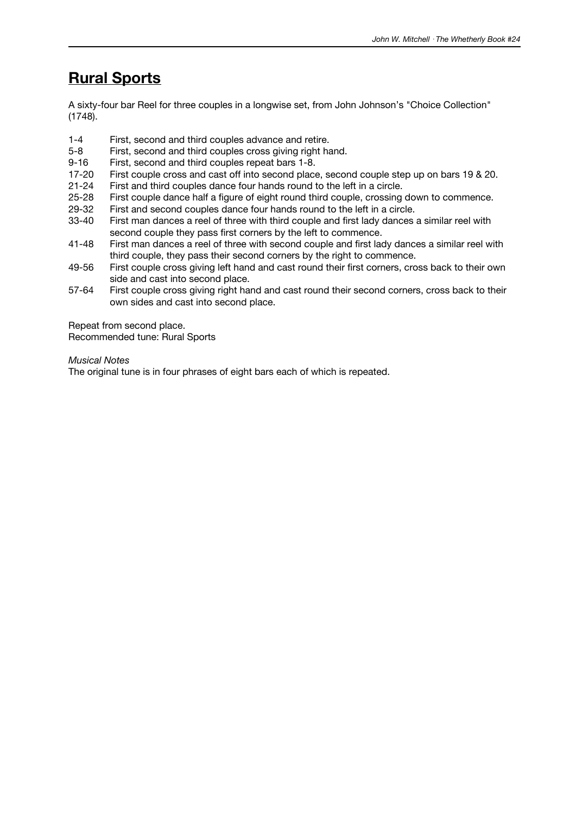## **Rural Sports**

A sixty-four bar Reel for three couples in a longwise set, from John Johnson's "Choice Collection" (1748).

- 1-4 First, second and third couples advance and retire.
- 5-8 First, second and third couples cross giving right hand.
- 9-16 First, second and third couples repeat bars 1-8.
- 17-20 First couple cross and cast off into second place, second couple step up on bars 19 & 20.
- 21-24 First and third couples dance four hands round to the left in a circle.
- 25-28 First couple dance half a figure of eight round third couple, crossing down to commence.
- 29-32 First and second couples dance four hands round to the left in a circle.<br>33-40 First man dances a reel of three with third couple and first lady dances
- First man dances a reel of three with third couple and first lady dances a similar reel with second couple they pass first corners by the left to commence.
- 41-48 First man dances a reel of three with second couple and first lady dances a similar reel with third couple, they pass their second corners by the right to commence.
- 49-56 First couple cross giving left hand and cast round their first corners, cross back to their own side and cast into second place.
- 57-64 First couple cross giving right hand and cast round their second corners, cross back to their own sides and cast into second place.

Repeat from second place. Recommended tune: Rural Sports

*Musical Notes*

The original tune is in four phrases of eight bars each of which is repeated.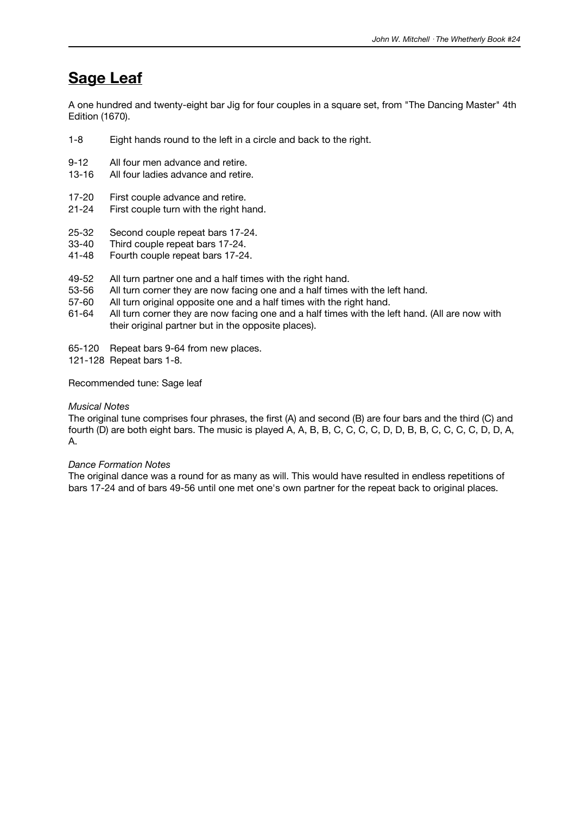### **Sage Leaf**

A one hundred and twenty-eight bar Jig for four couples in a square set, from "The Dancing Master" 4th Edition (1670).

- 1-8 Eight hands round to the left in a circle and back to the right.
- 9-12 All four men advance and retire.
- 13-16 All four ladies advance and retire.
- 17-20 First couple advance and retire.
- 21-24 First couple turn with the right hand.
- 25-32 Second couple repeat bars 17-24.<br>33-40 Third couple repeat bars 17-24.
- 33-40 Third couple repeat bars 17-24.<br>41-48 Fourth couple repeat bars 17-24
- Fourth couple repeat bars 17-24.
- 49-52 All turn partner one and a half times with the right hand.
- 53-56 All turn corner they are now facing one and a half times with the left hand.
- 57-60 All turn original opposite one and a half times with the right hand.
- 61-64 All turn corner they are now facing one and a half times with the left hand. (All are now with their original partner but in the opposite places).
- 65-120 Repeat bars 9-64 from new places.
- 121-128 Repeat bars 1-8.

Recommended tune: Sage leaf

#### *Musical Notes*

The original tune comprises four phrases, the first (A) and second (B) are four bars and the third (C) and fourth (D) are both eight bars. The music is played A, A, B, B, C, C, C, C, D, D, B, B, C, C, C, C, D, D, A, A.

#### *Dance Formation Notes*

The original dance was a round for as many as will. This would have resulted in endless repetitions of bars 17-24 and of bars 49-56 until one met one's own partner for the repeat back to original places.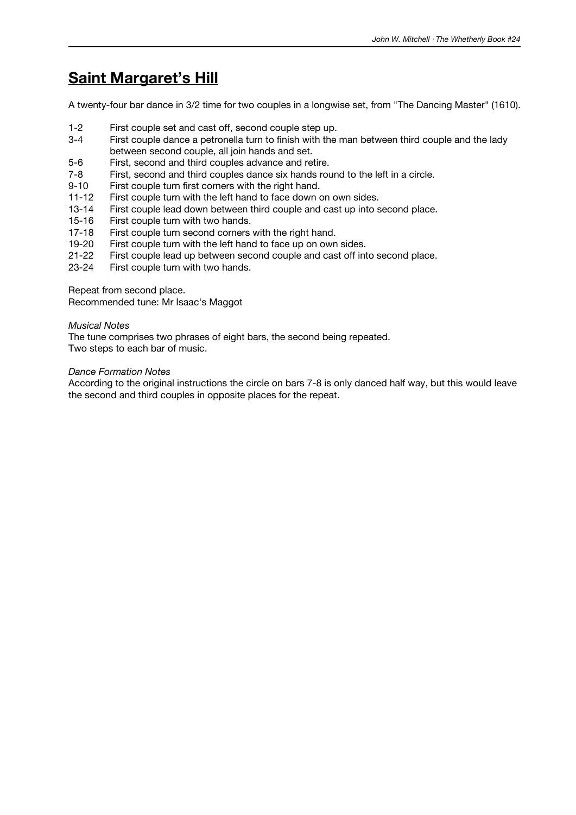## **Saint Margaret's Hill**

A twenty-four bar dance in 3/2 time for two couples in a longwise set, from "The Dancing Master" (1610).

- 1-2 First couple set and cast off, second couple step up.
- 3-4 First couple dance a petronella turn to finish with the man between third couple and the lady between second couple, all join hands and set.
- 5-6 First, second and third couples advance and retire.
- 7-8 First, second and third couples dance six hands round to the left in a circle.
- 9-10 First couple turn first corners with the right hand.
- 11-12 First couple turn with the left hand to face down on own sides.
- 13-14 First couple lead down between third couple and cast up into second place.<br>15-16 First couple turn with two hands.
- 15-16 First couple turn with two hands.<br>17-18 First couple turn second corners
- 17-18 First couple turn second corners with the right hand.<br>19-20 First couple turn with the left hand to face up on own
- First couple turn with the left hand to face up on own sides.
- 21-22 First couple lead up between second couple and cast off into second place.
- 23-24 First couple turn with two hands.

Repeat from second place.

Recommended tune: Mr Isaac's Maggot

#### *Musical Notes*

The tune comprises two phrases of eight bars, the second being repeated. Two steps to each bar of music.

#### *Dance Formation Notes*

According to the original instructions the circle on bars 7-8 is only danced half way, but this would leave the second and third couples in opposite places for the repeat.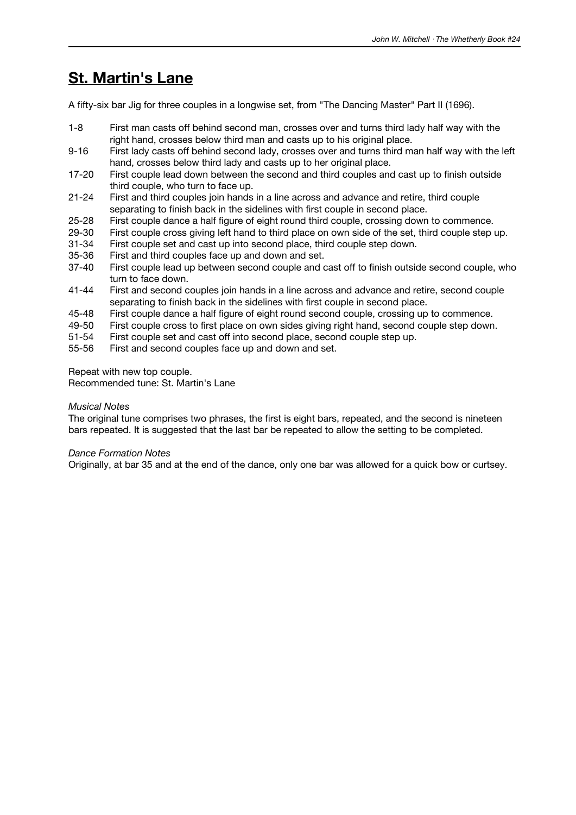### **St. Martin's Lane**

A fifty-six bar Jig for three couples in a longwise set, from "The Dancing Master" Part II (1696).

- 1-8 First man casts off behind second man, crosses over and turns third lady half way with the right hand, crosses below third man and casts up to his original place.
- 9-16 First lady casts off behind second lady, crosses over and turns third man half way with the left hand, crosses below third lady and casts up to her original place.
- 17-20 First couple lead down between the second and third couples and cast up to finish outside third couple, who turn to face up.
- 21-24 First and third couples join hands in a line across and advance and retire, third couple separating to finish back in the sidelines with first couple in second place.
- 25-28 First couple dance a half figure of eight round third couple, crossing down to commence.<br>29-30 First couple cross giving left hand to third place on own side of the set, third couple step
- 29-30 First couple cross giving left hand to third place on own side of the set, third couple step up.<br>31-34 First couple set and cast up into second place, third couple step down.
- First couple set and cast up into second place, third couple step down.
- 35-36 First and third couples face up and down and set.
- 37-40 First couple lead up between second couple and cast off to finish outside second couple, who turn to face down.
- 41-44 First and second couples join hands in a line across and advance and retire, second couple separating to finish back in the sidelines with first couple in second place.
- 45-48 First couple dance a half figure of eight round second couple, crossing up to commence.
- 49-50 First couple cross to first place on own sides giving right hand, second couple step down.
- 51-54 First couple set and cast off into second place, second couple step up.
- 55-56 First and second couples face up and down and set.

Repeat with new top couple.

Recommended tune: St. Martin's Lane

#### *Musical Notes*

The original tune comprises two phrases, the first is eight bars, repeated, and the second is nineteen bars repeated. It is suggested that the last bar be repeated to allow the setting to be completed.

#### *Dance Formation Notes*

Originally, at bar 35 and at the end of the dance, only one bar was allowed for a quick bow or curtsey.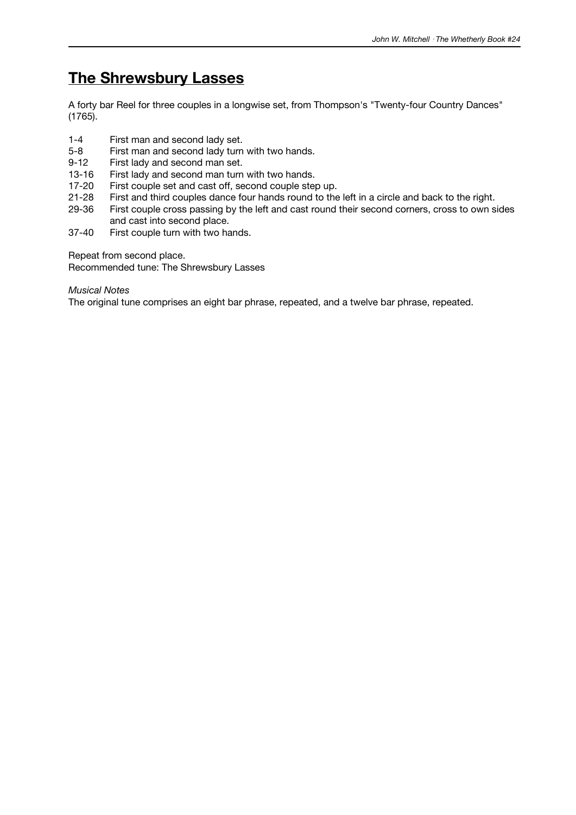### **The Shrewsbury Lasses**

A forty bar Reel for three couples in a longwise set, from Thompson's "Twenty-four Country Dances" (1765).

- 1-4 First man and second lady set.<br>5-8 First man and second lady turn
- First man and second lady turn with two hands.
- 9-12 First lady and second man set.
- 13-16 First lady and second man turn with two hands.
- 
- 17-20 First couple set and cast off, second couple step up.<br>21-28 First and third couples dance four hands round to the First and third couples dance four hands round to the left in a circle and back to the right.
- 29-36 First couple cross passing by the left and cast round their second corners, cross to own sides and cast into second place.
- 37-40 First couple turn with two hands.

Repeat from second place.

Recommended tune: The Shrewsbury Lasses

*Musical Notes*

The original tune comprises an eight bar phrase, repeated, and a twelve bar phrase, repeated.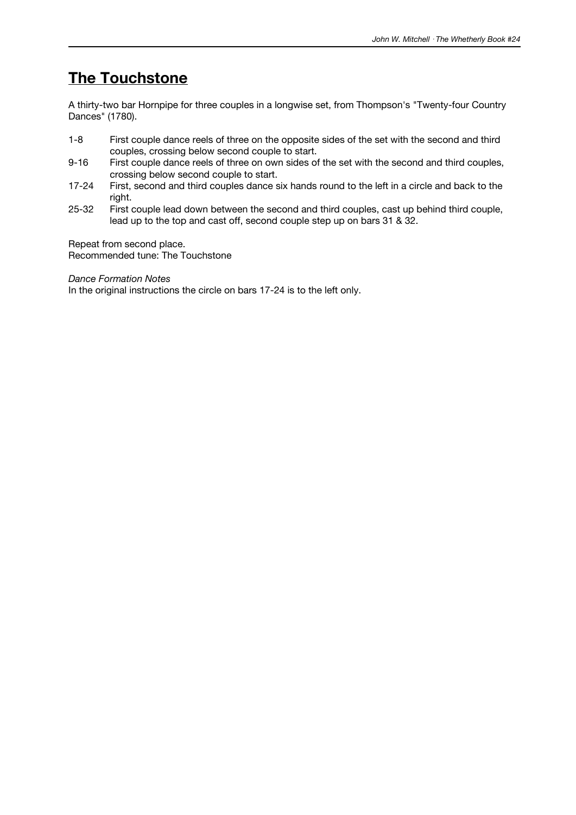### **The Touchstone**

A thirty-two bar Hornpipe for three couples in a longwise set, from Thompson's "Twenty-four Country Dances" (1780).

- 1-8 First couple dance reels of three on the opposite sides of the set with the second and third couples, crossing below second couple to start.
- 9-16 First couple dance reels of three on own sides of the set with the second and third couples, crossing below second couple to start.
- 17-24 First, second and third couples dance six hands round to the left in a circle and back to the right.
- 25-32 First couple lead down between the second and third couples, cast up behind third couple, lead up to the top and cast off, second couple step up on bars 31 & 32.

Repeat from second place. Recommended tune: The Touchstone

*Dance Formation Notes*

In the original instructions the circle on bars 17-24 is to the left only.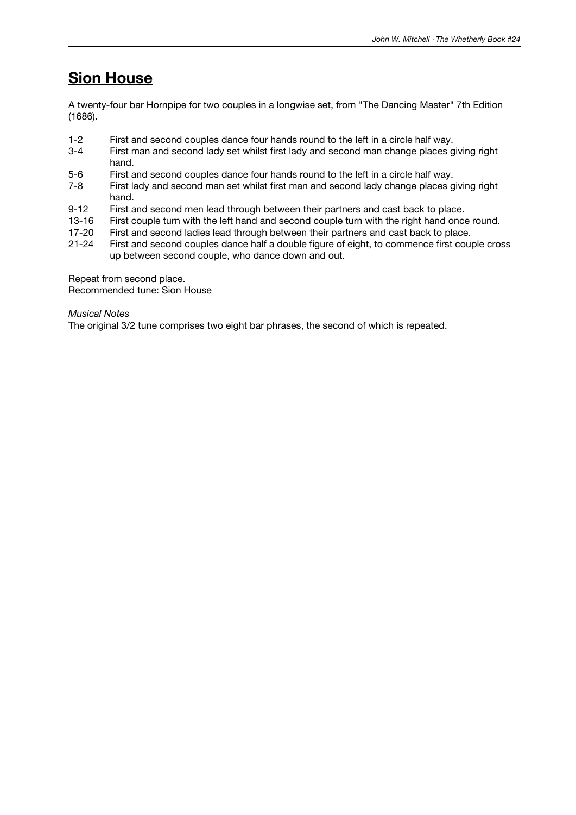### **Sion House**

A twenty-four bar Hornpipe for two couples in a longwise set, from "The Dancing Master" 7th Edition (1686).

- 1-2 First and second couples dance four hands round to the left in a circle half way.
- 3-4 First man and second lady set whilst first lady and second man change places giving right hand.
- 5-6 First and second couples dance four hands round to the left in a circle half way.
- 7-8 First lady and second man set whilst first man and second lady change places giving right hand.
- 9-12 First and second men lead through between their partners and cast back to place.
- 13-16 First couple turn with the left hand and second couple turn with the right hand once round.<br>17-20 First and second ladies lead through between their partners and cast back to place.
- 17-20 First and second ladies lead through between their partners and cast back to place.<br>21-24 First and second couples dance half a double figure of eight, to commence first couples
- First and second couples dance half a double figure of eight, to commence first couple cross up between second couple, who dance down and out.

Repeat from second place. Recommended tune: Sion House

*Musical Notes*

The original 3/2 tune comprises two eight bar phrases, the second of which is repeated.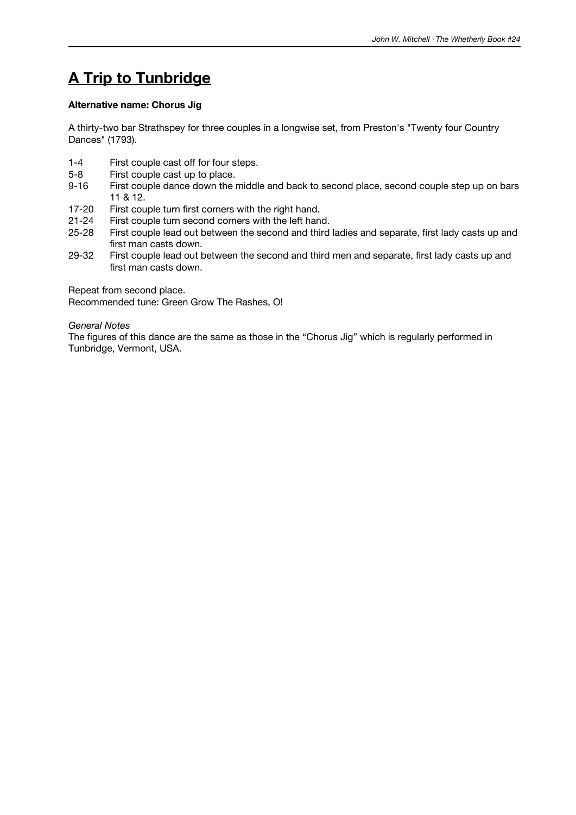# **A Trip to Tunbridge**

#### **Alternative name: Chorus Jig**

A thirty-two bar Strathspey for three couples in a longwise set, from Preston's "Twenty four Country Dances" (1793).

- 1-4 First couple cast off for four steps.
- 5-8 First couple cast up to place.
- 9-16 First couple dance down the middle and back to second place, second couple step up on bars 11 & 12.
- 17-20 First couple turn first corners with the right hand.<br>21-24 First couple turn second corners with the left hand
- 21-24 First couple turn second corners with the left hand.<br>25-28 First couple lead out between the second and third
- First couple lead out between the second and third ladies and separate, first lady casts up and first man casts down.
- 29-32 First couple lead out between the second and third men and separate, first lady casts up and first man casts down.

Repeat from second place.

Recommended tune: Green Grow The Rashes, O!

*General Notes*

The figures of this dance are the same as those in the "Chorus Jig" which is regularly performed in Tunbridge, Vermont, USA.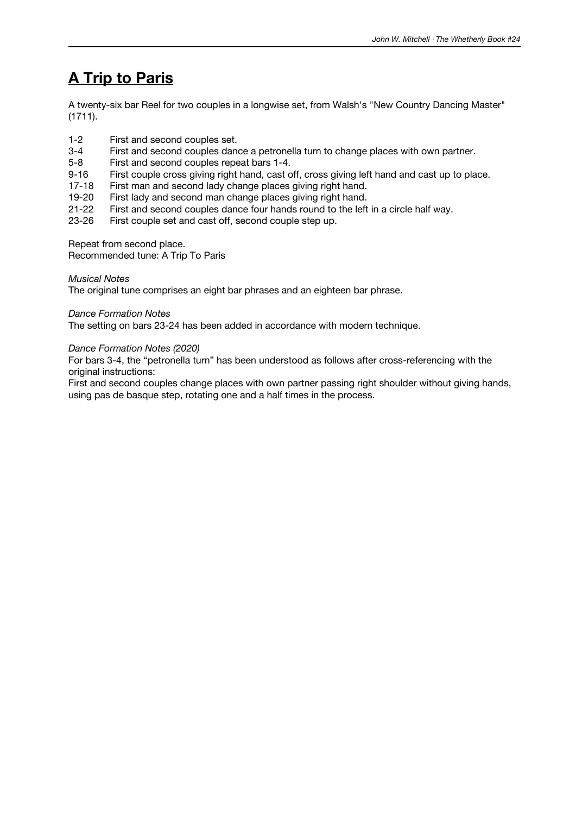# **A Trip to Paris**

A twenty-six bar Reel for two couples in a longwise set, from Walsh's "New Country Dancing Master" (1711).

- 1-2 First and second couples set.
- 3-4 First and second couples dance a petronella turn to change places with own partner.
- 5-8 First and second couples repeat bars 1-4.
- 9-16 First couple cross giving right hand, cast off, cross giving left hand and cast up to place.
- 17-18 First man and second lady change places giving right hand.
- 19-20 First lady and second man change places giving right hand.
- 21-22 First and second couples dance four hands round to the left in a circle half way.<br>23-26 First couple set and cast off, second couple step up.
- First couple set and cast off, second couple step up.

Repeat from second place.

Recommended tune: A Trip To Paris

#### *Musical Notes*

The original tune comprises an eight bar phrases and an eighteen bar phrase.

#### *Dance Formation Notes*

The setting on bars 23-24 has been added in accordance with modern technique.

#### *Dance Formation Notes (2020)*

For bars 3-4, the "petronella turn" has been understood as follows after cross-referencing with the original instructions:

First and second couples change places with own partner passing right shoulder without giving hands, using pas de basque step, rotating one and a half times in the process.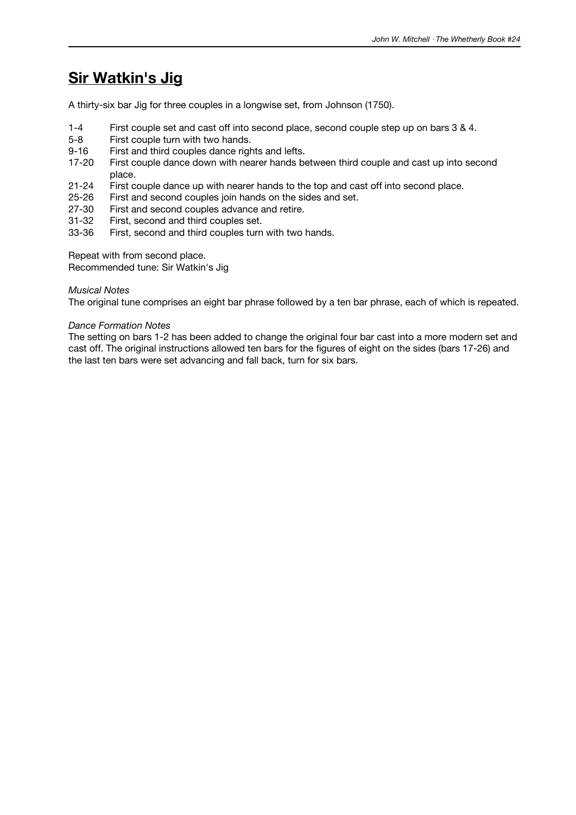### **Sir Watkin's Jig**

A thirty-six bar Jig for three couples in a longwise set, from Johnson (1750).

- 1-4 First couple set and cast off into second place, second couple step up on bars 3 & 4.
- 5-8 First couple turn with two hands.
- 9-16 First and third couples dance rights and lefts.
- 17-20 First couple dance down with nearer hands between third couple and cast up into second place.
- 21-24 First couple dance up with nearer hands to the top and cast off into second place.
- 25-26 First and second couples join hands on the sides and set.
- 27-30 First and second couples advance and retire.<br>31-32 First, second and third couples set.
- 31-32 First, second and third couples set.<br>33-36 First, second and third couples turn
- First, second and third couples turn with two hands.

Repeat with from second place.

Recommended tune: Sir Watkin's Jig

#### *Musical Notes*

The original tune comprises an eight bar phrase followed by a ten bar phrase, each of which is repeated.

#### *Dance Formation Notes*

The setting on bars 1-2 has been added to change the original four bar cast into a more modern set and cast off. The original instructions allowed ten bars for the figures of eight on the sides (bars 17-26) and the last ten bars were set advancing and fall back, turn for six bars.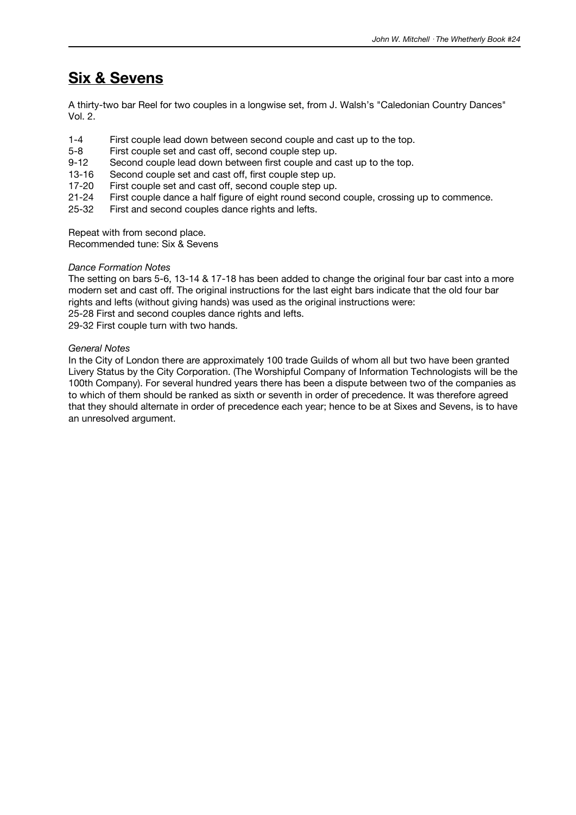### **Six & Sevens**

A thirty-two bar Reel for two couples in a longwise set, from J. Walsh's "Caledonian Country Dances" Vol. 2.

- 1-4 First couple lead down between second couple and cast up to the top.<br>5-8 First couple set and cast off. second couple step up.
- First couple set and cast off, second couple step up.
- 9-12 Second couple lead down between first couple and cast up to the top.
- 13-16 Second couple set and cast off, first couple step up.
- 17-20 First couple set and cast off, second couple step up.
- 21-24 First couple dance a half figure of eight round second couple, crossing up to commence.
- 25-32 First and second couples dance rights and lefts.

Repeat with from second place.

Recommended tune: Six & Sevens

#### *Dance Formation Notes*

The setting on bars 5-6, 13-14 & 17-18 has been added to change the original four bar cast into a more modern set and cast off. The original instructions for the last eight bars indicate that the old four bar rights and lefts (without giving hands) was used as the original instructions were: 25-28 First and second couples dance rights and lefts.

29-32 First couple turn with two hands.

#### *General Notes*

In the City of London there are approximately 100 trade Guilds of whom all but two have been granted Livery Status by the City Corporation. (The Worshipful Company of Information Technologists will be the 100th Company). For several hundred years there has been a dispute between two of the companies as to which of them should be ranked as sixth or seventh in order of precedence. It was therefore agreed that they should alternate in order of precedence each year; hence to be at Sixes and Sevens, is to have an unresolved argument.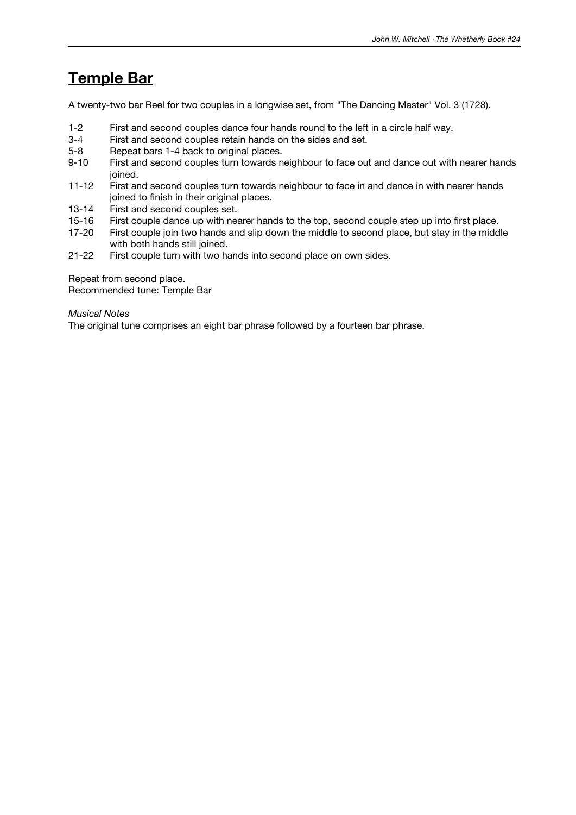## **Temple Bar**

A twenty-two bar Reel for two couples in a longwise set, from "The Dancing Master" Vol. 3 (1728).

- 1-2 First and second couples dance four hands round to the left in a circle half way.
- 3-4 First and second couples retain hands on the sides and set.<br>5-8 Repeat bars 1-4 back to original places.
- Repeat bars 1-4 back to original places.
- 9-10 First and second couples turn towards neighbour to face out and dance out with nearer hands joined.
- 11-12 First and second couples turn towards neighbour to face in and dance in with nearer hands joined to finish in their original places.
- 13-14 First and second couples set.<br>15-16 First couple dance up with ne
- 15-16 First couple dance up with nearer hands to the top, second couple step up into first place.<br>17-20 First couple join two hands and slip down the middle to second place, but stay in the midd
- First couple join two hands and slip down the middle to second place, but stay in the middle with both hands still joined.
- 21-22 First couple turn with two hands into second place on own sides.

Repeat from second place. Recommended tune: Temple Bar

#### *Musical Notes*

The original tune comprises an eight bar phrase followed by a fourteen bar phrase.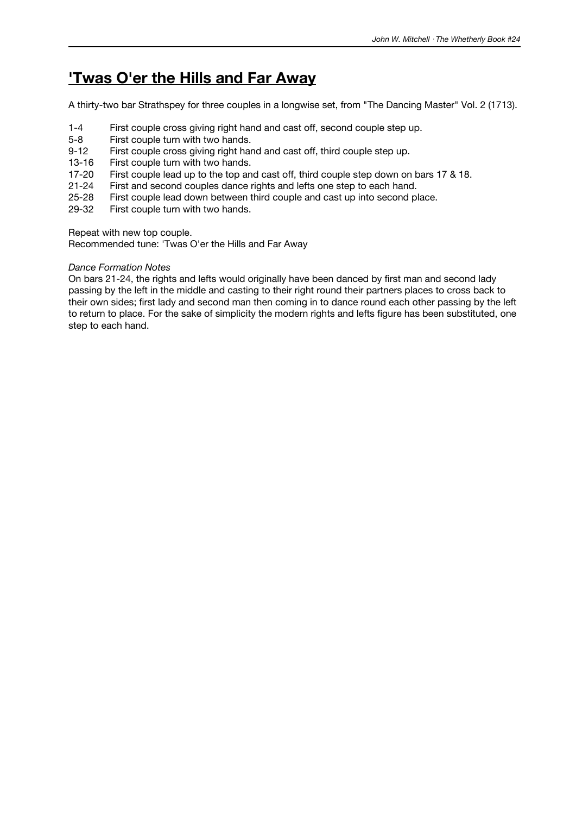### **'Twas O'er the Hills and Far Away**

A thirty-two bar Strathspey for three couples in a longwise set, from "The Dancing Master" Vol. 2 (1713).

- 1-4 First couple cross giving right hand and cast off, second couple step up.
- 5-8 First couple turn with two hands.
- 9-12 First couple cross giving right hand and cast off, third couple step up.
- 13-16 First couple turn with two hands.
- 17-20 First couple lead up to the top and cast off, third couple step down on bars 17 & 18.
- 21-24 First and second couples dance rights and lefts one step to each hand.
- 25-28 First couple lead down between third couple and cast up into second place.
- 29-32 First couple turn with two hands.

Repeat with new top couple.

Recommended tune: 'Twas O'er the Hills and Far Away

#### *Dance Formation Notes*

On bars 21-24, the rights and lefts would originally have been danced by first man and second lady passing by the left in the middle and casting to their right round their partners places to cross back to their own sides; first lady and second man then coming in to dance round each other passing by the left to return to place. For the sake of simplicity the modern rights and lefts figure has been substituted, one step to each hand.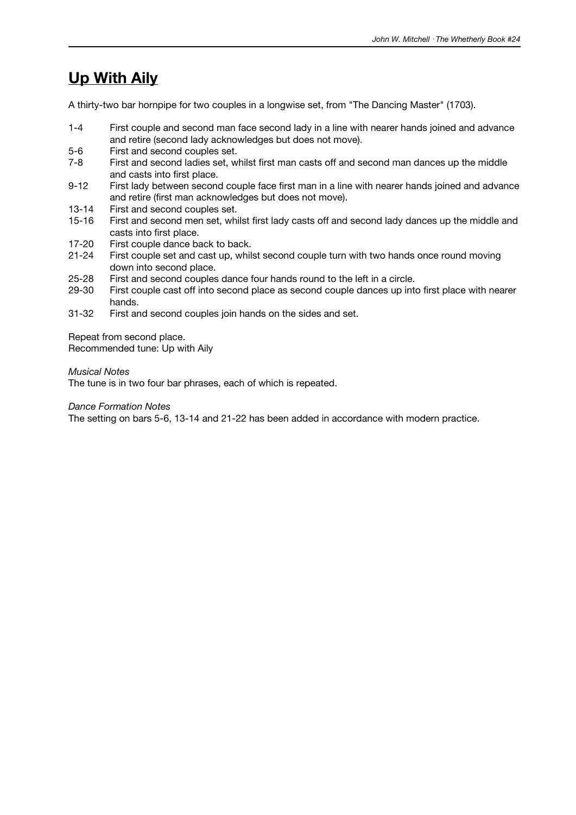## **Up With Aily**

A thirty-two bar hornpipe for two couples in a longwise set, from "The Dancing Master" (1703).

- 1-4 First couple and second man face second lady in a line with nearer hands joined and advance and retire (second lady acknowledges but does not move).
- 5-6 First and second couples set.
- 7-8 First and second ladies set, whilst first man casts off and second man dances up the middle and casts into first place.
- 9-12 First lady between second couple face first man in a line with nearer hands joined and advance and retire (first man acknowledges but does not move).
- 13-14 First and second couples set.
- 15-16 First and second men set, whilst first lady casts off and second lady dances up the middle and casts into first place.
- 17-20 First couple dance back to back.
- 21-24 First couple set and cast up, whilst second couple turn with two hands once round moving down into second place.
- 25-28 First and second couples dance four hands round to the left in a circle.
- 29-30 First couple cast off into second place as second couple dances up into first place with nearer hands.
- 31-32 First and second couples join hands on the sides and set.

Repeat from second place. Recommended tune: Up with Aily

#### *Musical Notes*

The tune is in two four bar phrases, each of which is repeated.

#### *Dance Formation Notes*

The setting on bars 5-6, 13-14 and 21-22 has been added in accordance with modern practice.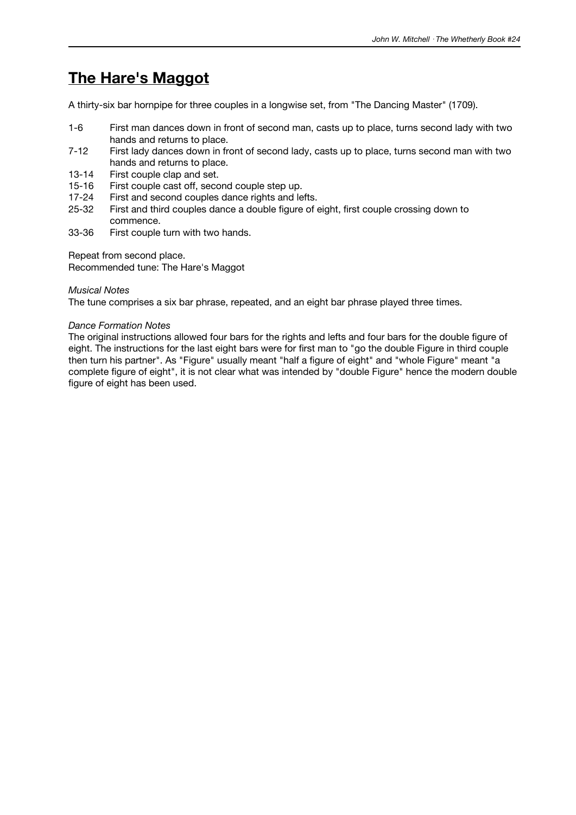## **The Hare's Maggot**

A thirty-six bar hornpipe for three couples in a longwise set, from "The Dancing Master" (1709).

- 1-6 First man dances down in front of second man, casts up to place, turns second lady with two hands and returns to place.
- 7-12 First lady dances down in front of second lady, casts up to place, turns second man with two hands and returns to place.
- 13-14 First couple clap and set.
- 15-16 First couple cast off, second couple step up.
- 17-24 First and second couples dance rights and lefts.
- 25-32 First and third couples dance a double figure of eight, first couple crossing down to commence.
- 33-36 First couple turn with two hands.

Repeat from second place.

Recommended tune: The Hare's Maggot

#### *Musical Notes*

The tune comprises a six bar phrase, repeated, and an eight bar phrase played three times.

#### *Dance Formation Notes*

The original instructions allowed four bars for the rights and lefts and four bars for the double figure of eight. The instructions for the last eight bars were for first man to "go the double Figure in third couple then turn his partner". As "Figure" usually meant "half a figure of eight" and "whole Figure" meant "a complete figure of eight", it is not clear what was intended by "double Figure" hence the modern double figure of eight has been used.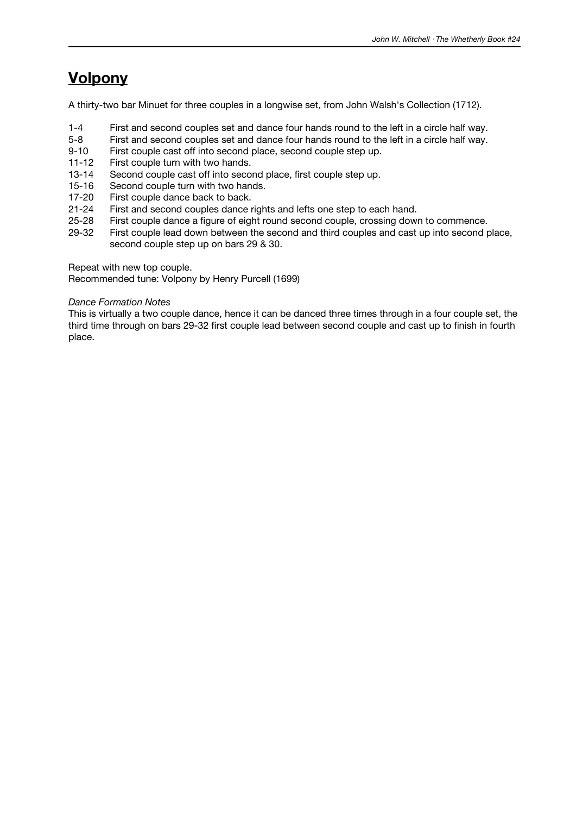## **Volpony**

A thirty-two bar Minuet for three couples in a longwise set, from John Walsh's Collection (1712).

- 1-4 First and second couples set and dance four hands round to the left in a circle half way.
- 5-8 First and second couples set and dance four hands round to the left in a circle half way.
- 9-10 First couple cast off into second place, second couple step up.
- 11-12 First couple turn with two hands.
- 13-14 Second couple cast off into second place, first couple step up.
- 15-16 Second couple turn with two hands.
- 17-20 First couple dance back to back.
- 21-24 First and second couples dance rights and lefts one step to each hand.<br>25-28 First couple dance a figure of eight round second couple, crossing down
- 25-28 First couple dance a figure of eight round second couple, crossing down to commence.<br>29-32 First couple lead down between the second and third couples and cast up into second pro
- First couple lead down between the second and third couples and cast up into second place, second couple step up on bars 29 & 30.

Repeat with new top couple.

Recommended tune: Volpony by Henry Purcell (1699)

#### *Dance Formation Notes*

This is virtually a two couple dance, hence it can be danced three times through in a four couple set, the third time through on bars 29-32 first couple lead between second couple and cast up to finish in fourth place.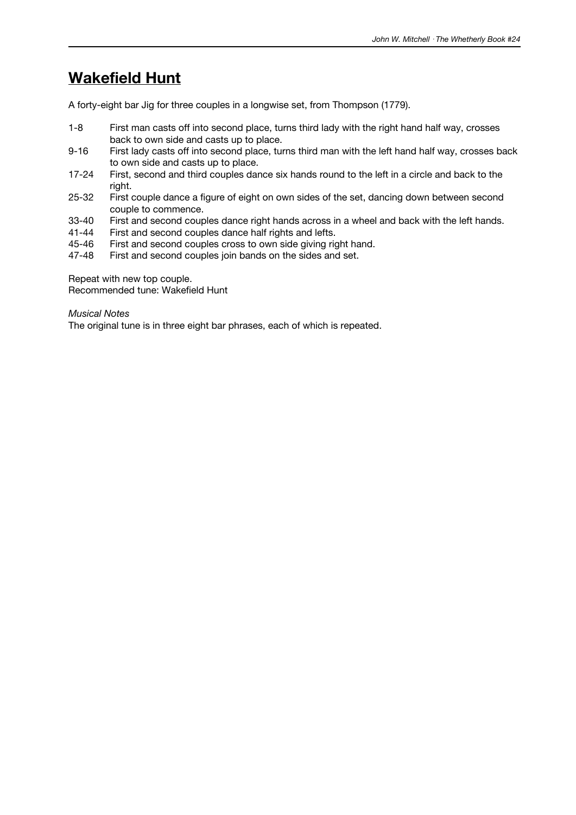## **Wakefield Hunt**

A forty-eight bar Jig for three couples in a longwise set, from Thompson (1779).

- 1-8 First man casts off into second place, turns third lady with the right hand half way, crosses back to own side and casts up to place.
- 9-16 First lady casts off into second place, turns third man with the left hand half way, crosses back to own side and casts up to place.
- 17-24 First, second and third couples dance six hands round to the left in a circle and back to the right.
- 25-32 First couple dance a figure of eight on own sides of the set, dancing down between second couple to commence.
- 33-40 First and second couples dance right hands across in a wheel and back with the left hands.<br>41-44 First and second couples dance half rights and lefts.
- 41-44 First and second couples dance half rights and lefts.<br>45-46 First and second couples cross to own side giving right
- First and second couples cross to own side giving right hand.
- 47-48 First and second couples join bands on the sides and set.

Repeat with new top couple. Recommended tune: Wakefield Hunt

#### *Musical Notes*

The original tune is in three eight bar phrases, each of which is repeated.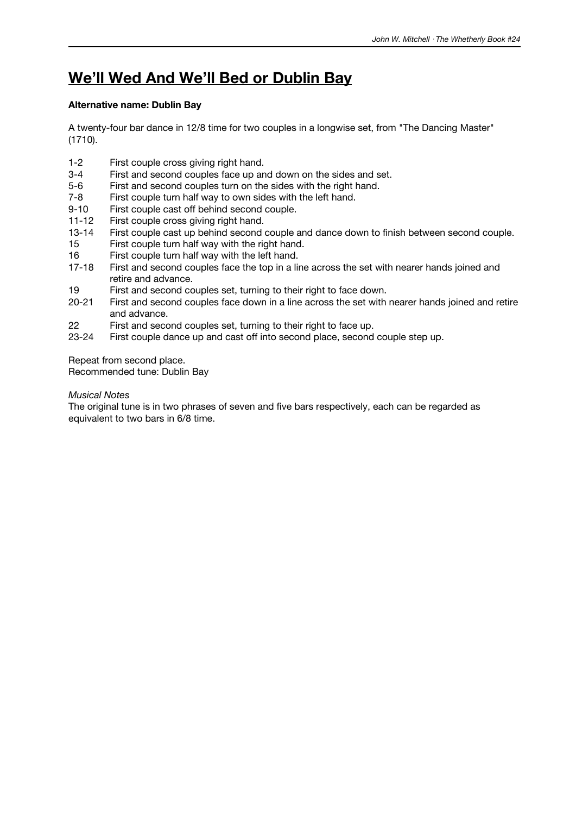## **We'll Wed And We'll Bed or Dublin Bay**

#### **Alternative name: Dublin Bay**

A twenty-four bar dance in 12/8 time for two couples in a longwise set, from "The Dancing Master" (1710).

- 1-2 First couple cross giving right hand.
- 3-4 First and second couples face up and down on the sides and set.
- 5-6 First and second couples turn on the sides with the right hand.
- 7-8 First couple turn half way to own sides with the left hand.
- 9-10 First couple cast off behind second couple.<br>11-12 First couple cross giving right hand.
- 11-12 First couple cross giving right hand.<br>13-14 First couple cast up behind second
- First couple cast up behind second couple and dance down to finish between second couple.
- 15 First couple turn half way with the right hand.
- 16 First couple turn half way with the left hand.<br>17-18 First and second couples face the top in a lim
- First and second couples face the top in a line across the set with nearer hands joined and retire and advance.
- 19 First and second couples set, turning to their right to face down.
- 20-21 First and second couples face down in a line across the set with nearer hands joined and retire and advance.
- 22 First and second couples set, turning to their right to face up.
- 23-24 First couple dance up and cast off into second place, second couple step up.

Repeat from second place.

Recommended tune: Dublin Bay

#### *Musical Notes*

The original tune is in two phrases of seven and five bars respectively, each can be regarded as equivalent to two bars in 6/8 time.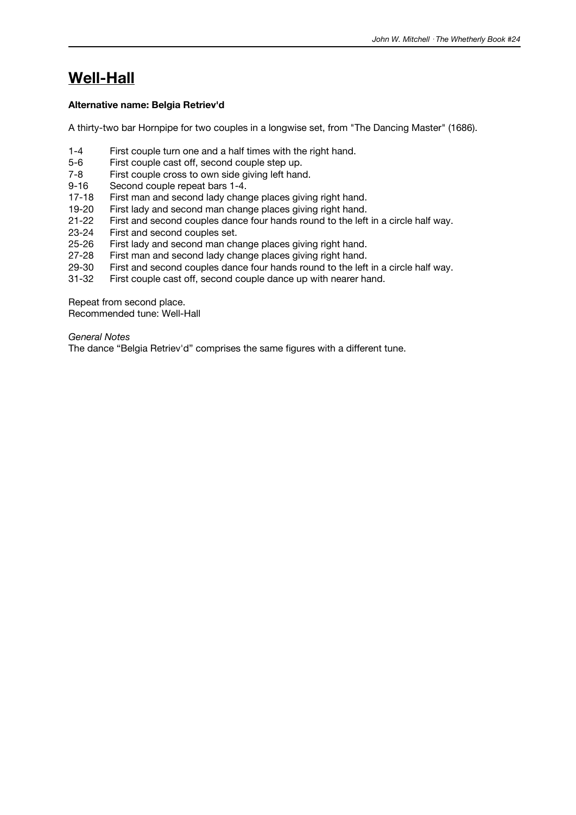## **Well-Hall**

#### **Alternative name: Belgia Retriev'd**

A thirty-two bar Hornpipe for two couples in a longwise set, from "The Dancing Master" (1686).

- 1-4 First couple turn one and a half times with the right hand.
- 5-6 First couple cast off, second couple step up.
- 7-8 First couple cross to own side giving left hand.
- 9-16 Second couple repeat bars 1-4.
- 17-18 First man and second lady change places giving right hand.
- 19-20 First lady and second man change places giving right hand.<br>21-22 First and second couples dance four hands round to the left
- 21-22 First and second couples dance four hands round to the left in a circle half way.<br>23-24 First and second couples set.
- 23-24 First and second couples set.<br>25-26 First lady and second man ch
- First lady and second man change places giving right hand.
- 27-28 First man and second lady change places giving right hand.<br>29-30 First and second couples dance four hands round to the left
- First and second couples dance four hands round to the left in a circle half way.
- 31-32 First couple cast off, second couple dance up with nearer hand.

Repeat from second place. Recommended tune: Well-Hall

#### *General Notes*

The dance "Belgia Retriev'd" comprises the same figures with a different tune.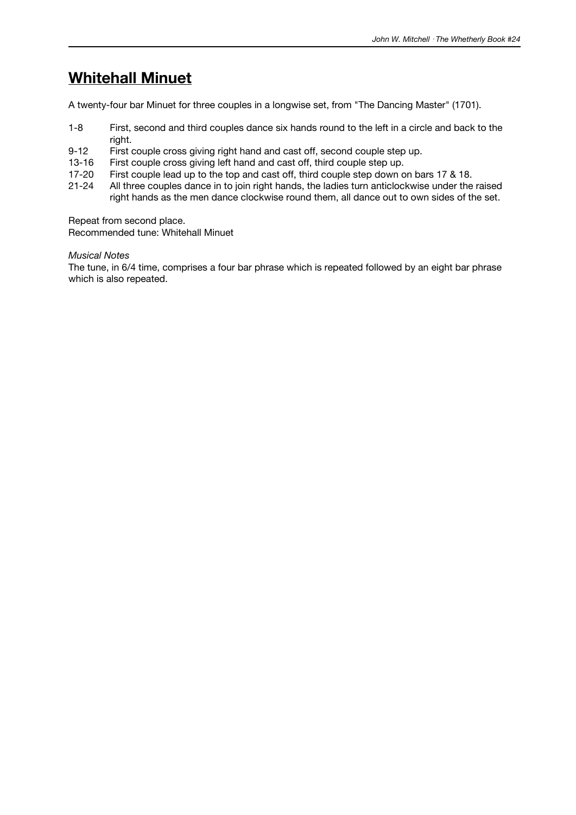### **Whitehall Minuet**

A twenty-four bar Minuet for three couples in a longwise set, from "The Dancing Master" (1701).

- 1-8 First, second and third couples dance six hands round to the left in a circle and back to the right.
- 9-12 First couple cross giving right hand and cast off, second couple step up.
- 13-16 First couple cross giving left hand and cast off, third couple step up.
- 17-20 First couple lead up to the top and cast off, third couple step down on bars 17 & 18.
- 21-24 All three couples dance in to join right hands, the ladies turn anticlockwise under the raised right hands as the men dance clockwise round them, all dance out to own sides of the set.

Repeat from second place.

Recommended tune: Whitehall Minuet

*Musical Notes*

The tune, in 6/4 time, comprises a four bar phrase which is repeated followed by an eight bar phrase which is also repeated.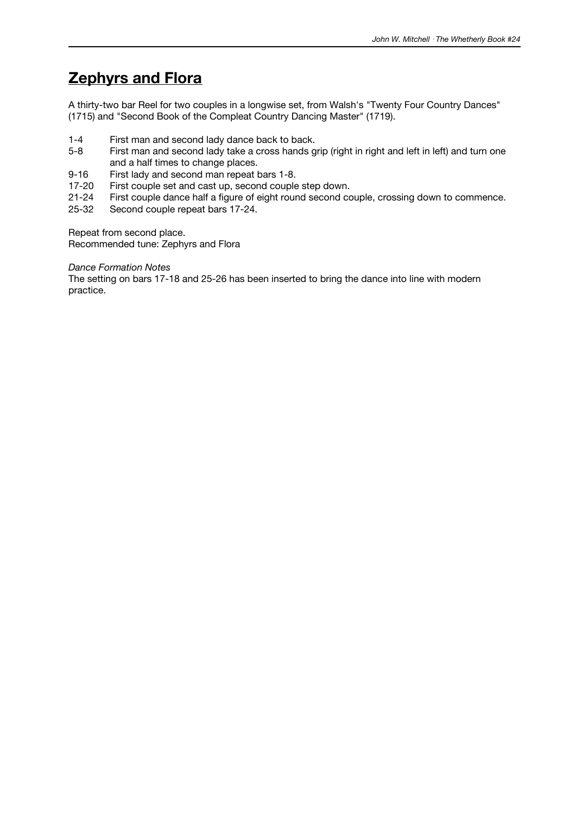## **Zephyrs and Flora**

A thirty-two bar Reel for two couples in a longwise set, from Walsh's "Twenty Four Country Dances" (1715) and "Second Book of the Compleat Country Dancing Master" (1719).

- 1-4 First man and second lady dance back to back.<br>5-8 First man and second lady take a cross hands g
- First man and second lady take a cross hands grip (right in right and left in left) and turn one and a half times to change places.
- 9-16 First lady and second man repeat bars 1-8.
- 17-20 First couple set and cast up, second couple step down.
- 21-24 First couple dance half a figure of eight round second couple, crossing down to commence.
- 25-32 Second couple repeat bars 17-24.

Repeat from second place.

Recommended tune: Zephyrs and Flora

#### *Dance Formation Notes*

The setting on bars 17-18 and 25-26 has been inserted to bring the dance into line with modern practice.